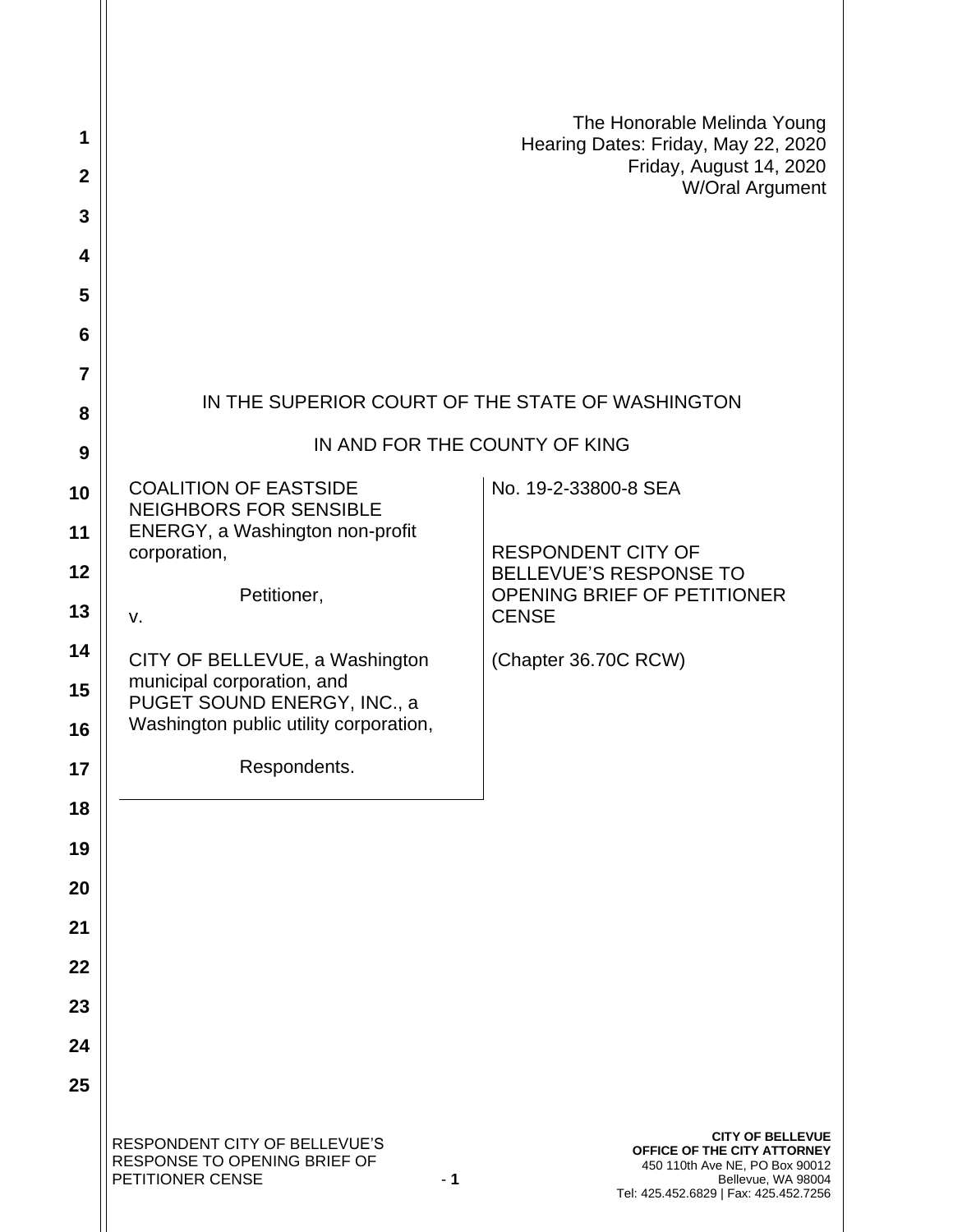| 1              |                                                                                           | The Honorable Melinda Young<br>Hearing Dates: Friday, May 22, 2020                                                                                      |
|----------------|-------------------------------------------------------------------------------------------|---------------------------------------------------------------------------------------------------------------------------------------------------------|
| $\mathbf{2}$   |                                                                                           | Friday, August 14, 2020<br>W/Oral Argument                                                                                                              |
| 3              |                                                                                           |                                                                                                                                                         |
| 4              |                                                                                           |                                                                                                                                                         |
| 5              |                                                                                           |                                                                                                                                                         |
| 6              |                                                                                           |                                                                                                                                                         |
| $\overline{7}$ |                                                                                           |                                                                                                                                                         |
| 8              | IN THE SUPERIOR COURT OF THE STATE OF WASHINGTON                                          |                                                                                                                                                         |
| 9              | IN AND FOR THE COUNTY OF KING                                                             |                                                                                                                                                         |
| 10             | <b>COALITION OF EASTSIDE</b><br><b>NEIGHBORS FOR SENSIBLE</b>                             | No. 19-2-33800-8 SEA                                                                                                                                    |
| 11             | ENERGY, a Washington non-profit                                                           |                                                                                                                                                         |
| 12             | corporation,                                                                              | <b>RESPONDENT CITY OF</b><br><b>BELLEVUE'S RESPONSE TO</b>                                                                                              |
| 13             | Petitioner,<br>v.                                                                         | OPENING BRIEF OF PETITIONER<br><b>CENSE</b>                                                                                                             |
| 14             | CITY OF BELLEVUE, a Washington                                                            | (Chapter 36.70C RCW)                                                                                                                                    |
| 15             | municipal corporation, and<br>PUGET SOUND ENERGY, INC., a                                 |                                                                                                                                                         |
| 16             | Washington public utility corporation,                                                    |                                                                                                                                                         |
| 17             | Respondents.                                                                              |                                                                                                                                                         |
| 18             |                                                                                           |                                                                                                                                                         |
| 19             |                                                                                           |                                                                                                                                                         |
| 20             |                                                                                           |                                                                                                                                                         |
| 21             |                                                                                           |                                                                                                                                                         |
| 22             |                                                                                           |                                                                                                                                                         |
| 23             |                                                                                           |                                                                                                                                                         |
| 24             |                                                                                           |                                                                                                                                                         |
| 25             |                                                                                           |                                                                                                                                                         |
|                | RESPONDENT CITY OF BELLEVUE'S<br>RESPONSE TO OPENING BRIEF OF<br>PETITIONER CENSE<br>$-1$ | <b>CITY OF BELLEVUE</b><br>OFFICE OF THE CITY ATTORNEY<br>450 110th Ave NE, PO Box 90012<br>Bellevue, WA 98004<br>Tel: 425.452.6829   Fax: 425.452.7256 |

ll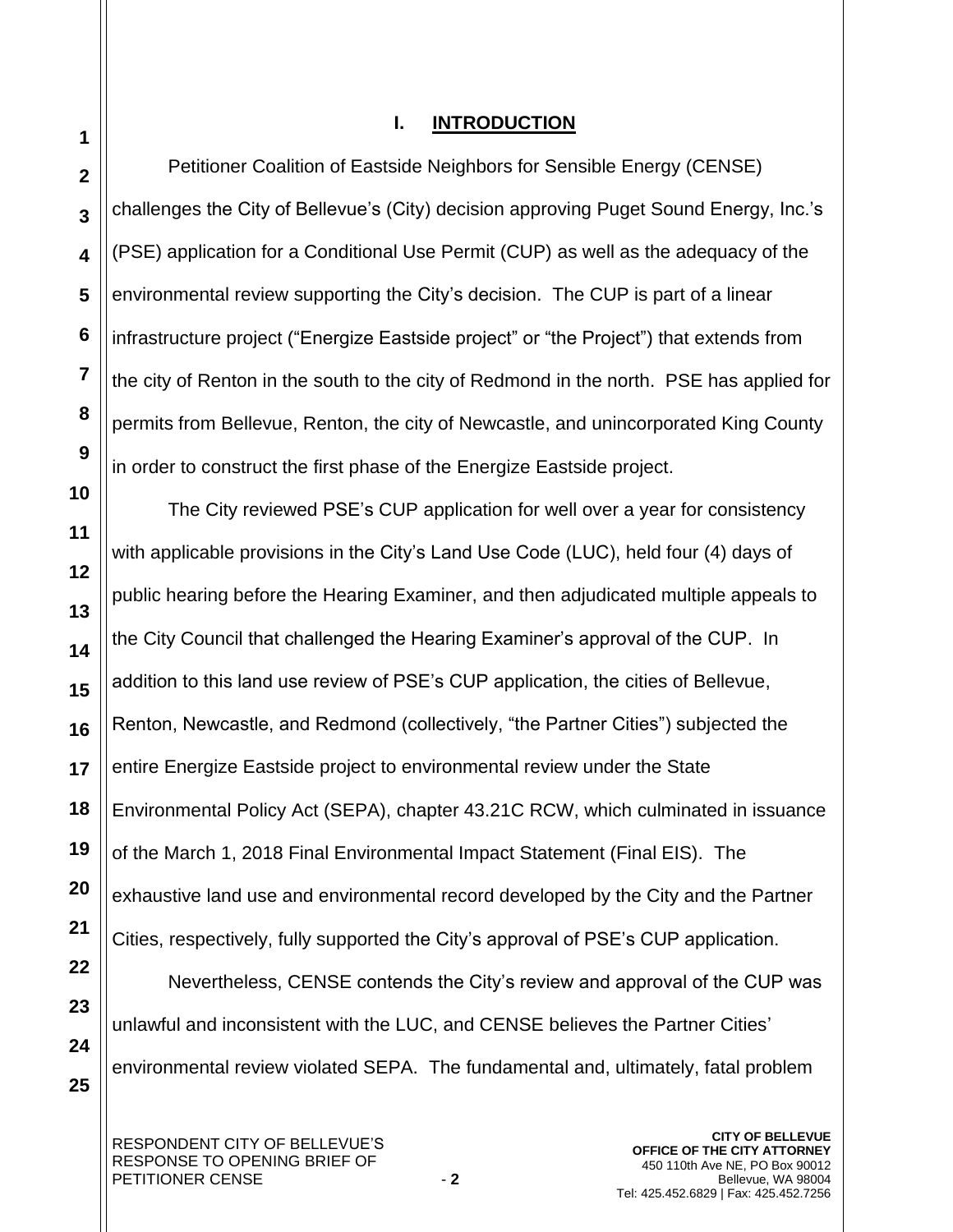**25**

## **I. INTRODUCTION**

Petitioner Coalition of Eastside Neighbors for Sensible Energy (CENSE) challenges the City of Bellevue's (City) decision approving Puget Sound Energy, Inc.'s (PSE) application for a Conditional Use Permit (CUP) as well as the adequacy of the environmental review supporting the City's decision. The CUP is part of a linear infrastructure project ("Energize Eastside project" or "the Project") that extends from the city of Renton in the south to the city of Redmond in the north. PSE has applied for permits from Bellevue, Renton, the city of Newcastle, and unincorporated King County in order to construct the first phase of the Energize Eastside project.

The City reviewed PSE's CUP application for well over a year for consistency with applicable provisions in the City's Land Use Code (LUC), held four (4) days of public hearing before the Hearing Examiner, and then adjudicated multiple appeals to the City Council that challenged the Hearing Examiner's approval of the CUP. In addition to this land use review of PSE's CUP application, the cities of Bellevue, Renton, Newcastle, and Redmond (collectively, "the Partner Cities") subjected the entire Energize Eastside project to environmental review under the State Environmental Policy Act (SEPA), chapter 43.21C RCW, which culminated in issuance of the March 1, 2018 Final Environmental Impact Statement (Final EIS). The exhaustive land use and environmental record developed by the City and the Partner Cities, respectively, fully supported the City's approval of PSE's CUP application. Nevertheless, CENSE contends the City's review and approval of the CUP was unlawful and inconsistent with the LUC, and CENSE believes the Partner Cities'

environmental review violated SEPA. The fundamental and, ultimately, fatal problem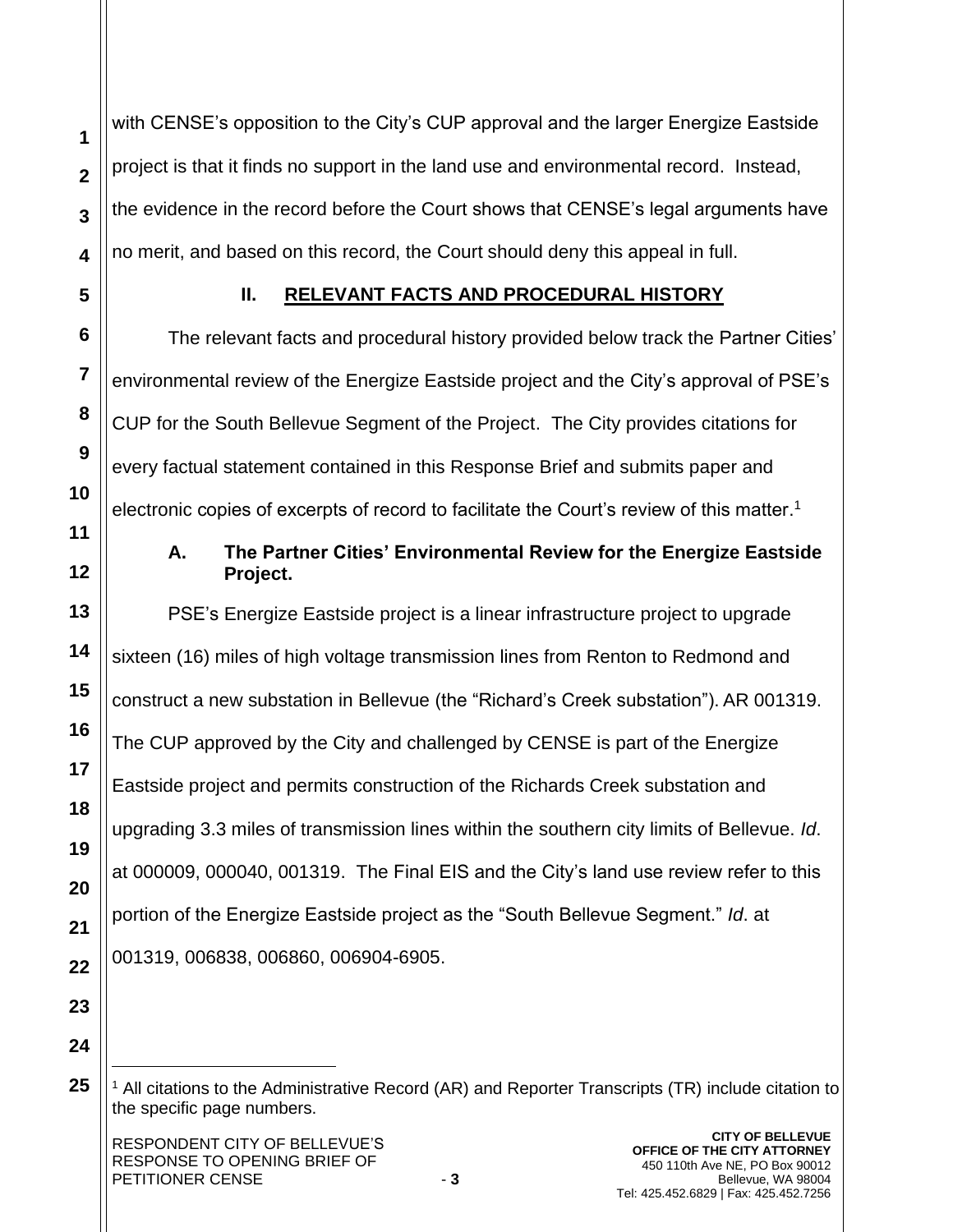with CENSE's opposition to the City's CUP approval and the larger Energize Eastside project is that it finds no support in the land use and environmental record. Instead, the evidence in the record before the Court shows that CENSE's legal arguments have no merit, and based on this record, the Court should deny this appeal in full.

**1**

**2**

**3**

**4**

**5**

**6**

**7**

**8**

**9**

**10**

**11**

**12**

**13**

**14**

**15**

**16**

**17**

**18**

**19**

**20**

**21**

**22**

# **II. RELEVANT FACTS AND PROCEDURAL HISTORY**

The relevant facts and procedural history provided below track the Partner Cities' environmental review of the Energize Eastside project and the City's approval of PSE's CUP for the South Bellevue Segment of the Project. The City provides citations for every factual statement contained in this Response Brief and submits paper and electronic copies of excerpts of record to facilitate the Court's review of this matter.<sup>1</sup>

# **A. The Partner Cities' Environmental Review for the Energize Eastside Project.**

PSE's Energize Eastside project is a linear infrastructure project to upgrade sixteen (16) miles of high voltage transmission lines from Renton to Redmond and construct a new substation in Bellevue (the "Richard's Creek substation"). AR 001319. The CUP approved by the City and challenged by CENSE is part of the Energize Eastside project and permits construction of the Richards Creek substation and upgrading 3.3 miles of transmission lines within the southern city limits of Bellevue. *Id*. at 000009, 000040, 001319. The Final EIS and the City's land use review refer to this portion of the Energize Eastside project as the "South Bellevue Segment." *Id*. at 001319, 006838, 006860, 006904-6905.

**23 24**

 $1$  All citations to the Administrative Record (AR) and Reporter Transcripts (TR) include citation to the specific page numbers.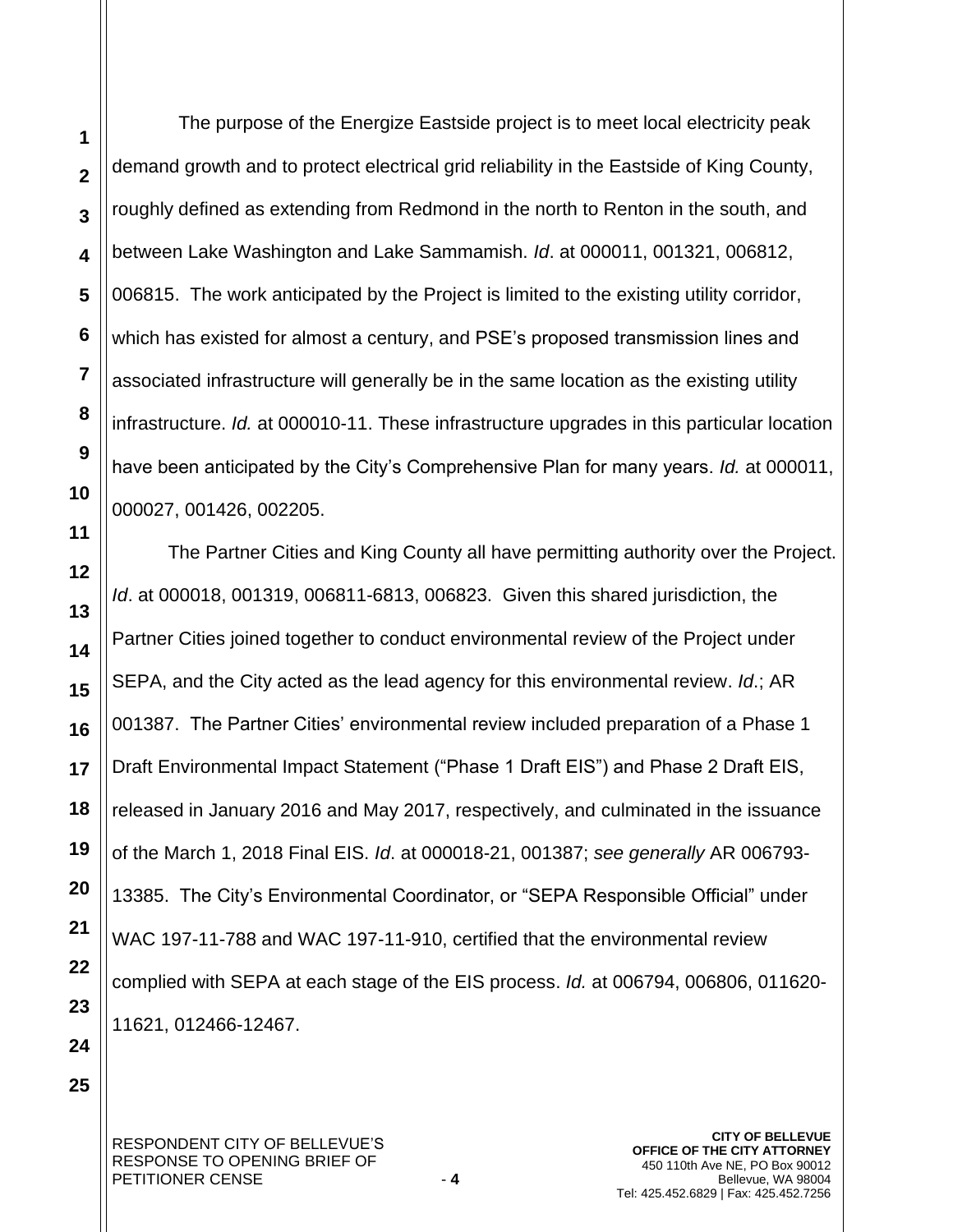The purpose of the Energize Eastside project is to meet local electricity peak demand growth and to protect electrical grid reliability in the Eastside of King County, roughly defined as extending from Redmond in the north to Renton in the south, and between Lake Washington and Lake Sammamish. *Id*. at 000011, 001321, 006812, 006815. The work anticipated by the Project is limited to the existing utility corridor, which has existed for almost a century, and PSE's proposed transmission lines and associated infrastructure will generally be in the same location as the existing utility infrastructure. *Id.* at 000010-11. These infrastructure upgrades in this particular location have been anticipated by the City's Comprehensive Plan for many years. *Id.* at 000011, 000027, 001426, 002205.

The Partner Cities and King County all have permitting authority over the Project. *Id*. at 000018, 001319, 006811-6813, 006823. Given this shared jurisdiction, the Partner Cities joined together to conduct environmental review of the Project under SEPA, and the City acted as the lead agency for this environmental review. *Id*.; AR 001387. The Partner Cities' environmental review included preparation of a Phase 1 Draft Environmental Impact Statement ("Phase 1 Draft EIS") and Phase 2 Draft EIS, released in January 2016 and May 2017, respectively, and culminated in the issuance of the March 1, 2018 Final EIS. *Id*. at 000018-21, 001387; *see generally* AR 006793- 13385. The City's Environmental Coordinator, or "SEPA Responsible Official" under WAC 197-11-788 and WAC 197-11-910, certified that the environmental review complied with SEPA at each stage of the EIS process. *Id.* at 006794, 006806, 011620- 11621, 012466-12467.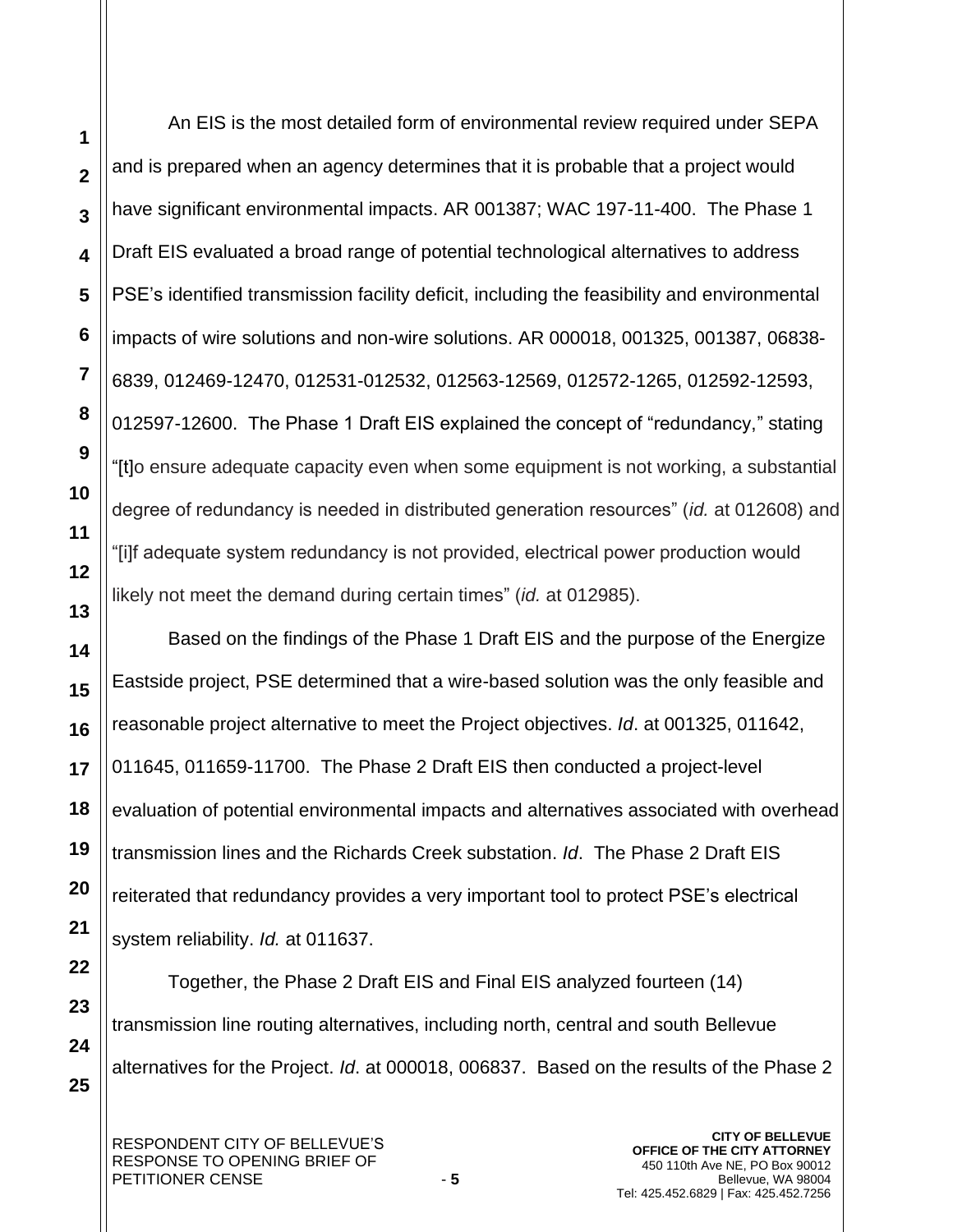**1**

**2**

An EIS is the most detailed form of environmental review required under SEPA and is prepared when an agency determines that it is probable that a project would have significant environmental impacts. AR 001387; WAC 197-11-400. The Phase 1 Draft EIS evaluated a broad range of potential technological alternatives to address PSE's identified transmission facility deficit, including the feasibility and environmental impacts of wire solutions and non-wire solutions. AR 000018, 001325, 001387, 06838- 6839, 012469-12470, 012531-012532, 012563-12569, 012572-1265, 012592-12593, 012597-12600. The Phase 1 Draft EIS explained the concept of "redundancy," stating "[t]o ensure adequate capacity even when some equipment is not working, a substantial degree of redundancy is needed in distributed generation resources" (*id.* at 012608) and "[i]f adequate system redundancy is not provided, electrical power production would likely not meet the demand during certain times" (*id.* at 012985).

Based on the findings of the Phase 1 Draft EIS and the purpose of the Energize Eastside project, PSE determined that a wire-based solution was the only feasible and reasonable project alternative to meet the Project objectives. *Id*. at 001325, 011642, 011645, 011659-11700. The Phase 2 Draft EIS then conducted a project-level evaluation of potential environmental impacts and alternatives associated with overhead transmission lines and the Richards Creek substation. *Id*. The Phase 2 Draft EIS reiterated that redundancy provides a very important tool to protect PSE's electrical system reliability. *Id.* at 011637.

Together, the Phase 2 Draft EIS and Final EIS analyzed fourteen (14) transmission line routing alternatives, including north, central and south Bellevue alternatives for the Project. *Id*. at 000018, 006837. Based on the results of the Phase 2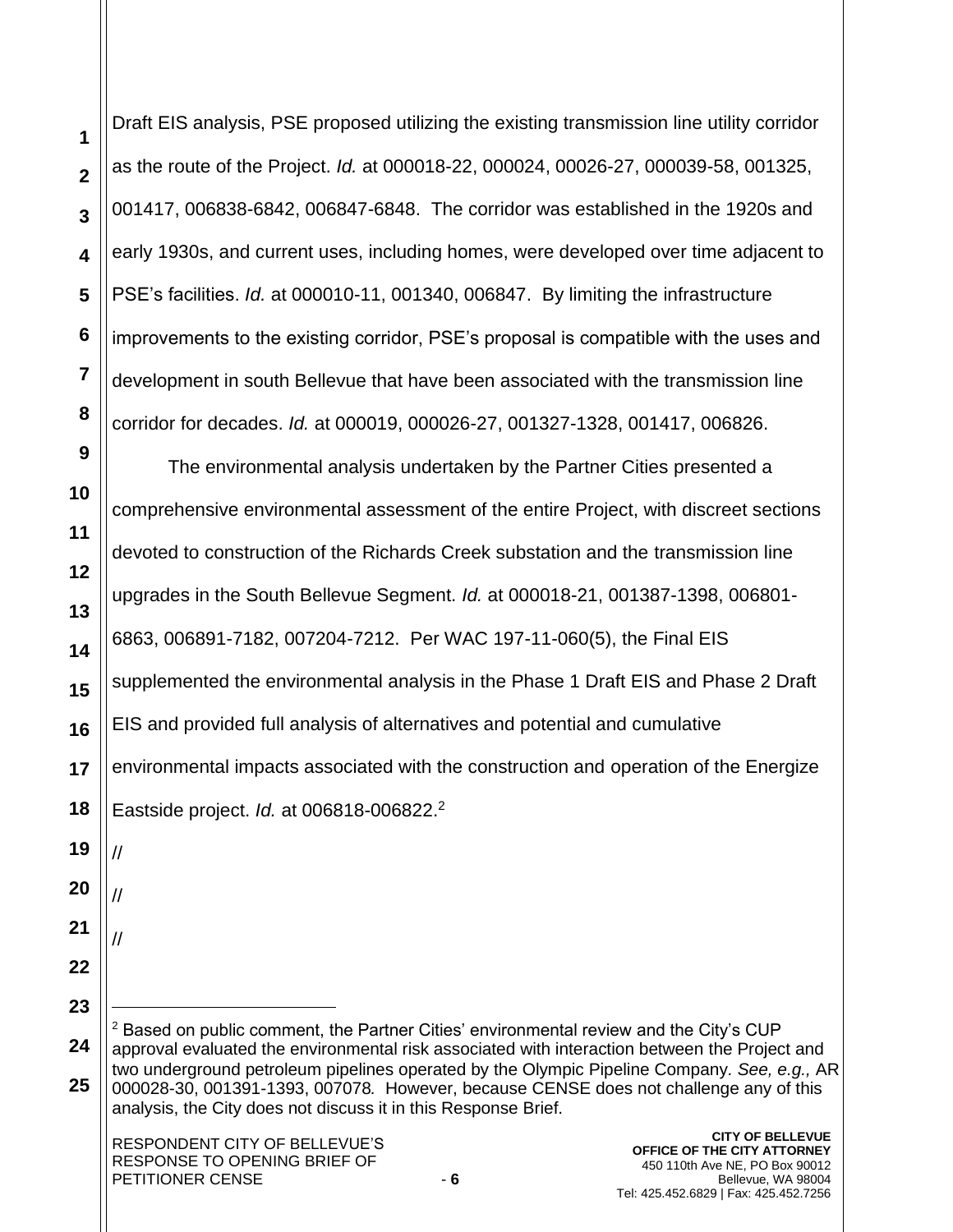Draft EIS analysis, PSE proposed utilizing the existing transmission line utility corridor as the route of the Project. *Id.* at 000018-22, 000024, 00026-27, 000039-58, 001325, 001417, 006838-6842, 006847-6848. The corridor was established in the 1920s and early 1930s, and current uses, including homes, were developed over time adjacent to PSE's facilities. *Id.* at 000010-11, 001340, 006847. By limiting the infrastructure improvements to the existing corridor, PSE's proposal is compatible with the uses and development in south Bellevue that have been associated with the transmission line corridor for decades. *Id.* at 000019, 000026-27, 001327-1328, 001417, 006826.

The environmental analysis undertaken by the Partner Cities presented a comprehensive environmental assessment of the entire Project, with discreet sections devoted to construction of the Richards Creek substation and the transmission line upgrades in the South Bellevue Segment. *Id.* at 000018-21, 001387-1398, 006801- 6863, 006891-7182, 007204-7212. Per WAC 197-11-060(5), the Final EIS supplemented the environmental analysis in the Phase 1 Draft EIS and Phase 2 Draft EIS and provided full analysis of alternatives and potential and cumulative environmental impacts associated with the construction and operation of the Energize Eastside project. *Id.* at 006818-006822.<sup>2</sup> // // //  $2$  Based on public comment, the Partner Cities' environmental review and the City's CUP approval evaluated the environmental risk associated with interaction between the Project and two underground petroleum pipelines operated by the Olympic Pipeline Company*. See, e.g.,* AR 000028-30, 001391-1393, 007078*.* However, because CENSE does not challenge any of this analysis, the City does not discuss it in this Response Brief.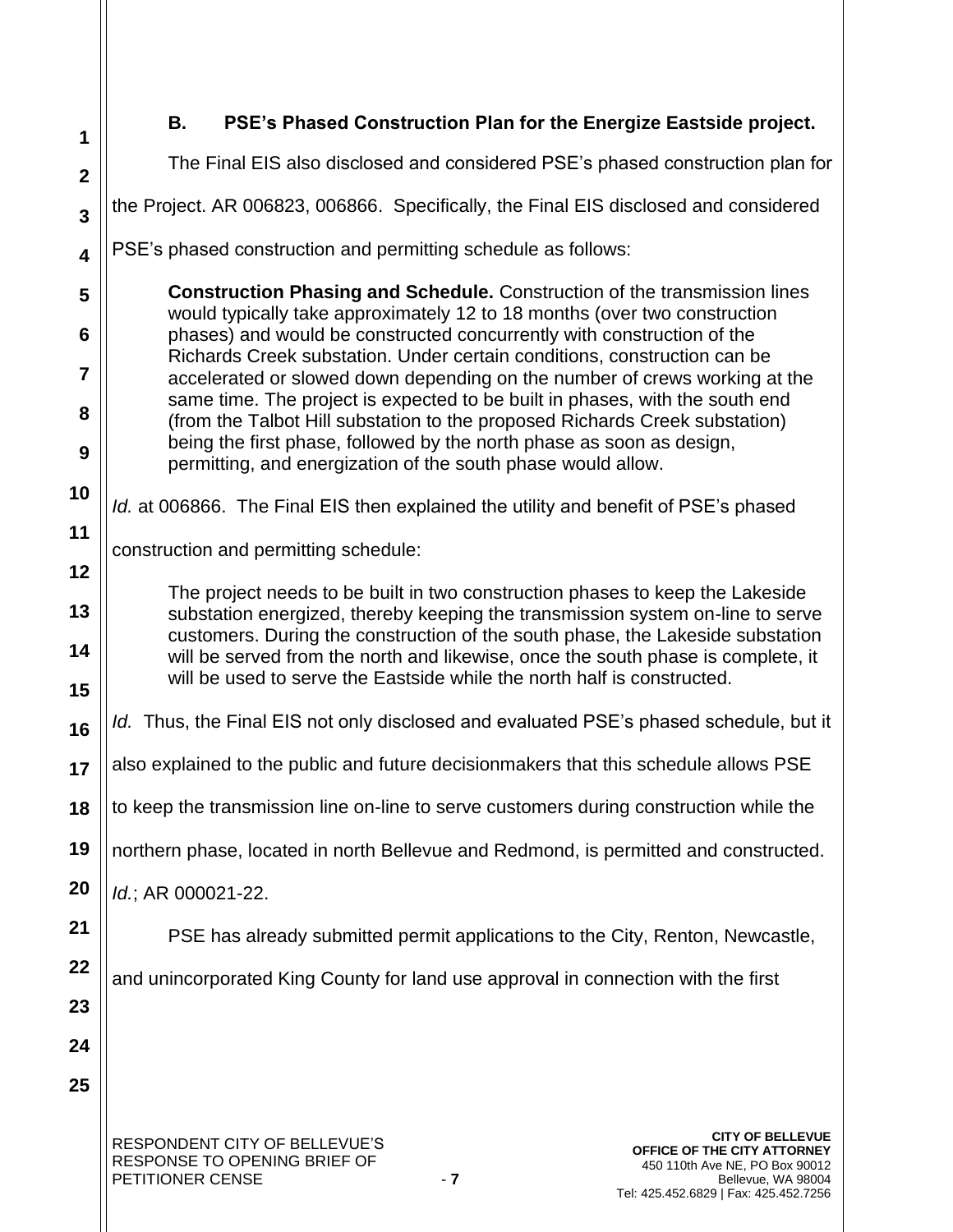| 1                       | PSE's Phased Construction Plan for the Energize Eastside project.<br>В.                                                                                                                                                                       |  |  |  |
|-------------------------|-----------------------------------------------------------------------------------------------------------------------------------------------------------------------------------------------------------------------------------------------|--|--|--|
| $\mathbf{2}$            | The Final EIS also disclosed and considered PSE's phased construction plan for                                                                                                                                                                |  |  |  |
| $\overline{\mathbf{3}}$ | the Project. AR 006823, 006866. Specifically, the Final EIS disclosed and considered                                                                                                                                                          |  |  |  |
| $\overline{\mathbf{4}}$ | PSE's phased construction and permitting schedule as follows:                                                                                                                                                                                 |  |  |  |
| 5                       | <b>Construction Phasing and Schedule.</b> Construction of the transmission lines                                                                                                                                                              |  |  |  |
| 6                       | would typically take approximately 12 to 18 months (over two construction<br>phases) and would be constructed concurrently with construction of the                                                                                           |  |  |  |
| $\overline{7}$          | Richards Creek substation. Under certain conditions, construction can be<br>accelerated or slowed down depending on the number of crews working at the                                                                                        |  |  |  |
| 8                       | same time. The project is expected to be built in phases, with the south end<br>(from the Talbot Hill substation to the proposed Richards Creek substation)                                                                                   |  |  |  |
| 9                       | being the first phase, followed by the north phase as soon as design,<br>permitting, and energization of the south phase would allow.                                                                                                         |  |  |  |
| 10                      | Id. at 006866. The Final EIS then explained the utility and benefit of PSE's phased                                                                                                                                                           |  |  |  |
| 11                      | construction and permitting schedule:                                                                                                                                                                                                         |  |  |  |
| 12                      | The project needs to be built in two construction phases to keep the Lakeside                                                                                                                                                                 |  |  |  |
| 13                      | substation energized, thereby keeping the transmission system on-line to serve                                                                                                                                                                |  |  |  |
| 14<br>15                | customers. During the construction of the south phase, the Lakeside substation<br>will be served from the north and likewise, once the south phase is complete, it<br>will be used to serve the Eastside while the north half is constructed. |  |  |  |
| 16                      | Id. Thus, the Final EIS not only disclosed and evaluated PSE's phased schedule, but it                                                                                                                                                        |  |  |  |
| 17                      | also explained to the public and future decisionmakers that this schedule allows PSE                                                                                                                                                          |  |  |  |
| 18                      | to keep the transmission line on-line to serve customers during construction while the                                                                                                                                                        |  |  |  |
| 19                      | northern phase, located in north Bellevue and Redmond, is permitted and constructed.                                                                                                                                                          |  |  |  |
| 20                      | Id.; AR 000021-22.                                                                                                                                                                                                                            |  |  |  |
| 21                      | PSE has already submitted permit applications to the City, Renton, Newcastle,                                                                                                                                                                 |  |  |  |
| 22                      | and unincorporated King County for land use approval in connection with the first                                                                                                                                                             |  |  |  |
| 23                      |                                                                                                                                                                                                                                               |  |  |  |
| 24                      |                                                                                                                                                                                                                                               |  |  |  |
| 25                      |                                                                                                                                                                                                                                               |  |  |  |
|                         | <b>CITY OF BELLEVUE</b><br>RESPONDENT CITY OF BELLEVUE'S<br>OFFICE OF THE CITY ATTORNEY<br>RESPONSE TO OPENING BRIEF OF<br>450 110th Ave NE, PO Box 90012<br>PETITIONER CENSE<br>$-7$<br>Bellevue, WA 98004                                   |  |  |  |

Bellevue, WA 98004 Tel: 425.452.6829 | Fax: 425.452.7256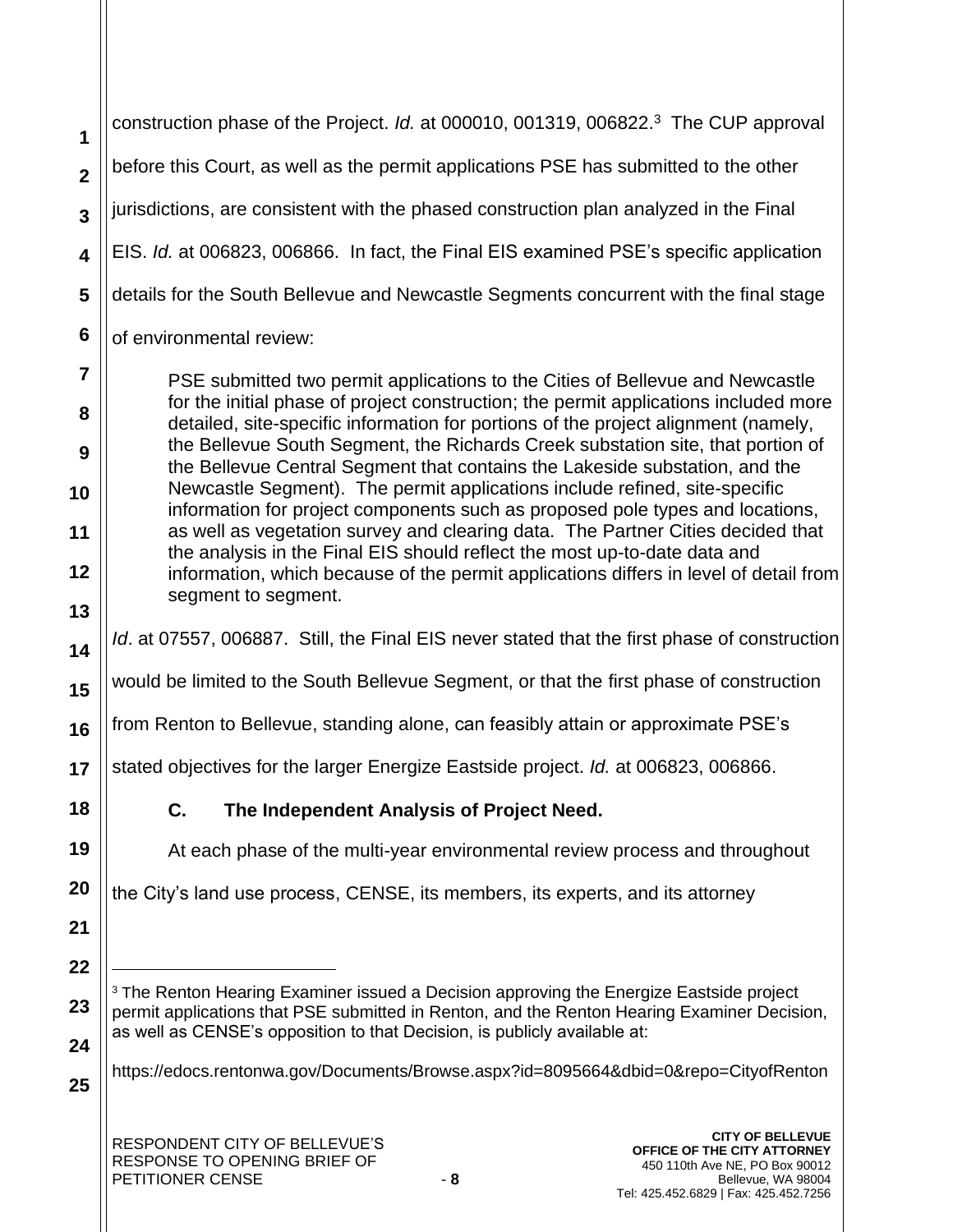**1 2 3 4 5 6 7 8 9** construction phase of the Project. *Id.* at 000010, 001319, 006822.<sup>3</sup> The CUP approval before this Court, as well as the permit applications PSE has submitted to the other jurisdictions, are consistent with the phased construction plan analyzed in the Final EIS. *Id.* at 006823, 006866. In fact, the Final EIS examined PSE's specific application details for the South Bellevue and Newcastle Segments concurrent with the final stage of environmental review: PSE submitted two permit applications to the Cities of Bellevue and Newcastle for the initial phase of project construction; the permit applications included more detailed, site-specific information for portions of the project alignment (namely, the Bellevue South Segment, the Richards Creek substation site, that portion of

the Bellevue Central Segment that contains the Lakeside substation, and the Newcastle Segment). The permit applications include refined, site-specific information for project components such as proposed pole types and locations, as well as vegetation survey and clearing data. The Partner Cities decided that the analysis in the Final EIS should reflect the most up-to-date data and information, which because of the permit applications differs in level of detail from segment to segment.

*Id*. at 07557, 006887. Still, the Final EIS never stated that the first phase of construction

**15** would be limited to the South Bellevue Segment, or that the first phase of construction

**16** from Renton to Bellevue, standing alone, can feasibly attain or approximate PSE's

**17** stated objectives for the larger Energize Eastside project. *Id.* at 006823, 006866.

**C. The Independent Analysis of Project Need.** 

At each phase of the multi-year environmental review process and throughout

the City's land use process, CENSE, its members, its experts, and its attorney

**21 22**

**25**

**18**

**19**

**20**

**10**

**11**

**12**

**13**

**14**

**23 24** <sup>3</sup> The Renton Hearing Examiner issued a Decision approving the Energize Eastside project permit applications that PSE submitted in Renton, and the Renton Hearing Examiner Decision, as well as CENSE's opposition to that Decision, is publicly available at:

https://edocs.rentonwa.gov/Documents/Browse.aspx?id=8095664&dbid=0&repo=CityofRenton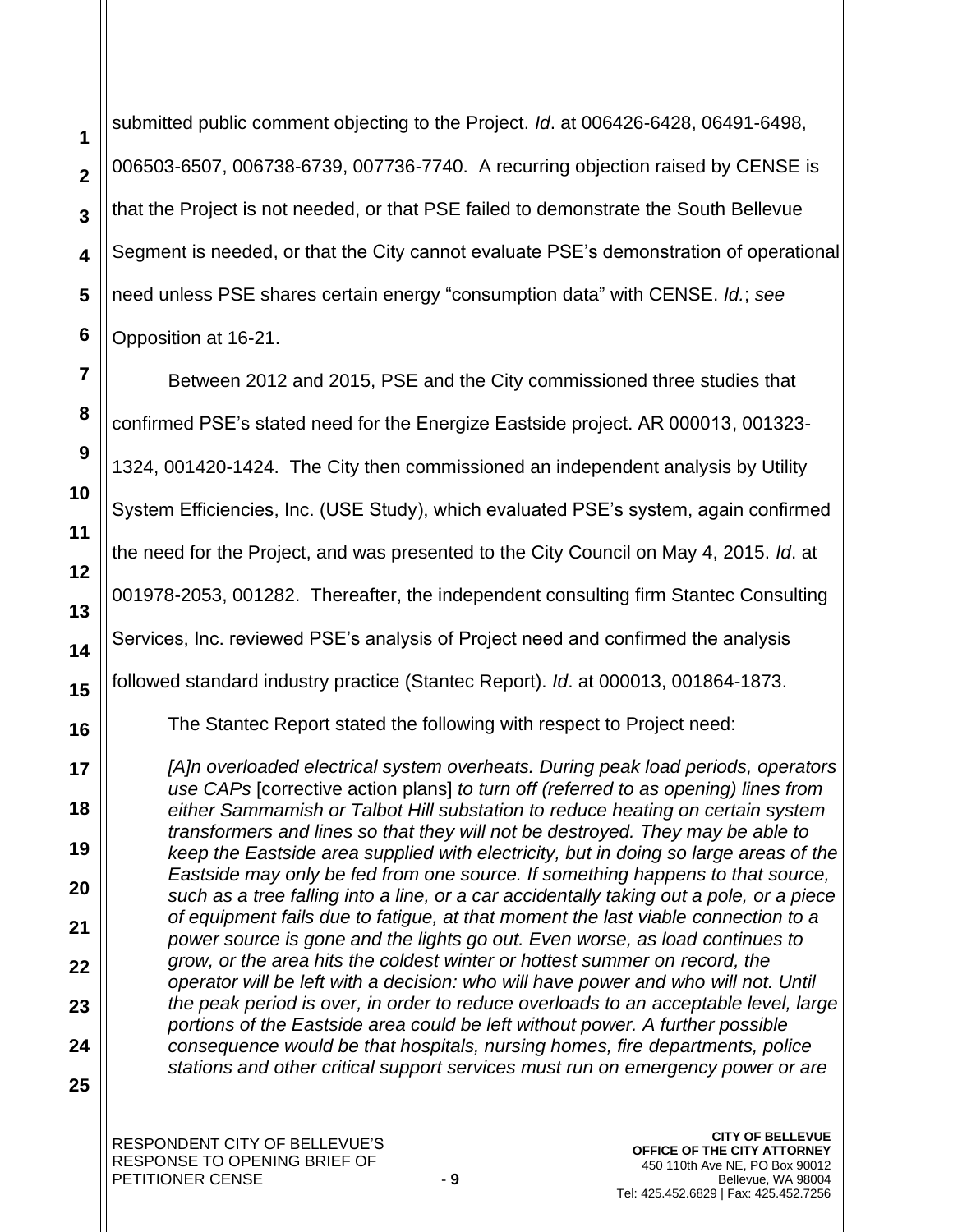submitted public comment objecting to the Project. *Id*. at 006426-6428, 06491-6498, 006503-6507, 006738-6739, 007736-7740. A recurring objection raised by CENSE is that the Project is not needed, or that PSE failed to demonstrate the South Bellevue Segment is needed, or that the City cannot evaluate PSE's demonstration of operational need unless PSE shares certain energy "consumption data" with CENSE. *Id.*; *see*  Opposition at 16-21.

Between 2012 and 2015, PSE and the City commissioned three studies that confirmed PSE's stated need for the Energize Eastside project. AR 000013, 001323- 1324, 001420-1424. The City then commissioned an independent analysis by Utility System Efficiencies, Inc. (USE Study), which evaluated PSE's system, again confirmed the need for the Project, and was presented to the City Council on May 4, 2015. *Id*. at 001978-2053, 001282. Thereafter, the independent consulting firm Stantec Consulting Services, Inc. reviewed PSE's analysis of Project need and confirmed the analysis followed standard industry practice (Stantec Report). *Id*. at 000013, 001864-1873. The Stantec Report stated the following with respect to Project need:

*[A]n overloaded electrical system overheats. During peak load periods, operators use CAPs* [corrective action plans] *to turn off (referred to as opening) lines from either Sammamish or Talbot Hill substation to reduce heating on certain system transformers and lines so that they will not be destroyed. They may be able to keep the Eastside area supplied with electricity, but in doing so large areas of the Eastside may only be fed from one source. If something happens to that source, such as a tree falling into a line, or a car accidentally taking out a pole, or a piece of equipment fails due to fatigue, at that moment the last viable connection to a power source is gone and the lights go out. Even worse, as load continues to grow, or the area hits the coldest winter or hottest summer on record, the operator will be left with a decision: who will have power and who will not. Until the peak period is over, in order to reduce overloads to an acceptable level, large portions of the Eastside area could be left without power. A further possible consequence would be that hospitals, nursing homes, fire departments, police stations and other critical support services must run on emergency power or are* 

**25**

**1**

**2**

**3**

**4**

**5**

**6**

**7**

**8**

**9**

**10**

**11**

**12**

**13**

**14**

**15**

**16**

**17**

**18**

**19**

**20**

**21**

**22**

**23**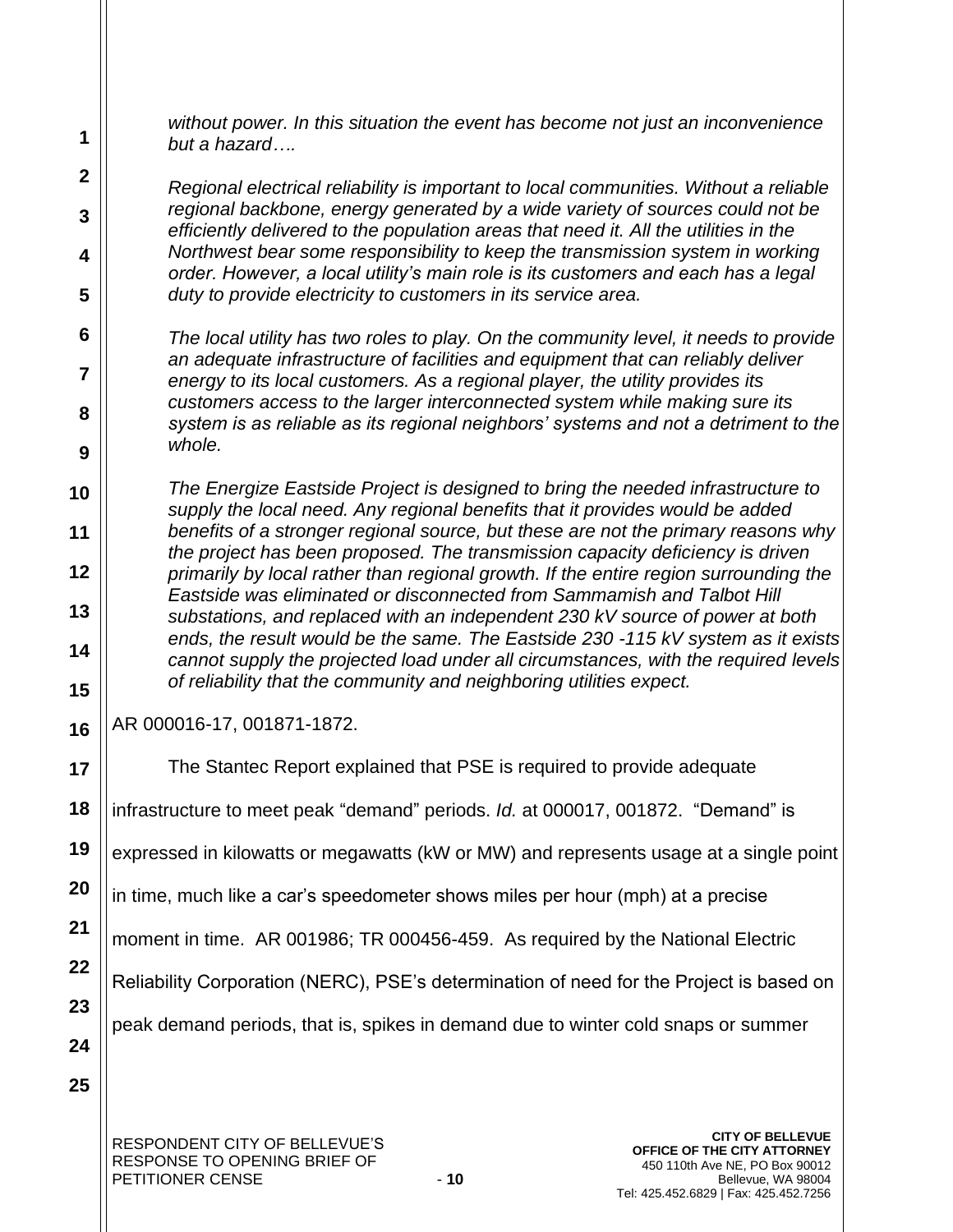*without power. In this situation the event has become not just an inconvenience but a hazard….*

*Regional electrical reliability is important to local communities. Without a reliable regional backbone, energy generated by a wide variety of sources could not be efficiently delivered to the population areas that need it. All the utilities in the Northwest bear some responsibility to keep the transmission system in working order. However, a local utility's main role is its customers and each has a legal duty to provide electricity to customers in its service area.*

*The local utility has two roles to play. On the community level, it needs to provide an adequate infrastructure of facilities and equipment that can reliably deliver energy to its local customers. As a regional player, the utility provides its customers access to the larger interconnected system while making sure its system is as reliable as its regional neighbors' systems and not a detriment to the whole.*

*The Energize Eastside Project is designed to bring the needed infrastructure to supply the local need. Any regional benefits that it provides would be added benefits of a stronger regional source, but these are not the primary reasons why the project has been proposed. The transmission capacity deficiency is driven primarily by local rather than regional growth. If the entire region surrounding the Eastside was eliminated or disconnected from Sammamish and Talbot Hill substations, and replaced with an independent 230 kV source of power at both ends, the result would be the same. The Eastside 230 -115 kV system as it exists cannot supply the projected load under all circumstances, with the required levels of reliability that the community and neighboring utilities expect.*

AR 000016-17, 001871-1872.

**1**

**2**

**3**

**4**

**5**

**6**

**7**

**8**

**9**

**10**

**11**

**12**

**13**

**14**

**15**

**16**

**21**

**17 18 19 20 22 23 24 25** The Stantec Report explained that PSE is required to provide adequate infrastructure to meet peak "demand" periods. *Id.* at 000017, 001872. "Demand" is expressed in kilowatts or megawatts (kW or MW) and represents usage at a single point in time, much like a car's speedometer shows miles per hour (mph) at a precise moment in time. AR 001986; TR 000456-459. As required by the National Electric Reliability Corporation (NERC), PSE's determination of need for the Project is based on peak demand periods, that is, spikes in demand due to winter cold snaps or summer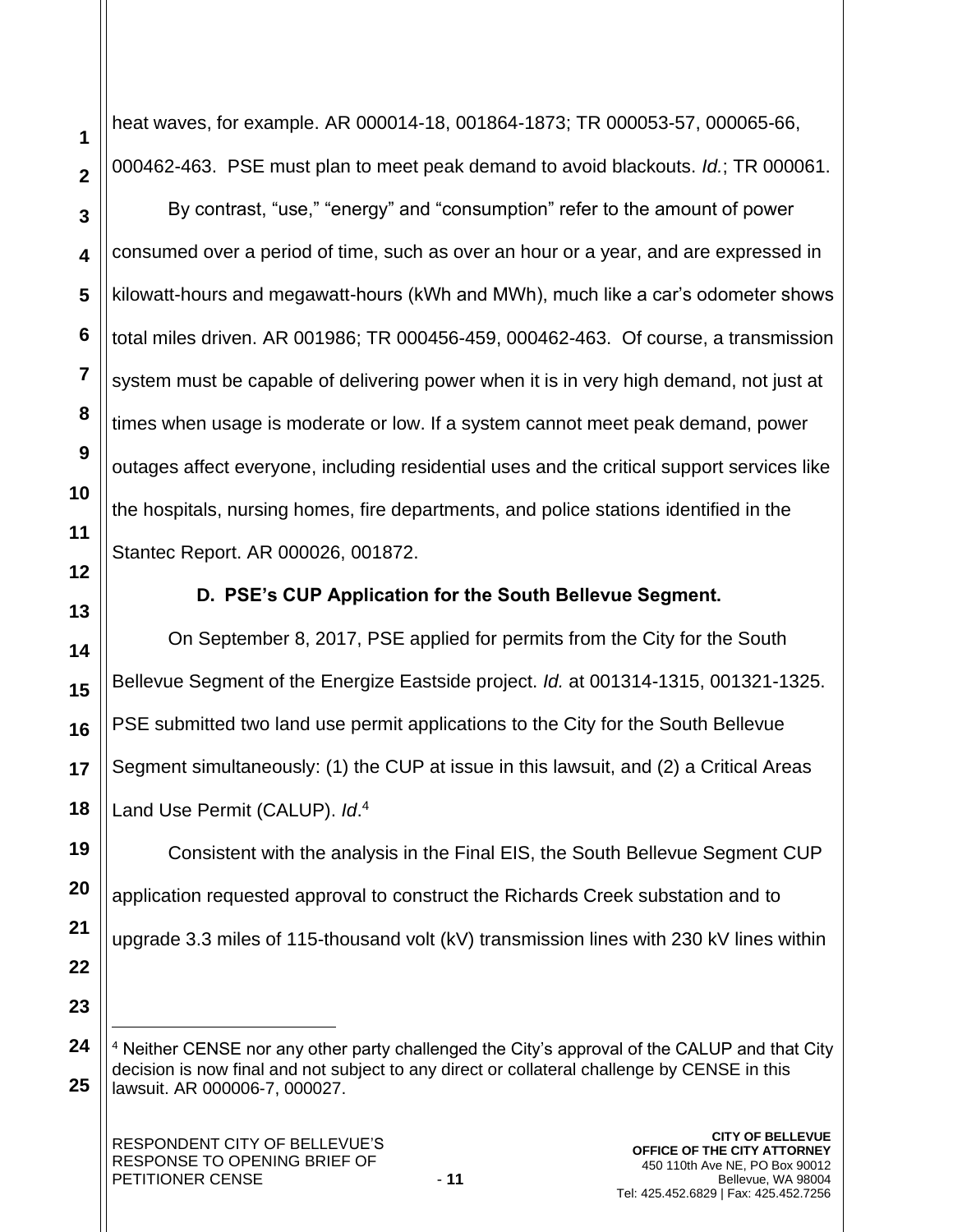heat waves, for example. AR 000014-18, 001864-1873; TR 000053-57, 000065-66, 000462-463. PSE must plan to meet peak demand to avoid blackouts. *Id.*; TR 000061.

By contrast, "use," "energy" and "consumption" refer to the amount of power consumed over a period of time, such as over an hour or a year, and are expressed in kilowatt-hours and megawatt-hours (kWh and MWh), much like a car's odometer shows total miles driven. AR 001986; TR 000456-459, 000462-463. Of course, a transmission system must be capable of delivering power when it is in very high demand, not just at times when usage is moderate or low. If a system cannot meet peak demand, power outages affect everyone, including residential uses and the critical support services like the hospitals, nursing homes, fire departments, and police stations identified in the Stantec Report. AR 000026, 001872.

# **D. PSE's CUP Application for the South Bellevue Segment.**

On September 8, 2017, PSE applied for permits from the City for the South Bellevue Segment of the Energize Eastside project. *Id.* at 001314-1315, 001321-1325. PSE submitted two land use permit applications to the City for the South Bellevue Segment simultaneously: (1) the CUP at issue in this lawsuit, and (2) a Critical Areas Land Use Permit (CALUP). *Id*. 4

Consistent with the analysis in the Final EIS, the South Bellevue Segment CUP application requested approval to construct the Richards Creek substation and to upgrade 3.3 miles of 115-thousand volt (kV) transmission lines with 230 kV lines within

<sup>4</sup> Neither CENSE nor any other party challenged the City's approval of the CALUP and that City decision is now final and not subject to any direct or collateral challenge by CENSE in this lawsuit. AR 000006-7, 000027.

**1**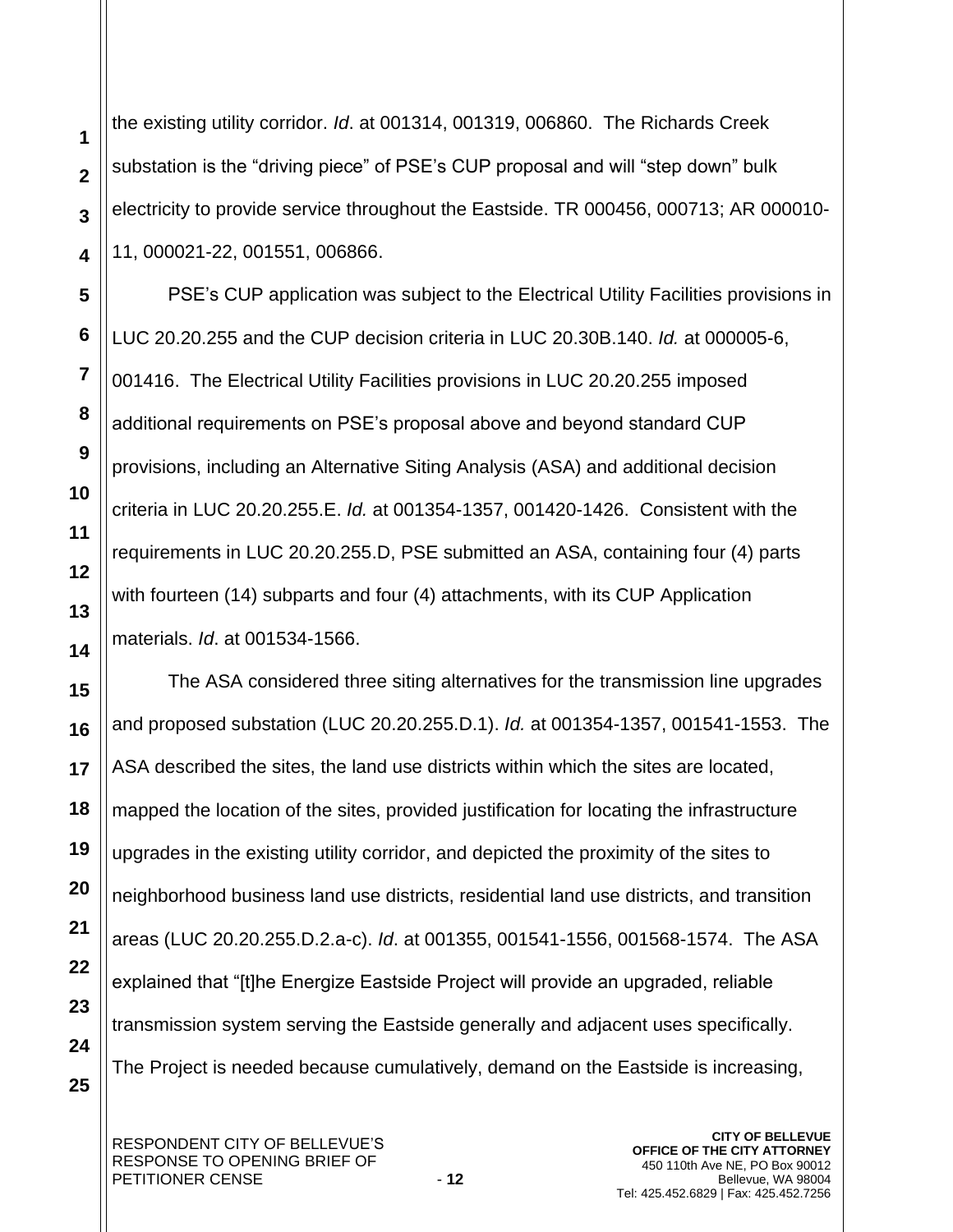the existing utility corridor. *Id*. at 001314, 001319, 006860. The Richards Creek substation is the "driving piece" of PSE's CUP proposal and will "step down" bulk electricity to provide service throughout the Eastside. TR 000456, 000713; AR 000010- 11, 000021-22, 001551, 006866.

PSE's CUP application was subject to the Electrical Utility Facilities provisions in LUC 20.20.255 and the CUP decision criteria in LUC 20.30B.140. *Id.* at 000005-6, 001416. The Electrical Utility Facilities provisions in LUC 20.20.255 imposed additional requirements on PSE's proposal above and beyond standard CUP provisions, including an Alternative Siting Analysis (ASA) and additional decision criteria in LUC 20.20.255.E. *Id.* at 001354-1357, 001420-1426. Consistent with the requirements in LUC 20.20.255.D, PSE submitted an ASA, containing four (4) parts with fourteen (14) subparts and four (4) attachments, with its CUP Application materials. *Id*. at 001534-1566.

The ASA considered three siting alternatives for the transmission line upgrades and proposed substation (LUC 20.20.255.D.1). *Id.* at 001354-1357, 001541-1553. The ASA described the sites, the land use districts within which the sites are located, mapped the location of the sites, provided justification for locating the infrastructure upgrades in the existing utility corridor, and depicted the proximity of the sites to neighborhood business land use districts, residential land use districts, and transition areas (LUC 20.20.255.D.2.a-c). *Id*. at 001355, 001541-1556, 001568-1574. The ASA explained that "[t]he Energize Eastside Project will provide an upgraded, reliable transmission system serving the Eastside generally and adjacent uses specifically. The Project is needed because cumulatively, demand on the Eastside is increasing,

**1**

**2**

**3**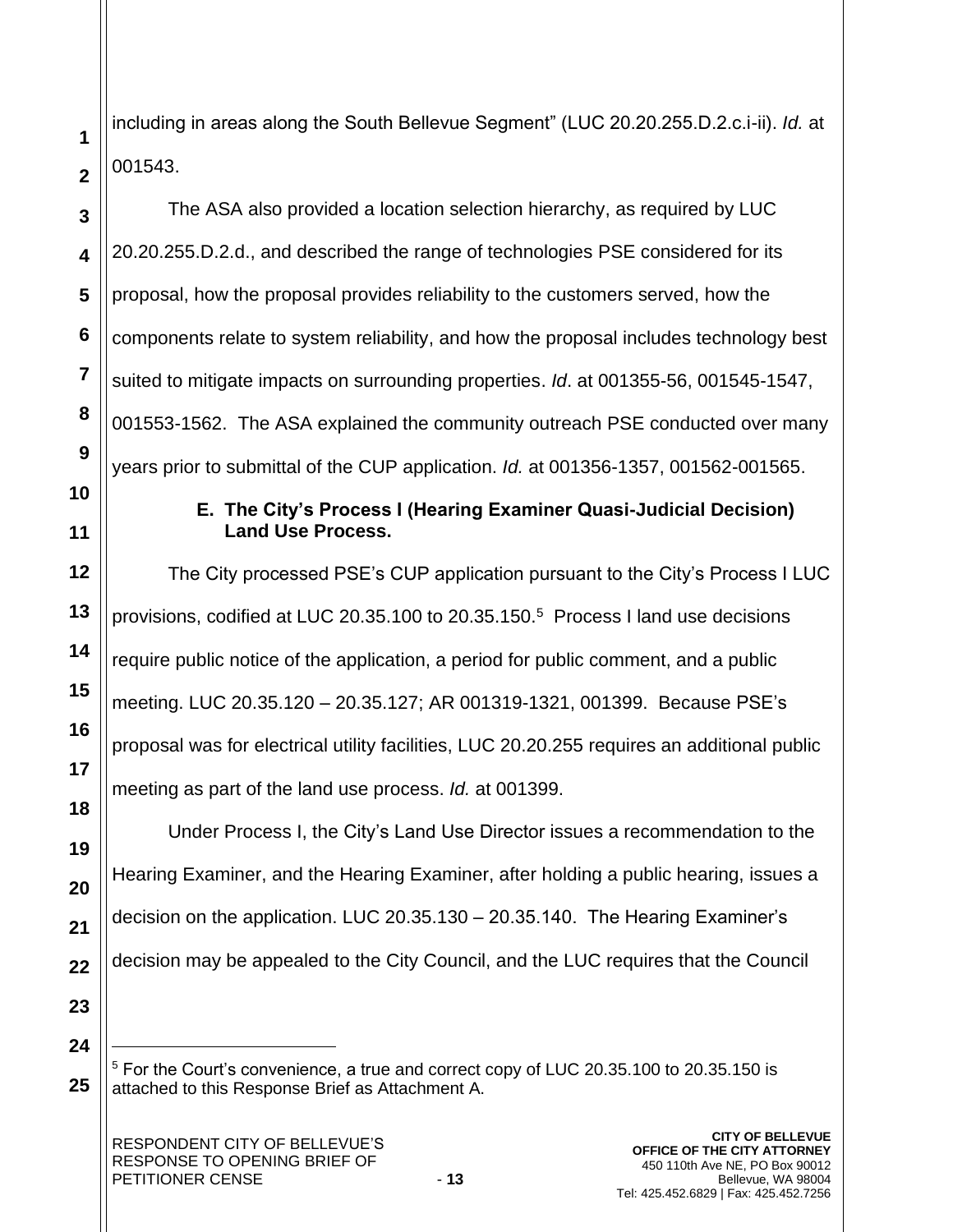including in areas along the South Bellevue Segment" (LUC 20.20.255.D.2.c.i-ii). *Id.* at 001543.

The ASA also provided a location selection hierarchy, as required by LUC 20.20.255.D.2.d., and described the range of technologies PSE considered for its proposal, how the proposal provides reliability to the customers served, how the components relate to system reliability, and how the proposal includes technology best suited to mitigate impacts on surrounding properties. *Id*. at 001355-56, 001545-1547, 001553-1562. The ASA explained the community outreach PSE conducted over many years prior to submittal of the CUP application. *Id.* at 001356-1357, 001562-001565.

# **E. The City's Process I (Hearing Examiner Quasi-Judicial Decision) Land Use Process.**

The City processed PSE's CUP application pursuant to the City's Process I LUC provisions, codified at LUC 20.35.100 to 20.35.150.<sup>5</sup> Process I land use decisions require public notice of the application, a period for public comment, and a public meeting. LUC 20.35.120 – 20.35.127; AR 001319-1321, 001399. Because PSE's proposal was for electrical utility facilities, LUC 20.20.255 requires an additional public meeting as part of the land use process. *Id.* at 001399.

Under Process I, the City's Land Use Director issues a recommendation to the Hearing Examiner, and the Hearing Examiner, after holding a public hearing, issues a decision on the application. LUC 20.35.130 – 20.35.140. The Hearing Examiner's decision may be appealed to the City Council, and the LUC requires that the Council

**23 24**

**25**

**1**

**2**

**3**

**4**

**5**

**6**

**7**

**8**

**9**

**10**

**11**

**12**

**13**

**14**

**15**

**16**

**17**

**18**

**19**

**20**

**21**

<sup>5</sup> For the Court's convenience, a true and correct copy of LUC 20.35.100 to 20.35.150 is attached to this Response Brief as Attachment A.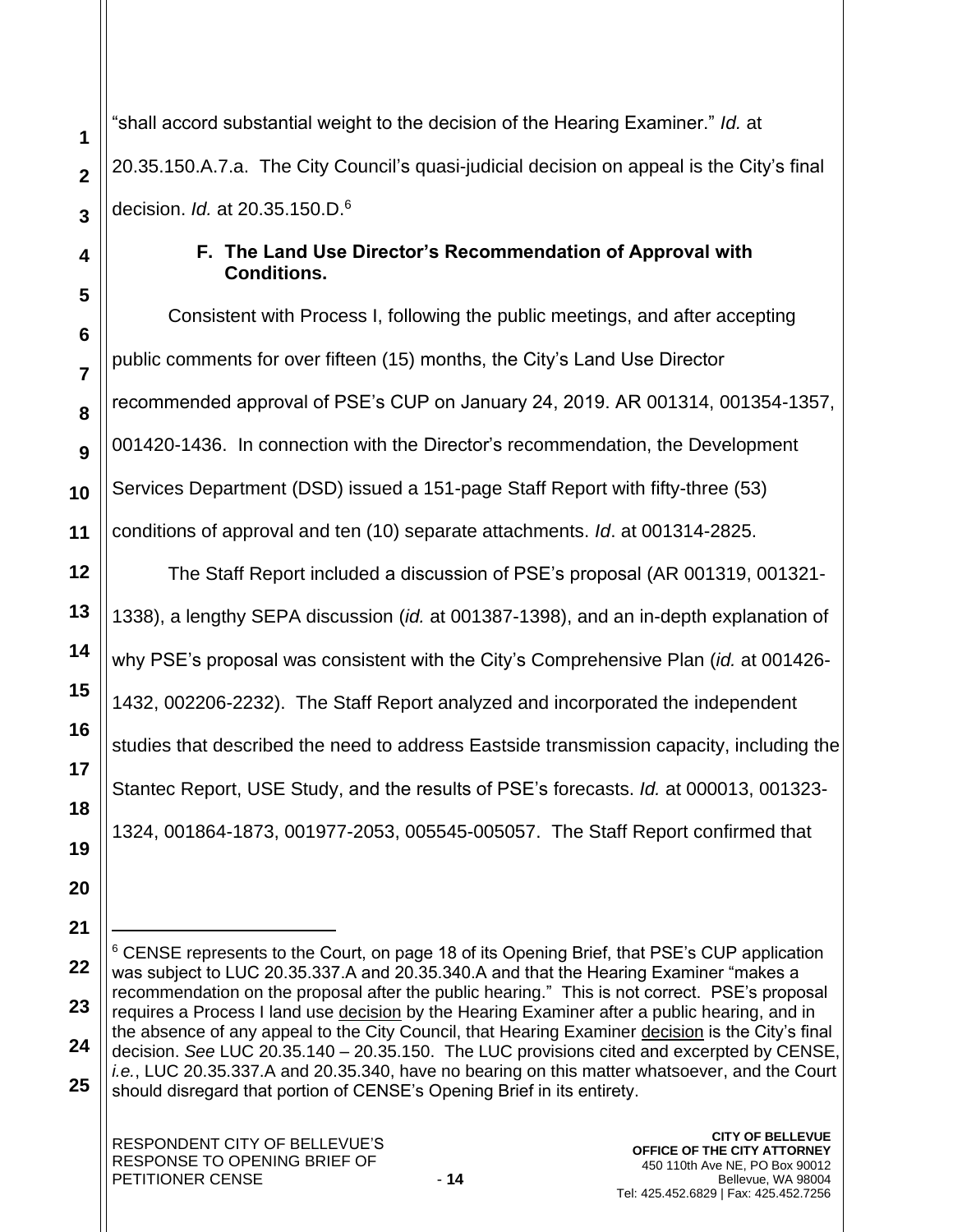"shall accord substantial weight to the decision of the Hearing Examiner." *Id.* at 20.35.150.A.7.a. The City Council's quasi-judicial decision on appeal is the City's final decision. *Id.* at 20.35.150.D.<sup>6</sup>

# **F. The Land Use Director's Recommendation of Approval with Conditions.**

Consistent with Process I, following the public meetings, and after accepting public comments for over fifteen (15) months, the City's Land Use Director recommended approval of PSE's CUP on January 24, 2019. AR 001314, 001354-1357, 001420-1436. In connection with the Director's recommendation, the Development Services Department (DSD) issued a 151-page Staff Report with fifty-three (53) conditions of approval and ten (10) separate attachments. *Id*. at 001314-2825.

The Staff Report included a discussion of PSE's proposal (AR 001319, 001321- 1338), a lengthy SEPA discussion (*id.* at 001387-1398), and an in-depth explanation of why PSE's proposal was consistent with the City's Comprehensive Plan (*id.* at 001426- 1432, 002206-2232). The Staff Report analyzed and incorporated the independent studies that described the need to address Eastside transmission capacity, including the Stantec Report, USE Study, and the results of PSE's forecasts. *Id.* at 000013, 001323- 1324, 001864-1873, 001977-2053, 005545-005057. The Staff Report confirmed that

**1**

**2**

**3**

**4**

**5**

**6**

**7**

**8**

**9**

**10**

**11**

**12**

**13**

**14**

**15**

**16**

**17**

**18**

**19**

**20**

**<sup>22</sup> 23 24 25**  $6$  CENSE represents to the Court, on page 18 of its Opening Brief, that PSE's CUP application was subject to LUC 20.35.337.A and 20.35.340.A and that the Hearing Examiner "makes a recommendation on the proposal after the public hearing." This is not correct. PSE's proposal requires a Process I land use decision by the Hearing Examiner after a public hearing, and in the absence of any appeal to the City Council, that Hearing Examiner decision is the City's final decision. *See* LUC 20.35.140 – 20.35.150. The LUC provisions cited and excerpted by CENSE, *i.e.*, LUC 20.35.337.A and 20.35.340, have no bearing on this matter whatsoever, and the Court should disregard that portion of CENSE's Opening Brief in its entirety.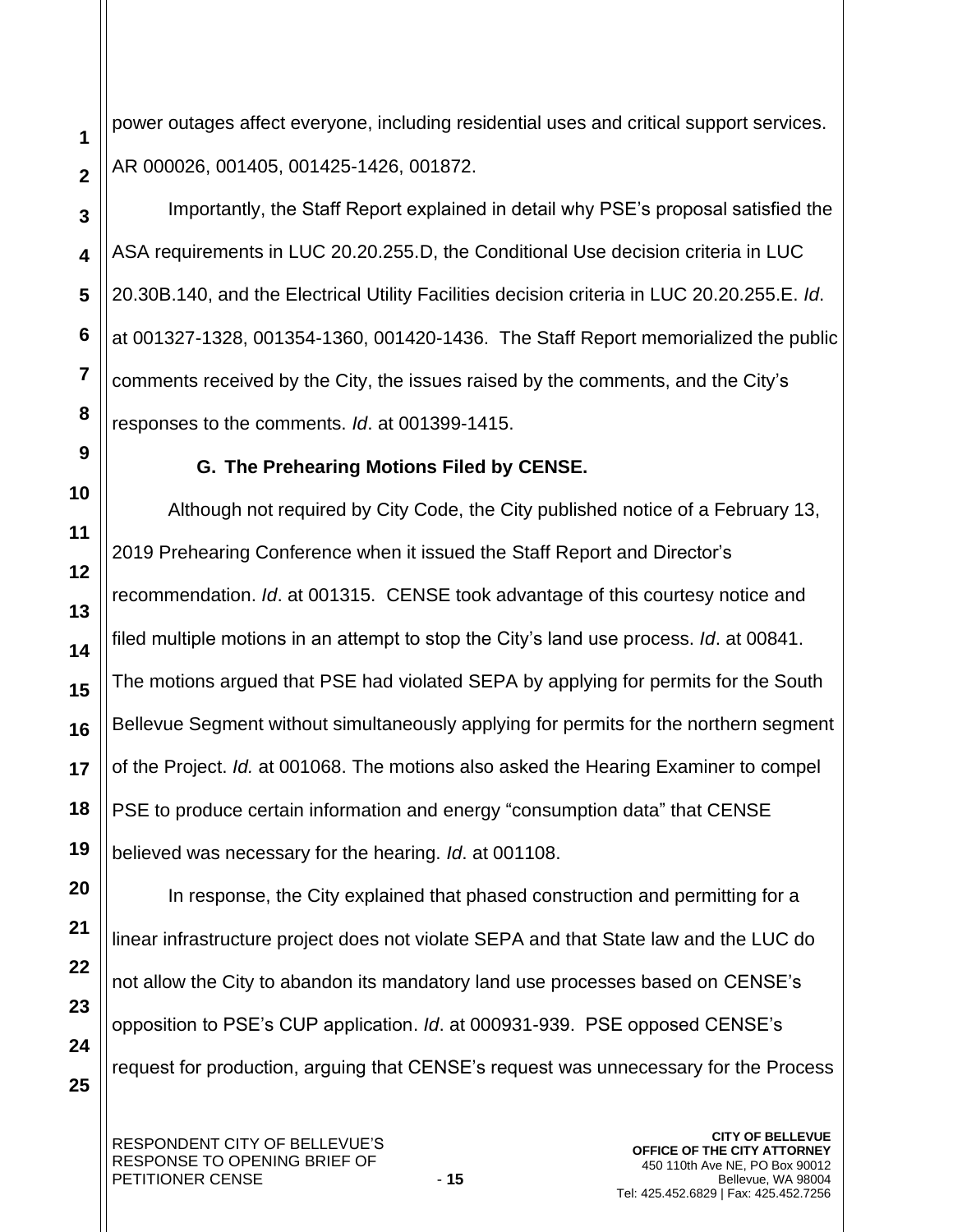power outages affect everyone, including residential uses and critical support services. AR 000026, 001405, 001425-1426, 001872.

Importantly, the Staff Report explained in detail why PSE's proposal satisfied the ASA requirements in LUC 20.20.255.D, the Conditional Use decision criteria in LUC 20.30B.140, and the Electrical Utility Facilities decision criteria in LUC 20.20.255.E. *Id*. at 001327-1328, 001354-1360, 001420-1436. The Staff Report memorialized the public comments received by the City, the issues raised by the comments, and the City's responses to the comments. *Id*. at 001399-1415.

**G. The Prehearing Motions Filed by CENSE.** 

Although not required by City Code, the City published notice of a February 13, 2019 Prehearing Conference when it issued the Staff Report and Director's recommendation. *Id*. at 001315. CENSE took advantage of this courtesy notice and filed multiple motions in an attempt to stop the City's land use process. *Id*. at 00841. The motions argued that PSE had violated SEPA by applying for permits for the South Bellevue Segment without simultaneously applying for permits for the northern segment of the Project. *Id.* at 001068. The motions also asked the Hearing Examiner to compel PSE to produce certain information and energy "consumption data" that CENSE believed was necessary for the hearing. *Id*. at 001108.

In response, the City explained that phased construction and permitting for a linear infrastructure project does not violate SEPA and that State law and the LUC do not allow the City to abandon its mandatory land use processes based on CENSE's opposition to PSE's CUP application. *Id*. at 000931-939. PSE opposed CENSE's request for production, arguing that CENSE's request was unnecessary for the Process

**1**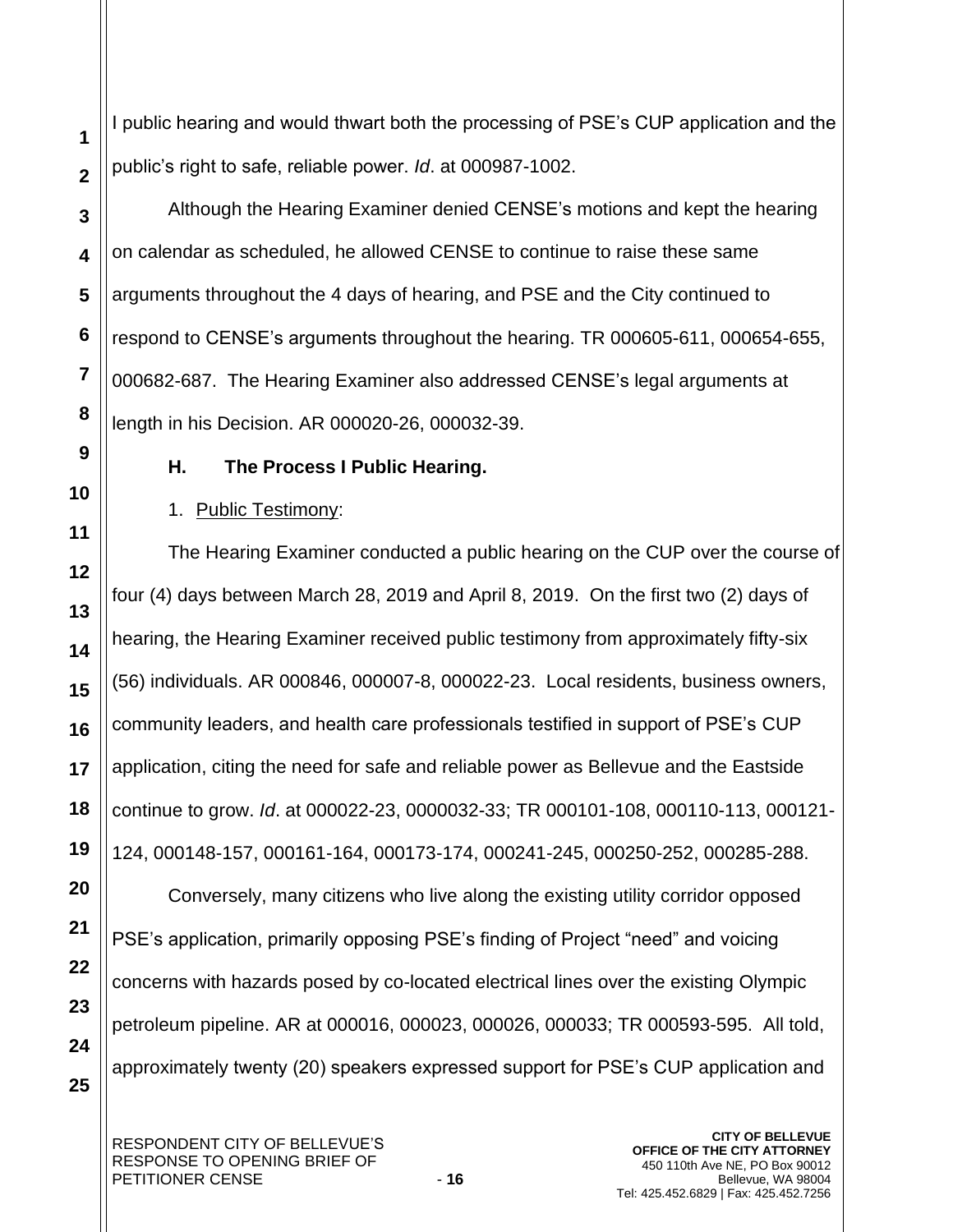I public hearing and would thwart both the processing of PSE's CUP application and the public's right to safe, reliable power. *Id*. at 000987-1002.

Although the Hearing Examiner denied CENSE's motions and kept the hearing on calendar as scheduled, he allowed CENSE to continue to raise these same arguments throughout the 4 days of hearing, and PSE and the City continued to respond to CENSE's arguments throughout the hearing. TR 000605-611, 000654-655, 000682-687. The Hearing Examiner also addressed CENSE's legal arguments at length in his Decision. AR 000020-26, 000032-39.

# **H. The Process I Public Hearing.**

# 1. Public Testimony:

The Hearing Examiner conducted a public hearing on the CUP over the course of four (4) days between March 28, 2019 and April 8, 2019. On the first two (2) days of hearing, the Hearing Examiner received public testimony from approximately fifty-six (56) individuals. AR 000846, 000007-8, 000022-23. Local residents, business owners, community leaders, and health care professionals testified in support of PSE's CUP application, citing the need for safe and reliable power as Bellevue and the Eastside continue to grow. *Id*. at 000022-23, 0000032-33; TR 000101-108, 000110-113, 000121- 124, 000148-157, 000161-164, 000173-174, 000241-245, 000250-252, 000285-288.

Conversely, many citizens who live along the existing utility corridor opposed PSE's application, primarily opposing PSE's finding of Project "need" and voicing concerns with hazards posed by co-located electrical lines over the existing Olympic petroleum pipeline. AR at 000016, 000023, 000026, 000033; TR 000593-595. All told, approximately twenty (20) speakers expressed support for PSE's CUP application and

**25**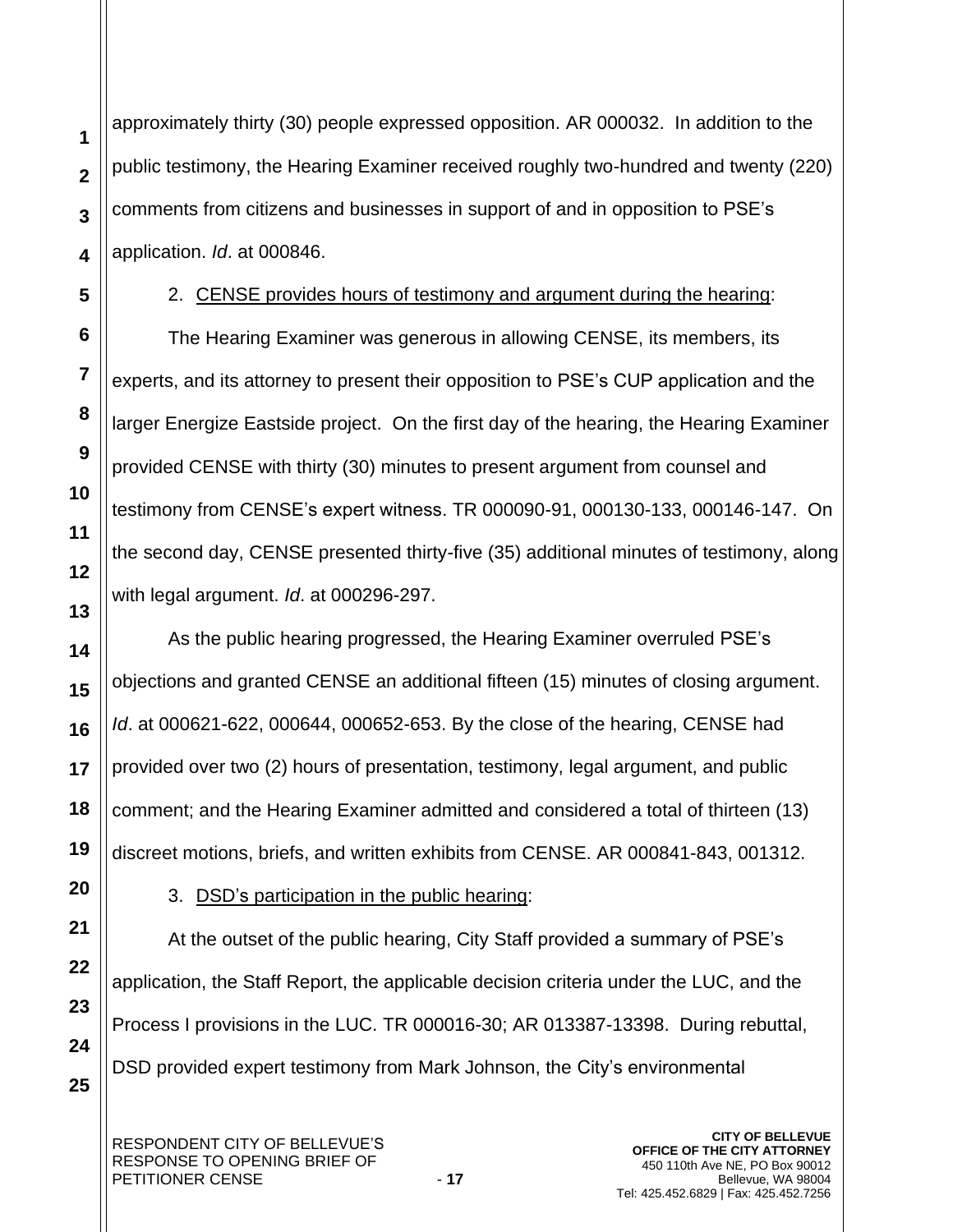approximately thirty (30) people expressed opposition. AR 000032. In addition to the public testimony, the Hearing Examiner received roughly two-hundred and twenty (220) comments from citizens and businesses in support of and in opposition to PSE's application. *Id*. at 000846.

**1**

**2**

**3**

**4**

**5**

**6**

**7**

**8**

**9**

**10**

**11**

**12**

**13**

**14**

**15**

**16**

**17**

**18**

**19**

**20**

**22**

**23**

**24**

**25**

# 2. CENSE provides hours of testimony and argument during the hearing:

The Hearing Examiner was generous in allowing CENSE, its members, its experts, and its attorney to present their opposition to PSE's CUP application and the larger Energize Eastside project. On the first day of the hearing, the Hearing Examiner provided CENSE with thirty (30) minutes to present argument from counsel and testimony from CENSE's expert witness. TR 000090-91, 000130-133, 000146-147. On the second day, CENSE presented thirty-five (35) additional minutes of testimony, along with legal argument. *Id*. at 000296-297.

As the public hearing progressed, the Hearing Examiner overruled PSE's objections and granted CENSE an additional fifteen (15) minutes of closing argument. *Id*. at 000621-622, 000644, 000652-653. By the close of the hearing, CENSE had provided over two (2) hours of presentation, testimony, legal argument, and public comment; and the Hearing Examiner admitted and considered a total of thirteen (13) discreet motions, briefs, and written exhibits from CENSE. AR 000841-843, 001312.

**21**

# 3. DSD's participation in the public hearing:

At the outset of the public hearing, City Staff provided a summary of PSE's application, the Staff Report, the applicable decision criteria under the LUC, and the Process I provisions in the LUC. TR 000016-30; AR 013387-13398. During rebuttal, DSD provided expert testimony from Mark Johnson, the City's environmental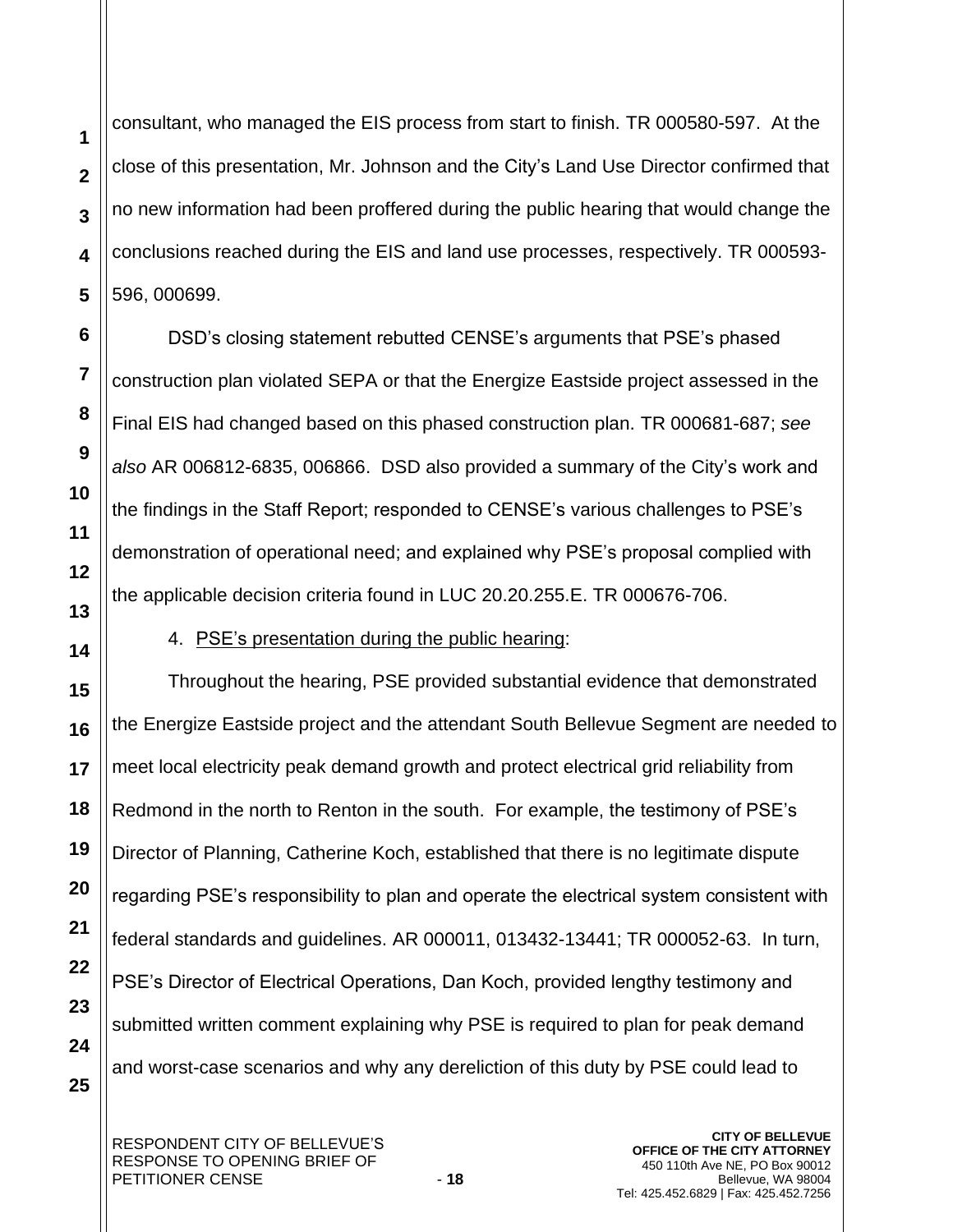consultant, who managed the EIS process from start to finish. TR 000580-597. At the close of this presentation, Mr. Johnson and the City's Land Use Director confirmed that no new information had been proffered during the public hearing that would change the conclusions reached during the EIS and land use processes, respectively. TR 000593- 596, 000699.

DSD's closing statement rebutted CENSE's arguments that PSE's phased construction plan violated SEPA or that the Energize Eastside project assessed in the Final EIS had changed based on this phased construction plan. TR 000681-687; *see also* AR 006812-6835, 006866. DSD also provided a summary of the City's work and the findings in the Staff Report; responded to CENSE's various challenges to PSE's demonstration of operational need; and explained why PSE's proposal complied with the applicable decision criteria found in LUC 20.20.255.E. TR 000676-706.

4. PSE's presentation during the public hearing:

Throughout the hearing, PSE provided substantial evidence that demonstrated the Energize Eastside project and the attendant South Bellevue Segment are needed to meet local electricity peak demand growth and protect electrical grid reliability from Redmond in the north to Renton in the south. For example, the testimony of PSE's Director of Planning, Catherine Koch, established that there is no legitimate dispute regarding PSE's responsibility to plan and operate the electrical system consistent with federal standards and guidelines. AR 000011, 013432-13441; TR 000052-63. In turn, PSE's Director of Electrical Operations, Dan Koch, provided lengthy testimony and submitted written comment explaining why PSE is required to plan for peak demand and worst-case scenarios and why any dereliction of this duty by PSE could lead to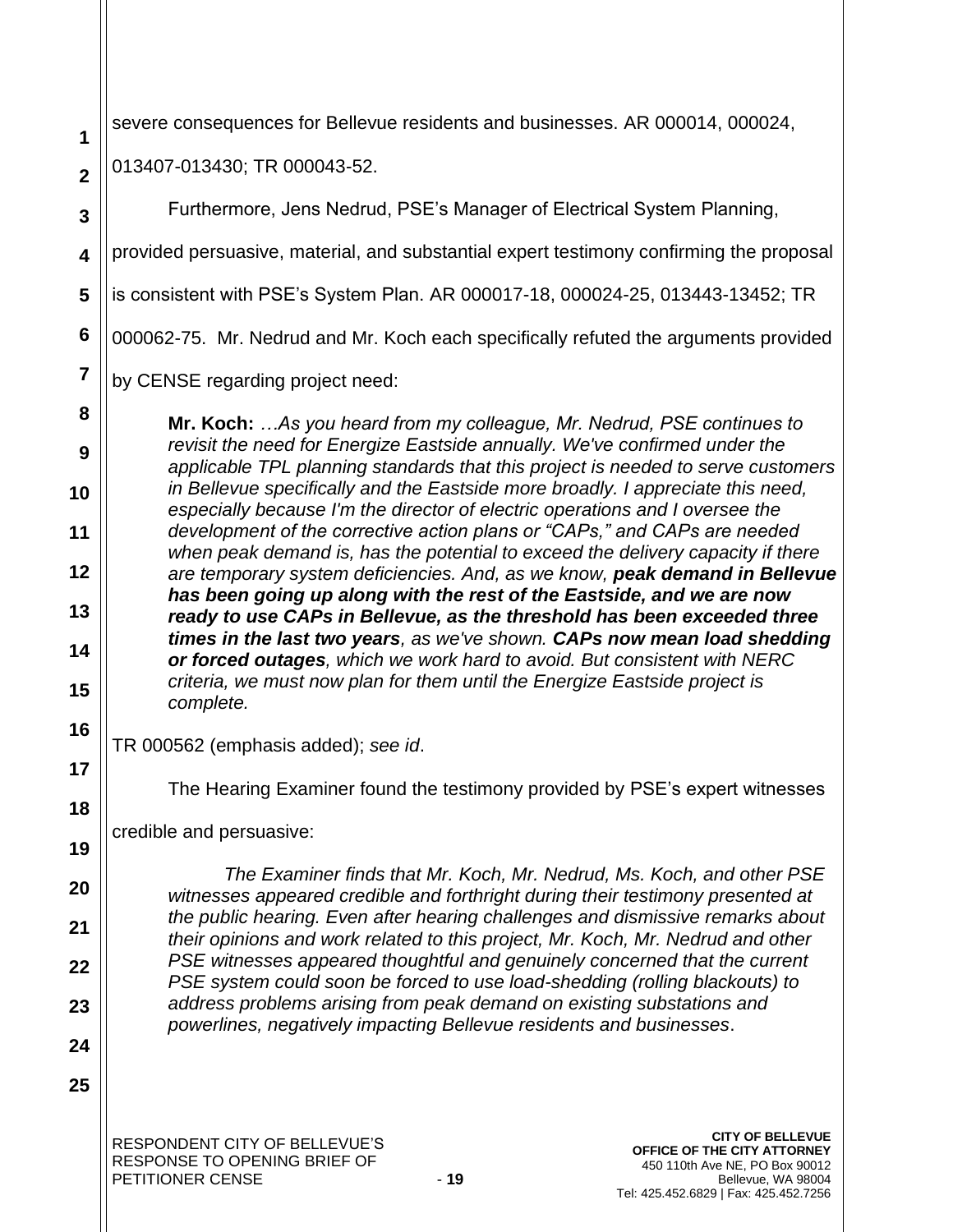| 1                       | severe consequences for Bellevue residents and businesses. AR 000014, 000024,                                                                                    |  |  |
|-------------------------|------------------------------------------------------------------------------------------------------------------------------------------------------------------|--|--|
| $\overline{2}$          | 013407-013430; TR 000043-52.                                                                                                                                     |  |  |
| 3                       | Furthermore, Jens Nedrud, PSE's Manager of Electrical System Planning,                                                                                           |  |  |
| $\overline{\mathbf{4}}$ | provided persuasive, material, and substantial expert testimony confirming the proposal                                                                          |  |  |
| 5                       | is consistent with PSE's System Plan. AR 000017-18, 000024-25, 013443-13452; TR                                                                                  |  |  |
| 6                       | 000062-75. Mr. Nedrud and Mr. Koch each specifically refuted the arguments provided                                                                              |  |  |
| 7                       | by CENSE regarding project need:                                                                                                                                 |  |  |
| 8                       | Mr. Koch: As you heard from my colleague, Mr. Nedrud, PSE continues to                                                                                           |  |  |
| 9                       | revisit the need for Energize Eastside annually. We've confirmed under the<br>applicable TPL planning standards that this project is needed to serve customers   |  |  |
| 10                      | in Bellevue specifically and the Eastside more broadly. I appreciate this need,<br>especially because I'm the director of electric operations and I oversee the  |  |  |
| 11                      | development of the corrective action plans or "CAPs," and CAPs are needed<br>when peak demand is, has the potential to exceed the delivery capacity if there     |  |  |
| 12                      | are temporary system deficiencies. And, as we know, peak demand in Bellevue<br>has been going up along with the rest of the Eastside, and we are now             |  |  |
| 13                      | ready to use CAPs in Bellevue, as the threshold has been exceeded three<br>times in the last two years, as we've shown. CAPs now mean load shedding              |  |  |
| 14                      | or forced outages, which we work hard to avoid. But consistent with NERC<br>criteria, we must now plan for them until the Energize Eastside project is           |  |  |
| 15                      | complete.                                                                                                                                                        |  |  |
| 16<br>17                | TR 000562 (emphasis added); see id.                                                                                                                              |  |  |
| 18                      | The Hearing Examiner found the testimony provided by PSE's expert witnesses                                                                                      |  |  |
| 19                      | credible and persuasive:                                                                                                                                         |  |  |
| 20                      | The Examiner finds that Mr. Koch, Mr. Nedrud, Ms. Koch, and other PSE                                                                                            |  |  |
| 21                      | witnesses appeared credible and forthright during their testimony presented at<br>the public hearing. Even after hearing challenges and dismissive remarks about |  |  |
| 22                      | their opinions and work related to this project, Mr. Koch, Mr. Nedrud and other<br>PSE witnesses appeared thoughtful and genuinely concerned that the current    |  |  |
| 23                      | PSE system could soon be forced to use load-shedding (rolling blackouts) to<br>address problems arising from peak demand on existing substations and             |  |  |
| 24                      | powerlines, negatively impacting Bellevue residents and businesses.                                                                                              |  |  |
| 25                      |                                                                                                                                                                  |  |  |
|                         | <b>CITY OF BELLEVUE</b><br>RESPONDENT CITY OF BELLEVUE'S<br>OFFICE OF THE CITY ATTORNEY<br>RESPONSE TO OPENING BRIEF OF<br>450 110th Ave NE, PO Box 90012        |  |  |

450 110th Ave NE, PO Box 90012 Bellevue, WA 98004 Tel: 425.452.6829 | Fax: 425.452.7256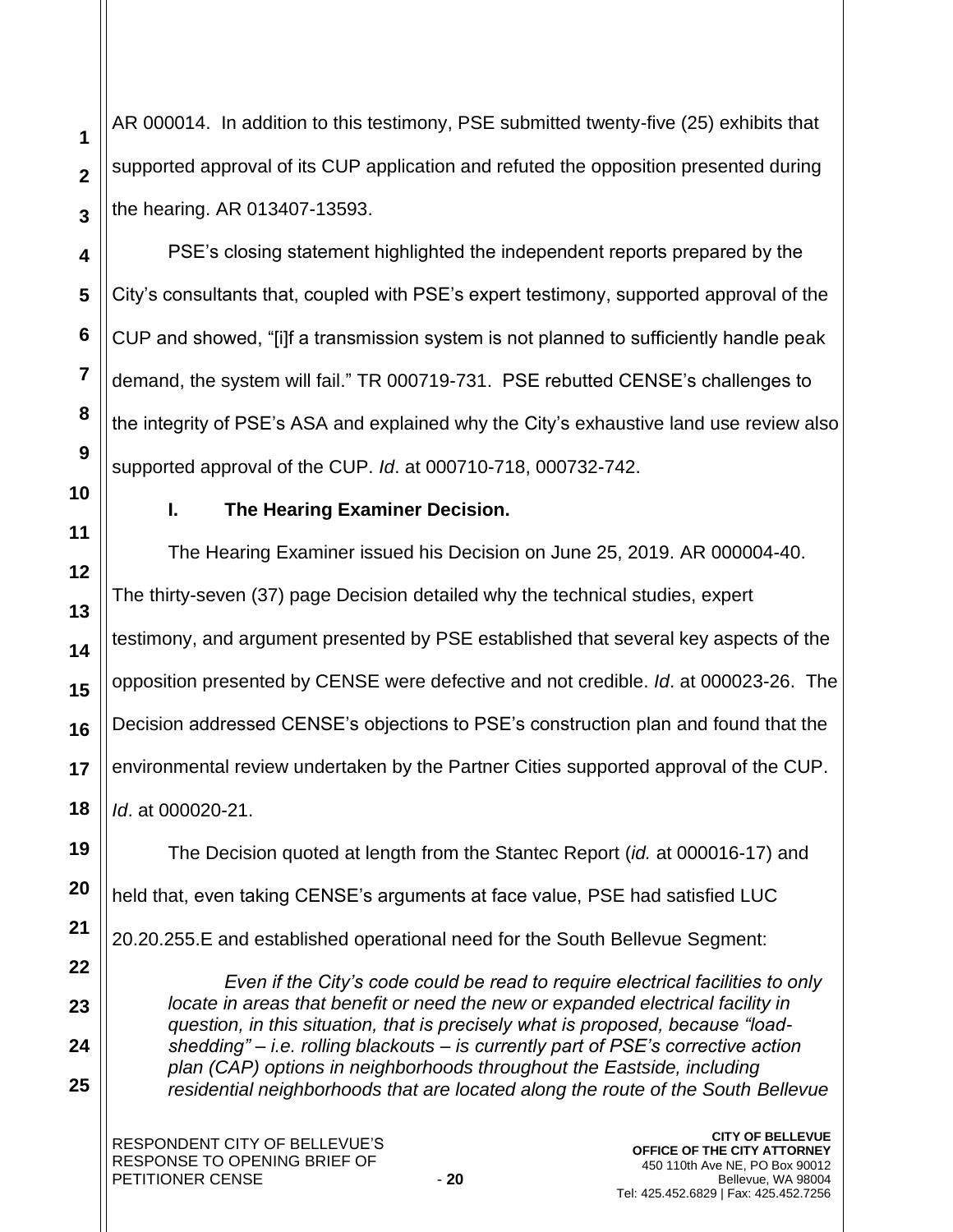AR 000014. In addition to this testimony, PSE submitted twenty-five (25) exhibits that supported approval of its CUP application and refuted the opposition presented during the hearing. AR 013407-13593.

PSE's closing statement highlighted the independent reports prepared by the City's consultants that, coupled with PSE's expert testimony, supported approval of the CUP and showed, "[i]f a transmission system is not planned to sufficiently handle peak demand, the system will fail." TR 000719-731. PSE rebutted CENSE's challenges to the integrity of PSE's ASA and explained why the City's exhaustive land use review also supported approval of the CUP. *Id*. at 000710-718, 000732-742.

**1**

**2**

**3**

**4**

**5**

**6**

**7**

**8**

**9**

**10**

**11**

**12**

**13**

**14**

**15**

**16**

**17**

**18**

**19**

**20**

**21**

**22**

**23**

**24**

**25**

# **I. The Hearing Examiner Decision.**

The Hearing Examiner issued his Decision on June 25, 2019. AR 000004-40. The thirty-seven (37) page Decision detailed why the technical studies, expert testimony, and argument presented by PSE established that several key aspects of the opposition presented by CENSE were defective and not credible. *Id*. at 000023-26. The Decision addressed CENSE's objections to PSE's construction plan and found that the environmental review undertaken by the Partner Cities supported approval of the CUP. *Id*. at 000020-21.

The Decision quoted at length from the Stantec Report (*id.* at 000016-17) and held that, even taking CENSE's arguments at face value, PSE had satisfied LUC 20.20.255.E and established operational need for the South Bellevue Segment:

*Even if the City's code could be read to require electrical facilities to only locate in areas that benefit or need the new or expanded electrical facility in question, in this situation, that is precisely what is proposed, because "loadshedding" – i.e. rolling blackouts – is currently part of PSE's corrective action plan (CAP) options in neighborhoods throughout the Eastside, including residential neighborhoods that are located along the route of the South Bellevue*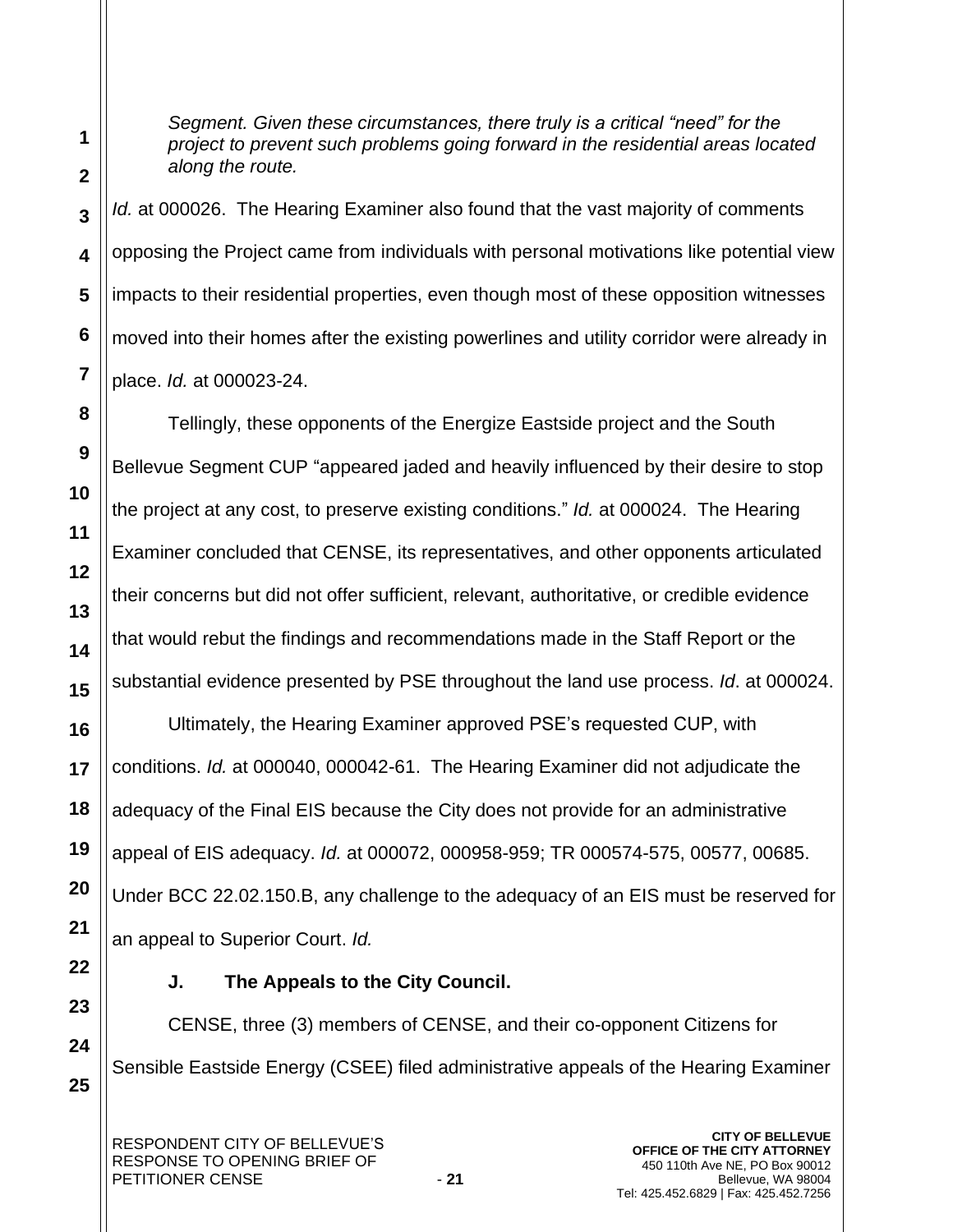*Segment. Given these circumstances, there truly is a critical "need" for the project to prevent such problems going forward in the residential areas located along the route.*

*Id.* at 000026. The Hearing Examiner also found that the vast majority of comments opposing the Project came from individuals with personal motivations like potential view impacts to their residential properties, even though most of these opposition witnesses moved into their homes after the existing powerlines and utility corridor were already in place. *Id.* at 000023-24.

Tellingly, these opponents of the Energize Eastside project and the South Bellevue Segment CUP "appeared jaded and heavily influenced by their desire to stop the project at any cost, to preserve existing conditions." *Id.* at 000024. The Hearing Examiner concluded that CENSE, its representatives, and other opponents articulated their concerns but did not offer sufficient, relevant, authoritative, or credible evidence that would rebut the findings and recommendations made in the Staff Report or the substantial evidence presented by PSE throughout the land use process. *Id*. at 000024.

Ultimately, the Hearing Examiner approved PSE's requested CUP, with conditions. *Id.* at 000040, 000042-61. The Hearing Examiner did not adjudicate the adequacy of the Final EIS because the City does not provide for an administrative appeal of EIS adequacy. *Id.* at 000072, 000958-959; TR 000574-575, 00577, 00685. Under BCC 22.02.150.B, any challenge to the adequacy of an EIS must be reserved for an appeal to Superior Court. *Id.*

# **J. The Appeals to the City Council.**

CENSE, three (3) members of CENSE, and their co-opponent Citizens for Sensible Eastside Energy (CSEE) filed administrative appeals of the Hearing Examiner

**1**

**2**

**3**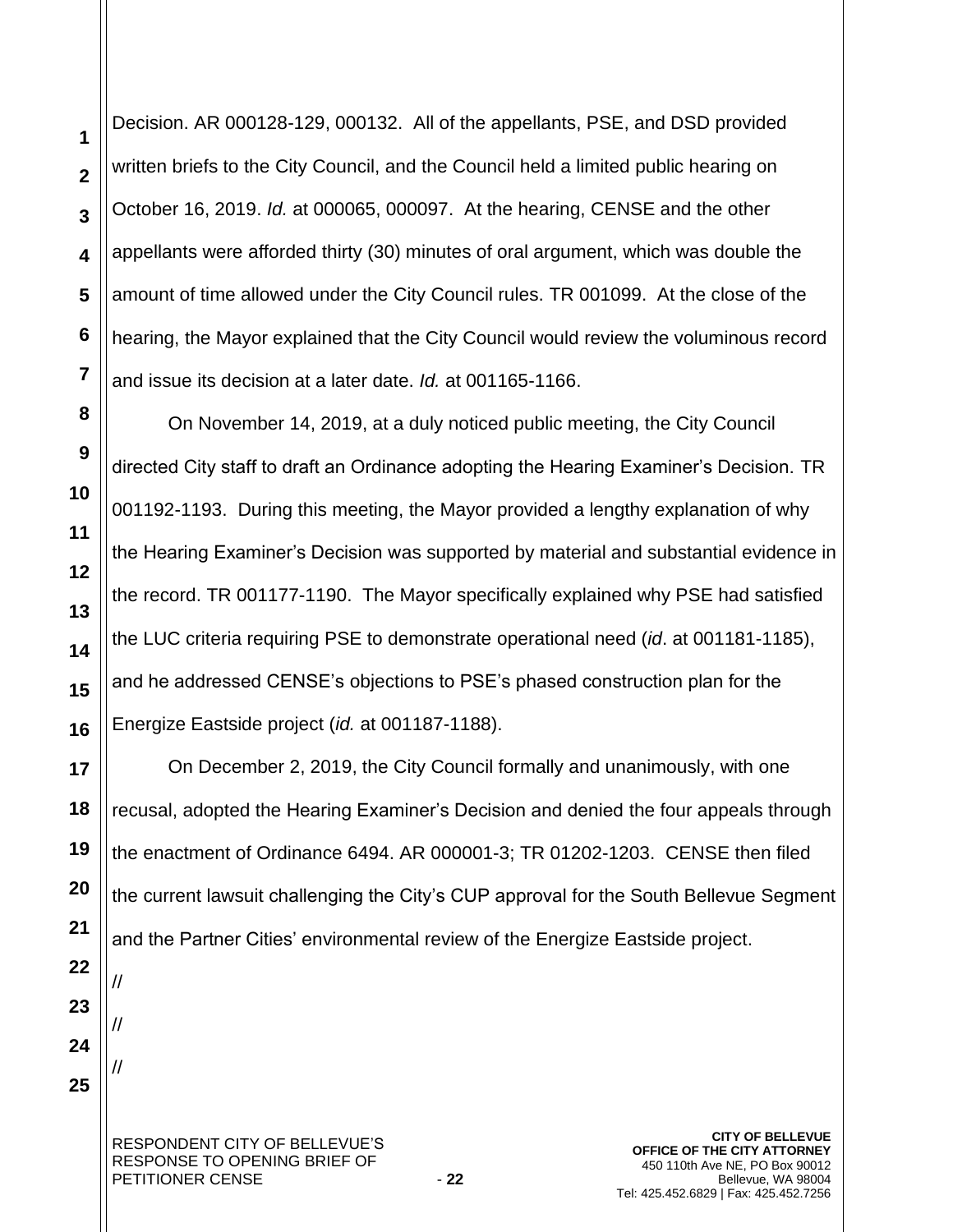Decision. AR 000128-129, 000132. All of the appellants, PSE, and DSD provided written briefs to the City Council, and the Council held a limited public hearing on October 16, 2019. *Id.* at 000065, 000097. At the hearing, CENSE and the other appellants were afforded thirty (30) minutes of oral argument, which was double the amount of time allowed under the City Council rules. TR 001099. At the close of the hearing, the Mayor explained that the City Council would review the voluminous record and issue its decision at a later date. *Id.* at 001165-1166.

On November 14, 2019, at a duly noticed public meeting, the City Council directed City staff to draft an Ordinance adopting the Hearing Examiner's Decision. TR 001192-1193. During this meeting, the Mayor provided a lengthy explanation of why the Hearing Examiner's Decision was supported by material and substantial evidence in the record. TR 001177-1190. The Mayor specifically explained why PSE had satisfied the LUC criteria requiring PSE to demonstrate operational need (*id*. at 001181-1185), and he addressed CENSE's objections to PSE's phased construction plan for the Energize Eastside project (*id.* at 001187-1188).

On December 2, 2019, the City Council formally and unanimously, with one recusal, adopted the Hearing Examiner's Decision and denied the four appeals through the enactment of Ordinance 6494. AR 000001-3; TR 01202-1203. CENSE then filed the current lawsuit challenging the City's CUP approval for the South Bellevue Segment and the Partner Cities' environmental review of the Energize Eastside project.

**24 25**

**1**

**2**

**3**

**4**

**5**

**6**

**7**

**8**

**9**

**10**

**11**

**12**

**13**

**14**

**15**

**16**

**17**

**18**

**19**

**20**

**21**

**22**

//

//

//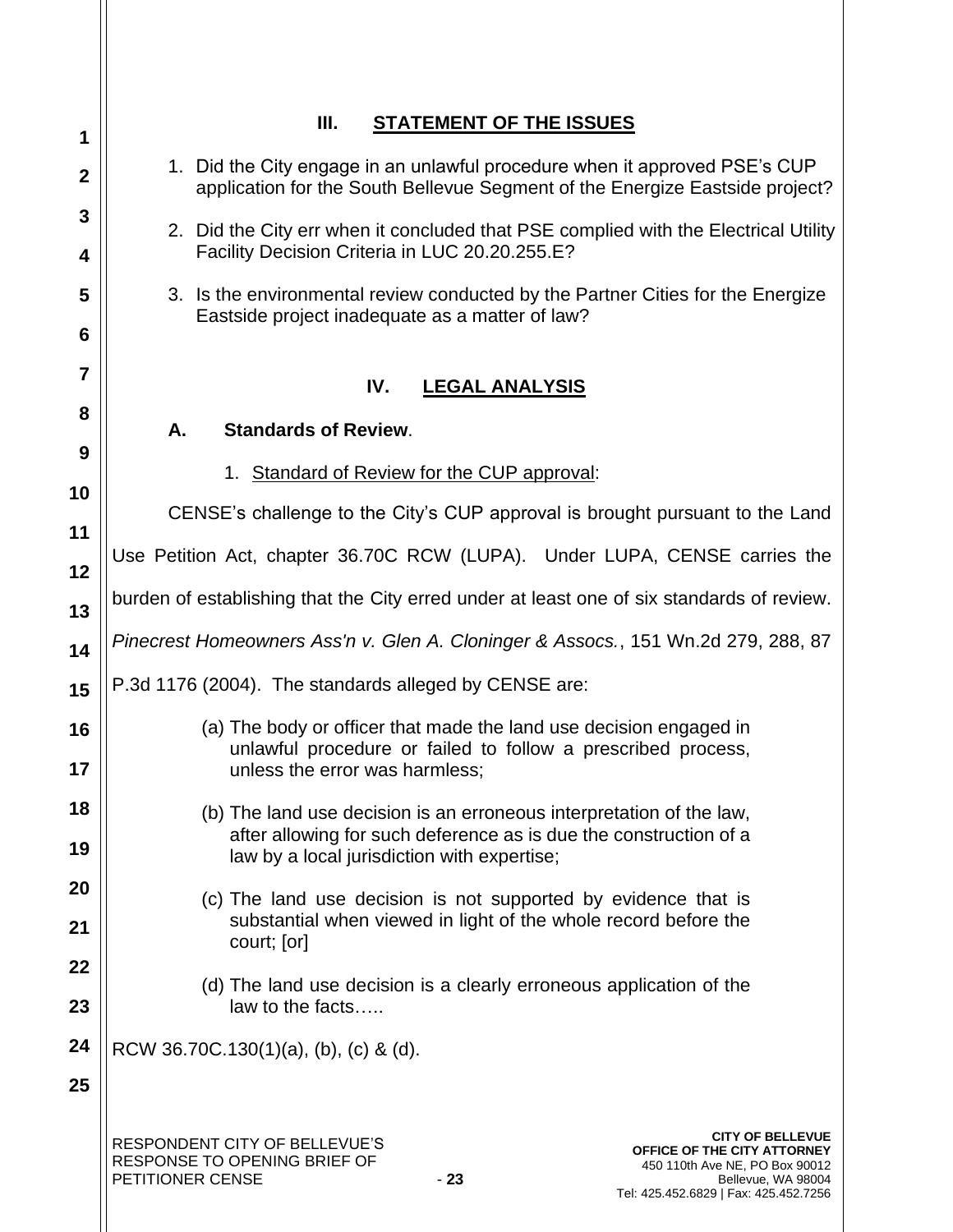| 1                | Ш.<br><b>STATEMENT OF THE ISSUES</b>                                                                                                                                                                                |  |  |  |
|------------------|---------------------------------------------------------------------------------------------------------------------------------------------------------------------------------------------------------------------|--|--|--|
| $\boldsymbol{2}$ | 1. Did the City engage in an unlawful procedure when it approved PSE's CUP<br>application for the South Bellevue Segment of the Energize Eastside project?                                                          |  |  |  |
| 3                | 2. Did the City err when it concluded that PSE complied with the Electrical Utility                                                                                                                                 |  |  |  |
| 4                | Facility Decision Criteria in LUC 20.20.255.E?                                                                                                                                                                      |  |  |  |
| 5                | 3. Is the environmental review conducted by the Partner Cities for the Energize<br>Eastside project inadequate as a matter of law?                                                                                  |  |  |  |
| 6                |                                                                                                                                                                                                                     |  |  |  |
| 7                | IV.<br><b>LEGAL ANALYSIS</b>                                                                                                                                                                                        |  |  |  |
| 8                | А.<br><b>Standards of Review.</b>                                                                                                                                                                                   |  |  |  |
| 9                | 1. Standard of Review for the CUP approval:                                                                                                                                                                         |  |  |  |
| 10               |                                                                                                                                                                                                                     |  |  |  |
| 11               | CENSE's challenge to the City's CUP approval is brought pursuant to the Land                                                                                                                                        |  |  |  |
| 12               | Use Petition Act, chapter 36.70C RCW (LUPA). Under LUPA, CENSE carries the                                                                                                                                          |  |  |  |
| 13               | burden of establishing that the City erred under at least one of six standards of review.                                                                                                                           |  |  |  |
| 14               | Pinecrest Homeowners Ass'n v. Glen A. Cloninger & Assocs., 151 Wn.2d 279, 288, 87                                                                                                                                   |  |  |  |
| 15               | P.3d 1176 (2004). The standards alleged by CENSE are:                                                                                                                                                               |  |  |  |
| 16               | (a) The body or officer that made the land use decision engaged in                                                                                                                                                  |  |  |  |
| 17               | unlawful procedure or failed to follow a prescribed process,<br>unless the error was harmless;                                                                                                                      |  |  |  |
| 18               | (b) The land use decision is an erroneous interpretation of the law,                                                                                                                                                |  |  |  |
| 19               | after allowing for such deference as is due the construction of a<br>law by a local jurisdiction with expertise;                                                                                                    |  |  |  |
| 20               | (c) The land use decision is not supported by evidence that is                                                                                                                                                      |  |  |  |
| 21               | substantial when viewed in light of the whole record before the<br>court; [or]                                                                                                                                      |  |  |  |
| 22               | (d) The land use decision is a clearly erroneous application of the                                                                                                                                                 |  |  |  |
| 23               | law to the facts                                                                                                                                                                                                    |  |  |  |
| 24               | RCW 36.70C.130(1)(a), (b), (c) & (d).                                                                                                                                                                               |  |  |  |
| 25               |                                                                                                                                                                                                                     |  |  |  |
|                  | <b>CITY OF BELLEVUE</b><br>RESPONDENT CITY OF BELLEVUE'S<br><b>OFFICE OF THE CITY ATTORNEY</b><br>RESPONSE TO OPENING BRIEF OF<br>450 110th Ave NE, PO Box 90012<br>PETITIONER CENSE<br>$-23$<br>Bellevue, WA 98004 |  |  |  |

Tel: 425.452.6829 | Fax: 425.452.7256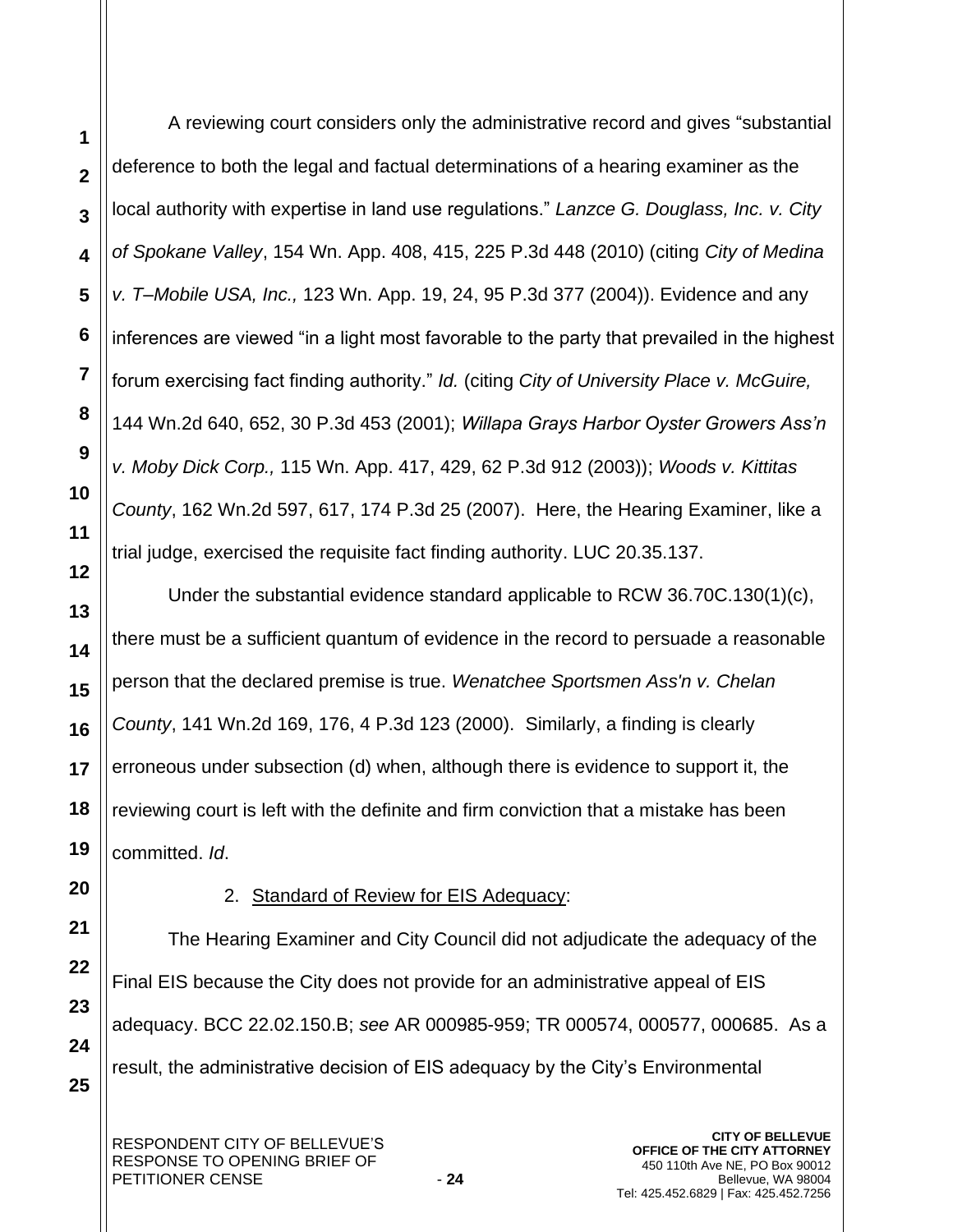A reviewing court considers only the administrative record and gives "substantial deference to both the legal and factual determinations of a hearing examiner as the local authority with expertise in land use regulations." *Lanzce G. Douglass, Inc. v. City of Spokane Valley*, 154 Wn. App. 408, 415, 225 P.3d 448 (2010) (citing *City of Medina v. T–Mobile USA, Inc.,* 123 Wn. App. 19, 24, 95 P.3d 377 (2004)). Evidence and any inferences are viewed "in a light most favorable to the party that prevailed in the highest forum exercising fact finding authority." *Id.* (citing *City of University Place v. McGuire,*  144 Wn.2d 640, 652, 30 P.3d 453 (2001); *Willapa Grays Harbor Oyster Growers Ass'n v. Moby Dick Corp.,* 115 Wn. App. 417, 429, 62 P.3d 912 (2003)); *Woods v. Kittitas County*, 162 Wn.2d 597, 617, 174 P.3d 25 (2007). Here, the Hearing Examiner, like a trial judge, exercised the requisite fact finding authority. LUC 20.35.137.

Under the substantial evidence standard applicable to RCW 36.70C.130(1)(c), there must be a sufficient quantum of evidence in the record to persuade a reasonable person that the declared premise is true. *Wenatchee Sportsmen Ass'n v. Chelan County*, 141 Wn.2d 169, 176, 4 P.3d 123 (2000). Similarly, a finding is clearly erroneous under subsection (d) when, although there is evidence to support it, the reviewing court is left with the definite and firm conviction that a mistake has been committed. *Id*.

## 2. Standard of Review for EIS Adequacy:

The Hearing Examiner and City Council did not adjudicate the adequacy of the Final EIS because the City does not provide for an administrative appeal of EIS adequacy. BCC 22.02.150.B; *see* AR 000985-959; TR 000574, 000577, 000685. As a result, the administrative decision of EIS adequacy by the City's Environmental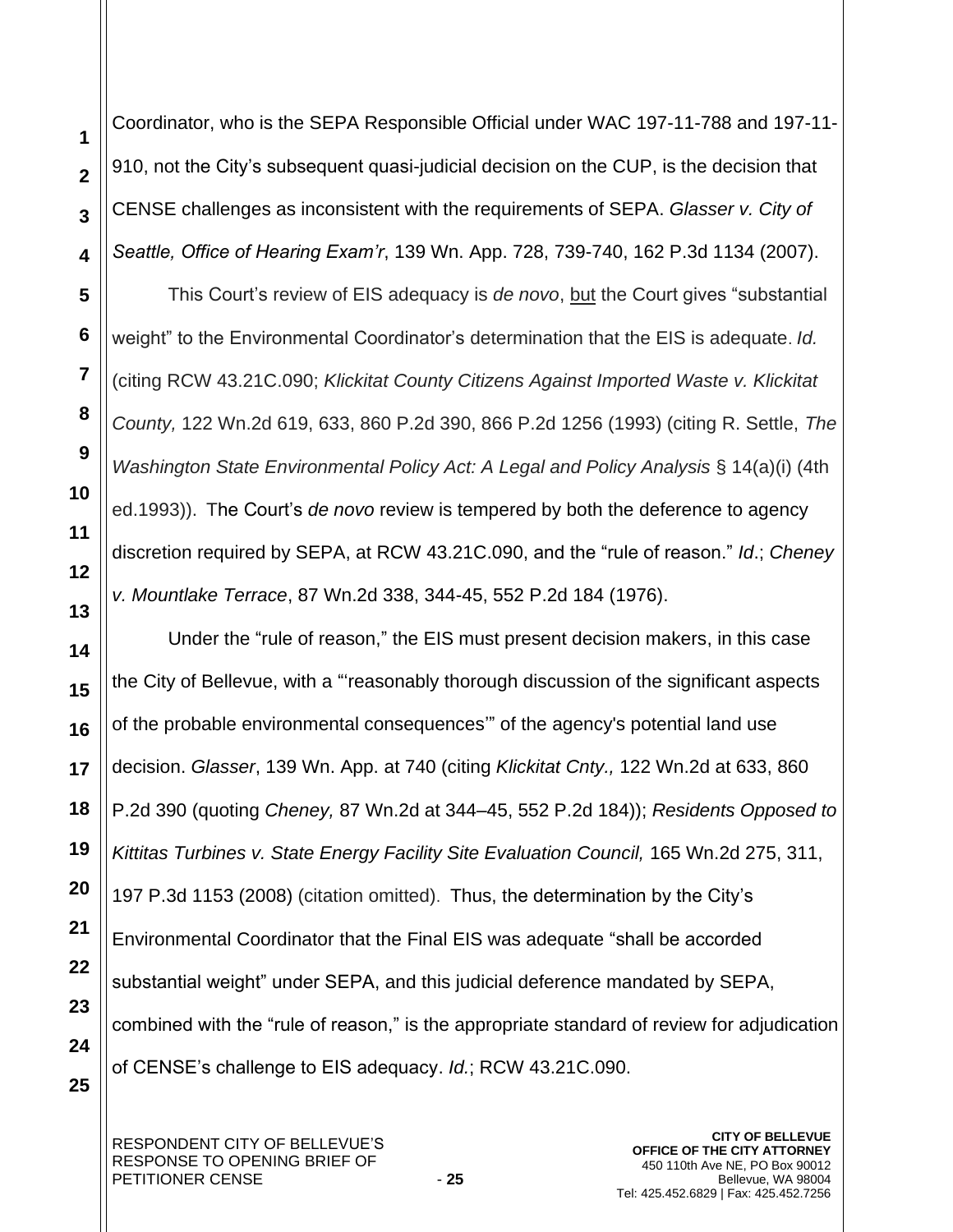Coordinator, who is the SEPA Responsible Official under WAC 197-11-788 and 197-11- 910, not the City's subsequent quasi-judicial decision on the CUP, is the decision that CENSE challenges as inconsistent with the requirements of SEPA. *Glasser v. City of Seattle, Office of Hearing Exam'r*, 139 Wn. App. 728, 739-740, 162 P.3d 1134 (2007).

This Court's review of EIS adequacy is *de novo*, but the Court gives "substantial weight" to the Environmental Coordinator's determination that the EIS is adequate. *Id.*  (citing RCW 43.21C.090; *Klickitat County Citizens Against Imported Waste v. Klickitat County,* 122 Wn.2d 619, 633, 860 P.2d 390, 866 P.2d 1256 (1993) (citing R. Settle, *The Washington State Environmental Policy Act: A Legal and Policy Analysis* § 14(a)(i) (4th ed.1993)). The Court's *de novo* review is tempered by both the deference to agency discretion required by SEPA, at RCW 43.21C.090, and the "rule of reason." *Id*.; *Cheney v. Mountlake Terrace*, 87 Wn.2d 338, 344-45, 552 P.2d 184 (1976).

Under the "rule of reason," the EIS must present decision makers, in this case the City of Bellevue, with a "'reasonably thorough discussion of the significant aspects of the probable environmental consequences'" of the agency's potential land use decision. *Glasser*, 139 Wn. App. at 740 (citing *Klickitat Cnty.,* 122 Wn.2d at 633, 860 P.2d 390 (quoting *Cheney,* 87 Wn.2d at 344–45, 552 P.2d 184)); *Residents Opposed to Kittitas Turbines v. State Energy Facility Site Evaluation Council,* 165 Wn.2d 275, 311, 197 P.3d 1153 (2008) (citation omitted). Thus, the determination by the City's Environmental Coordinator that the Final EIS was adequate "shall be accorded substantial weight" under SEPA, and this judicial deference mandated by SEPA, combined with the "rule of reason," is the appropriate standard of review for adjudication of CENSE's challenge to EIS adequacy. *Id.*; RCW 43.21C.090.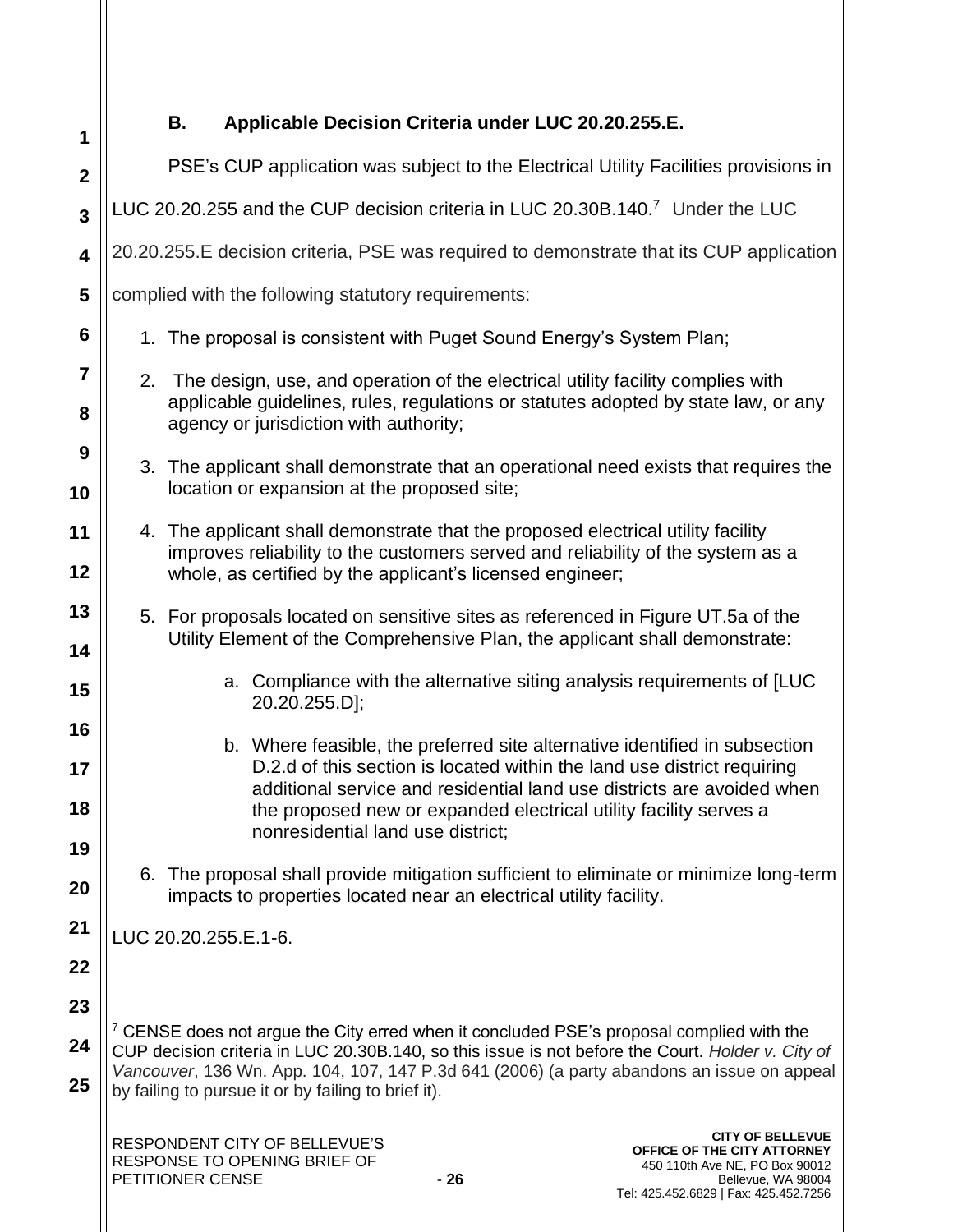| 1                | Applicable Decision Criteria under LUC 20.20.255.E.<br>В.                                                                                                                                                                                                                                                                                 |  |
|------------------|-------------------------------------------------------------------------------------------------------------------------------------------------------------------------------------------------------------------------------------------------------------------------------------------------------------------------------------------|--|
| $\boldsymbol{2}$ | PSE's CUP application was subject to the Electrical Utility Facilities provisions in                                                                                                                                                                                                                                                      |  |
| 3                | LUC 20.20.255 and the CUP decision criteria in LUC 20.30B.140.7 Under the LUC                                                                                                                                                                                                                                                             |  |
| 4                | 20.20.255. E decision criteria, PSE was required to demonstrate that its CUP application                                                                                                                                                                                                                                                  |  |
| 5                | complied with the following statutory requirements:                                                                                                                                                                                                                                                                                       |  |
| 6                | 1. The proposal is consistent with Puget Sound Energy's System Plan;                                                                                                                                                                                                                                                                      |  |
| 7<br>8           | 2. The design, use, and operation of the electrical utility facility complies with<br>applicable guidelines, rules, regulations or statutes adopted by state law, or any<br>agency or jurisdiction with authority;                                                                                                                        |  |
| 9<br>10          | 3. The applicant shall demonstrate that an operational need exists that requires the<br>location or expansion at the proposed site;                                                                                                                                                                                                       |  |
| 11<br>12         | 4. The applicant shall demonstrate that the proposed electrical utility facility<br>improves reliability to the customers served and reliability of the system as a<br>whole, as certified by the applicant's licensed engineer;                                                                                                          |  |
| 13<br>14         | 5. For proposals located on sensitive sites as referenced in Figure UT.5a of the<br>Utility Element of the Comprehensive Plan, the applicant shall demonstrate:                                                                                                                                                                           |  |
| 15               | a. Compliance with the alternative siting analysis requirements of [LUC<br>20.20.255.D];                                                                                                                                                                                                                                                  |  |
| 16<br>17<br>18   | b. Where feasible, the preferred site alternative identified in subsection<br>D.2.d of this section is located within the land use district requiring<br>additional service and residential land use districts are avoided when<br>the proposed new or expanded electrical utility facility serves a<br>nonresidential land use district; |  |
| 19<br>20         | 6. The proposal shall provide mitigation sufficient to eliminate or minimize long-term<br>impacts to properties located near an electrical utility facility.                                                                                                                                                                              |  |
| 21<br>22         | LUC 20.20.255.E.1-6.                                                                                                                                                                                                                                                                                                                      |  |
| 23               |                                                                                                                                                                                                                                                                                                                                           |  |
| 24               | $7$ CENSE does not argue the City erred when it concluded PSE's proposal complied with the<br>CUP decision criteria in LUC 20.30B.140, so this issue is not before the Court. Holder v. City of                                                                                                                                           |  |
| 25               | Vancouver, 136 Wn. App. 104, 107, 147 P.3d 641 (2006) (a party abandons an issue on appeal<br>by failing to pursue it or by failing to brief it).                                                                                                                                                                                         |  |
|                  | <b>CITY OF BELLEVUE</b><br>RESPONDENT CITY OF BELLEVUE'S<br>OFFICE OF THE CITY ATTORNEY<br>RESPONSE TO OPENING BRIEF OF<br>450 110th Ave NE, PO Box 90012<br>PETITIONER CENSE<br>$-26$<br>Bellevue, WA 98004                                                                                                                              |  |

Tel: 425.452.6829 | Fax: 425.452.7256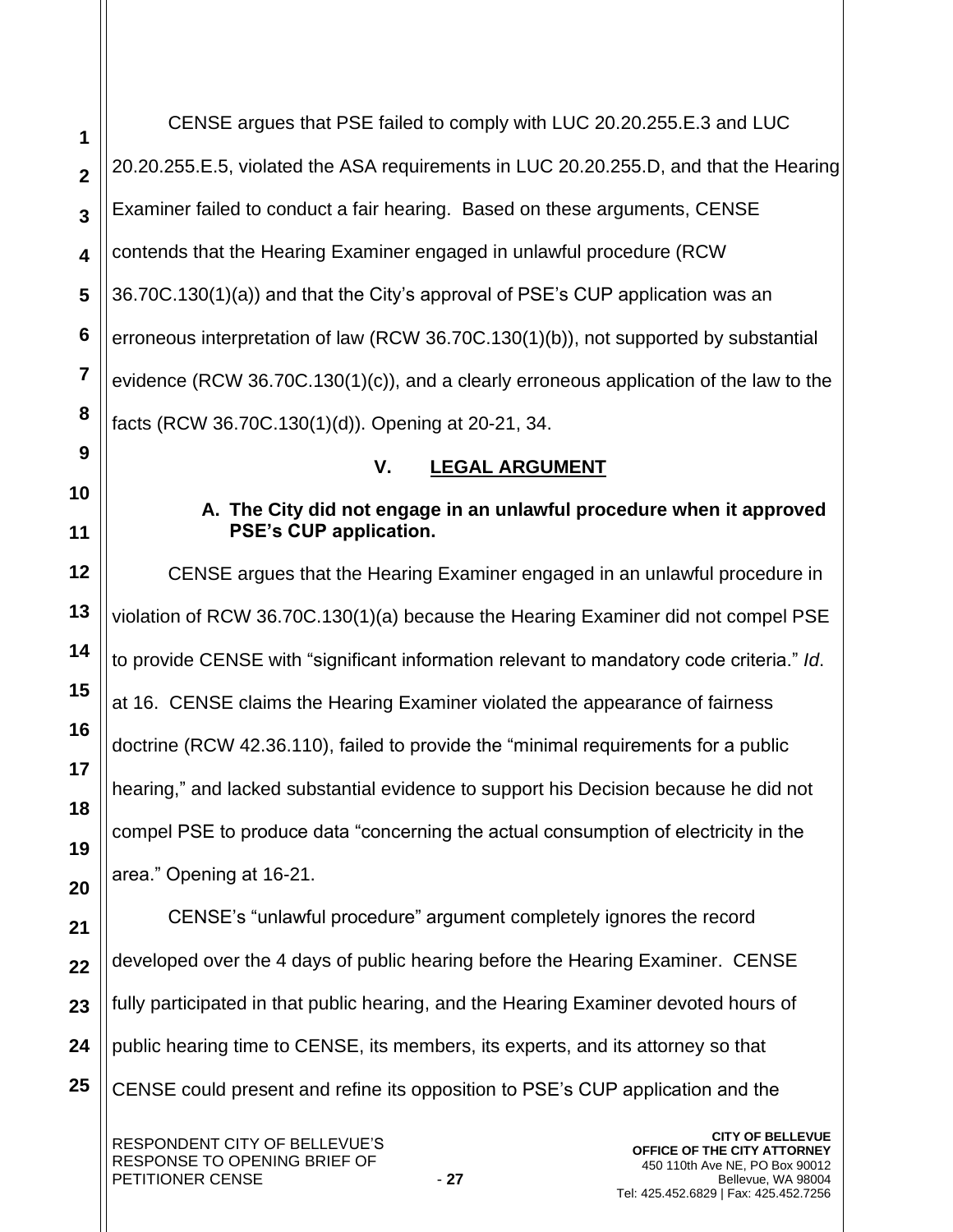**3** CENSE argues that PSE failed to comply with LUC 20.20.255.E.3 and LUC 20.20.255.E.5, violated the ASA requirements in LUC 20.20.255.D, and that the Hearing Examiner failed to conduct a fair hearing. Based on these arguments, CENSE contends that the Hearing Examiner engaged in unlawful procedure (RCW 36.70C.130(1)(a)) and that the City's approval of PSE's CUP application was an erroneous interpretation of law (RCW 36.70C.130(1)(b)), not supported by substantial evidence (RCW 36.70C.130(1)(c)), and a clearly erroneous application of the law to the facts (RCW 36.70C.130(1)(d)). Opening at 20-21, 34.

# **V. LEGAL ARGUMENT**

**A. The City did not engage in an unlawful procedure when it approved PSE's CUP application.** 

CENSE argues that the Hearing Examiner engaged in an unlawful procedure in violation of RCW 36.70C.130(1)(a) because the Hearing Examiner did not compel PSE to provide CENSE with "significant information relevant to mandatory code criteria." *Id*. at 16. CENSE claims the Hearing Examiner violated the appearance of fairness doctrine (RCW 42.36.110), failed to provide the "minimal requirements for a public hearing," and lacked substantial evidence to support his Decision because he did not compel PSE to produce data "concerning the actual consumption of electricity in the area." Opening at 16-21. CENSE's "unlawful procedure" argument completely ignores the record developed over the 4 days of public hearing before the Hearing Examiner. CENSE

**23** fully participated in that public hearing, and the Hearing Examiner devoted hours of

**24** public hearing time to CENSE, its members, its experts, and its attorney so that

**25** CENSE could present and refine its opposition to PSE's CUP application and the

**20**

**21**

**22**

**1**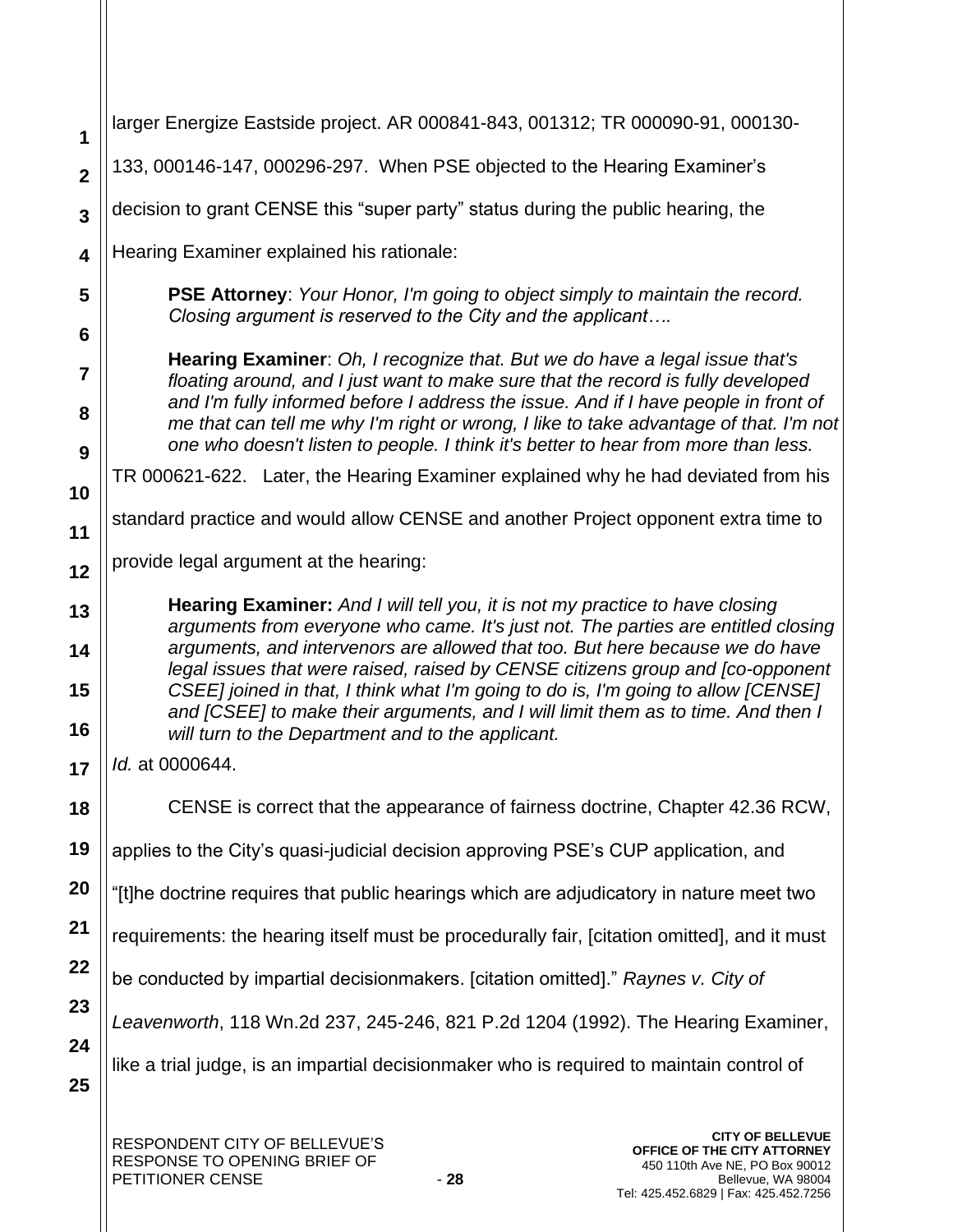| 1                       | larger Energize Eastside project. AR 000841-843, 001312; TR 000090-91, 000130-                                                                                                                                                                                     |  |  |
|-------------------------|--------------------------------------------------------------------------------------------------------------------------------------------------------------------------------------------------------------------------------------------------------------------|--|--|
| $\overline{\mathbf{2}}$ | 133, 000146-147, 000296-297. When PSE objected to the Hearing Examiner's                                                                                                                                                                                           |  |  |
| $\overline{\mathbf{3}}$ | decision to grant CENSE this "super party" status during the public hearing, the                                                                                                                                                                                   |  |  |
| $\overline{\mathbf{4}}$ | Hearing Examiner explained his rationale:                                                                                                                                                                                                                          |  |  |
| 5                       | <b>PSE Attorney:</b> Your Honor, I'm going to object simply to maintain the record.                                                                                                                                                                                |  |  |
| 6                       | Closing argument is reserved to the City and the applicant                                                                                                                                                                                                         |  |  |
| 7                       | Hearing Examiner: Oh, I recognize that. But we do have a legal issue that's<br>floating around, and I just want to make sure that the record is fully developed                                                                                                    |  |  |
| 8                       | and I'm fully informed before I address the issue. And if I have people in front of<br>me that can tell me why I'm right or wrong, I like to take advantage of that. I'm not<br>one who doesn't listen to people. I think it's better to hear from more than less. |  |  |
| 9                       | TR 000621-622. Later, the Hearing Examiner explained why he had deviated from his                                                                                                                                                                                  |  |  |
| 10                      |                                                                                                                                                                                                                                                                    |  |  |
| 11                      | standard practice and would allow CENSE and another Project opponent extra time to                                                                                                                                                                                 |  |  |
| 12                      | provide legal argument at the hearing:                                                                                                                                                                                                                             |  |  |
| 13                      | <b>Hearing Examiner:</b> And I will tell you, it is not my practice to have closing                                                                                                                                                                                |  |  |
| 14                      | arguments from everyone who came. It's just not. The parties are entitled closing<br>arguments, and intervenors are allowed that too. But here because we do have<br>legal issues that were raised, raised by CENSE citizens group and [co-opponent                |  |  |
| 15                      | CSEE] joined in that, I think what I'm going to do is, I'm going to allow [CENSE]<br>and [CSEE] to make their arguments, and I will limit them as to time. And then I                                                                                              |  |  |
| 16                      | will turn to the Department and to the applicant.                                                                                                                                                                                                                  |  |  |
| 17                      | Id. at 0000644.                                                                                                                                                                                                                                                    |  |  |
| 18                      | CENSE is correct that the appearance of fairness doctrine, Chapter 42.36 RCW,                                                                                                                                                                                      |  |  |
| 19                      | applies to the City's quasi-judicial decision approving PSE's CUP application, and                                                                                                                                                                                 |  |  |
| 20                      | "[t]he doctrine requires that public hearings which are adjudicatory in nature meet two                                                                                                                                                                            |  |  |
| 21                      | requirements: the hearing itself must be procedurally fair, [citation omitted], and it must                                                                                                                                                                        |  |  |
| 22                      | be conducted by impartial decisionmakers. [citation omitted]." Raynes v. City of                                                                                                                                                                                   |  |  |
| 23                      | Leavenworth, 118 Wn.2d 237, 245-246, 821 P.2d 1204 (1992). The Hearing Examiner,                                                                                                                                                                                   |  |  |
| 24                      | like a trial judge, is an impartial decisionmaker who is required to maintain control of                                                                                                                                                                           |  |  |
| 25                      |                                                                                                                                                                                                                                                                    |  |  |
|                         | <b>CITY OF BELLEVUE</b><br>RESPONDENT CITY OF BELLEVUE'S<br>OFFICE OF THE CITY ATTORNE'                                                                                                                                                                            |  |  |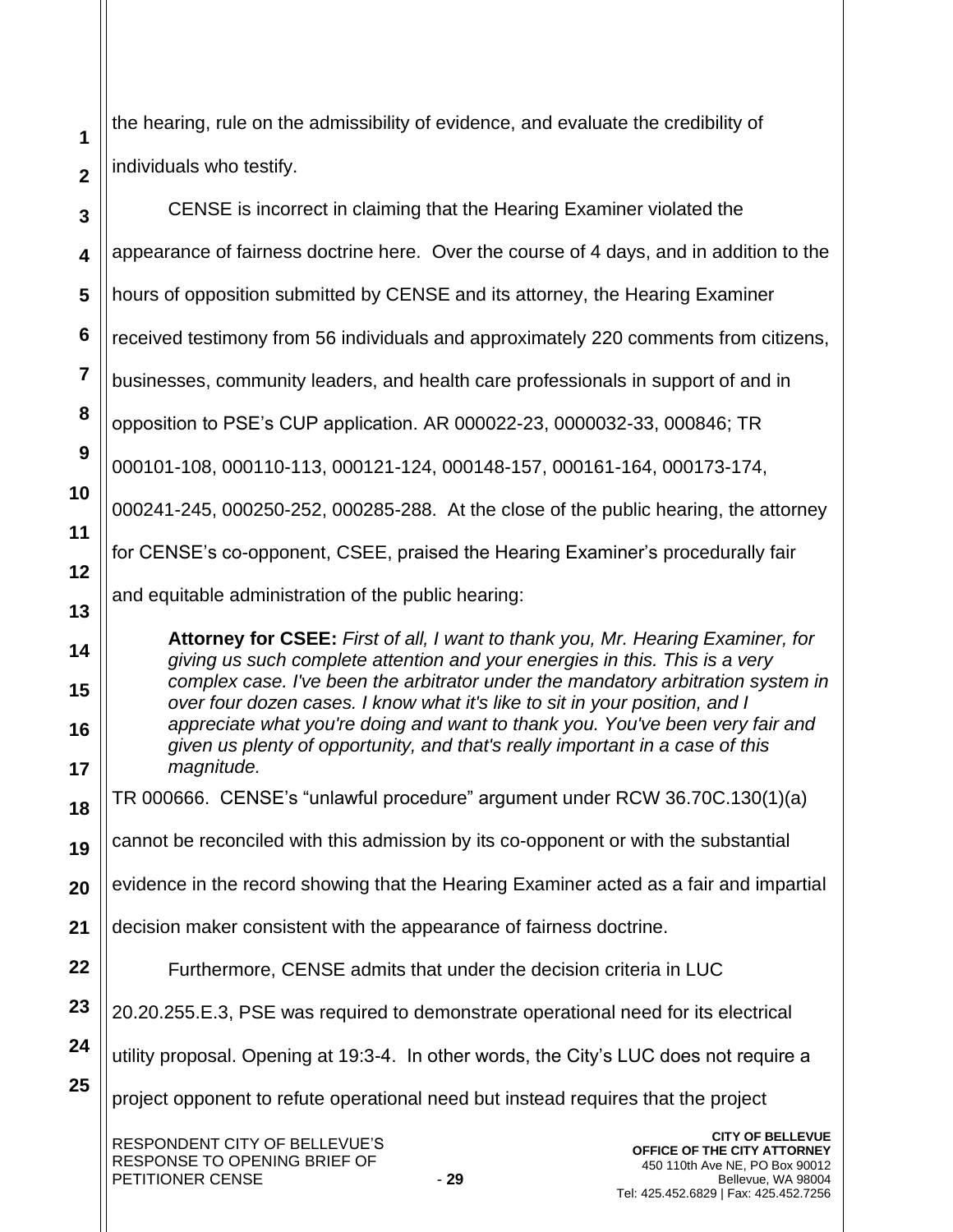the hearing, rule on the admissibility of evidence, and evaluate the credibility of individuals who testify.

**1**

**2**

RESPONDENT CITY OF BELLEVUE'S RESPONSE TO OPENING BRIEF OF PETITIONER CENSE **1999 3 4 5 6 7 8 9 10 11 12 13 14 15 16 17 18 19 20 21 22 23 24 25 CITY OF BELLEVUE OFFICE OF THE CITY ATTORNEY** 450 110th Ave NE, PO Box 90012 CENSE is incorrect in claiming that the Hearing Examiner violated the appearance of fairness doctrine here. Over the course of 4 days, and in addition to the hours of opposition submitted by CENSE and its attorney, the Hearing Examiner received testimony from 56 individuals and approximately 220 comments from citizens, businesses, community leaders, and health care professionals in support of and in opposition to PSE's CUP application. AR 000022-23, 0000032-33, 000846; TR 000101-108, 000110-113, 000121-124, 000148-157, 000161-164, 000173-174, 000241-245, 000250-252, 000285-288. At the close of the public hearing, the attorney for CENSE's co-opponent, CSEE, praised the Hearing Examiner's procedurally fair and equitable administration of the public hearing: **Attorney for CSEE:** *First of all, I want to thank you, Mr. Hearing Examiner, for giving us such complete attention and your energies in this. This is a very complex case. I've been the arbitrator under the mandatory arbitration system in over four dozen cases. I know what it's like to sit in your position, and I appreciate what you're doing and want to thank you. You've been very fair and given us plenty of opportunity, and that's really important in a case of this magnitude.*  TR 000666. CENSE's "unlawful procedure" argument under RCW 36.70C.130(1)(a) cannot be reconciled with this admission by its co-opponent or with the substantial evidence in the record showing that the Hearing Examiner acted as a fair and impartial decision maker consistent with the appearance of fairness doctrine. Furthermore, CENSE admits that under the decision criteria in LUC 20.20.255.E.3, PSE was required to demonstrate operational need for its electrical utility proposal. Opening at 19:3-4. In other words, the City's LUC does not require a project opponent to refute operational need but instead requires that the project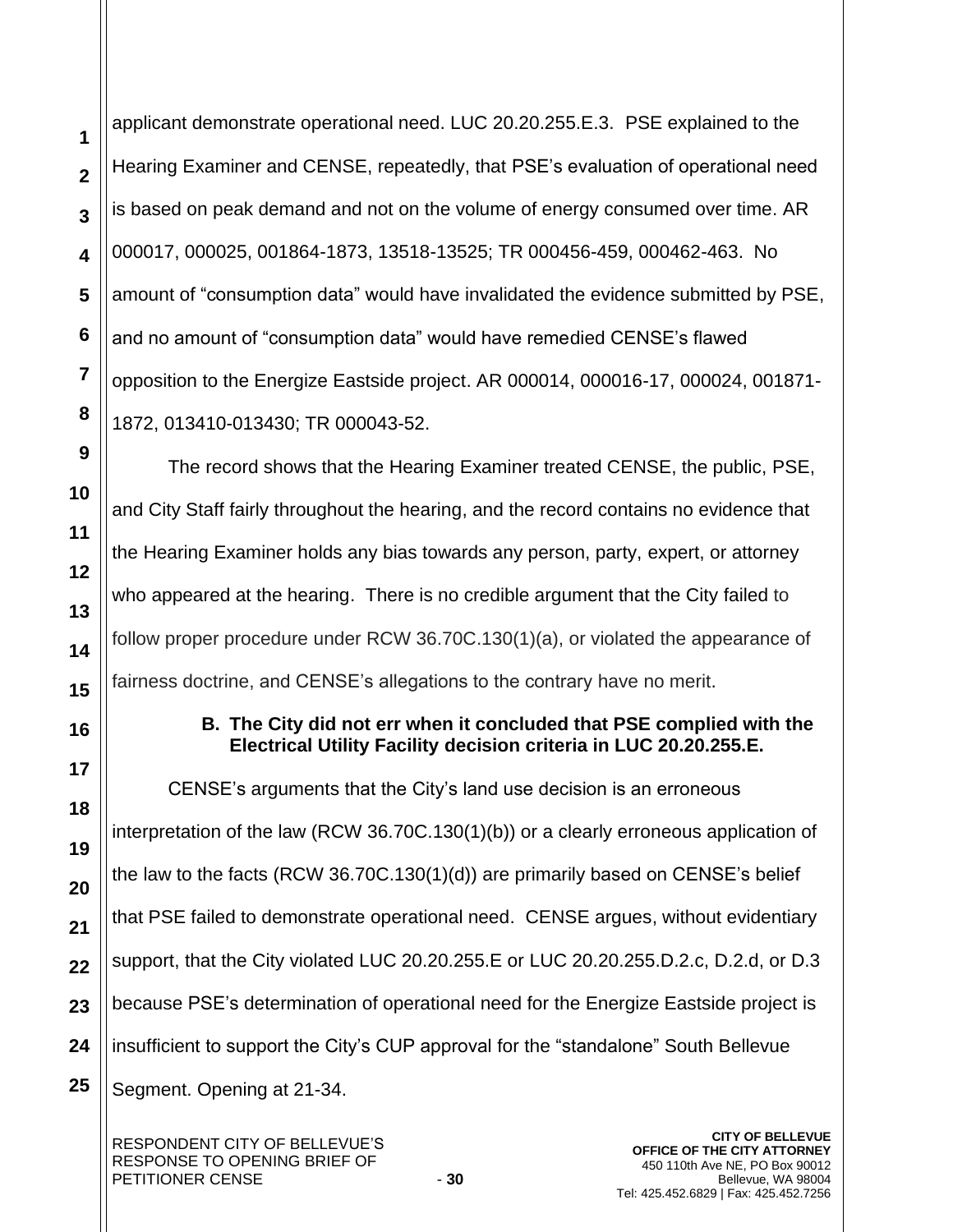applicant demonstrate operational need. LUC 20.20.255.E.3. PSE explained to the Hearing Examiner and CENSE, repeatedly, that PSE's evaluation of operational need is based on peak demand and not on the volume of energy consumed over time. AR 000017, 000025, 001864-1873, 13518-13525; TR 000456-459, 000462-463. No amount of "consumption data" would have invalidated the evidence submitted by PSE, and no amount of "consumption data" would have remedied CENSE's flawed opposition to the Energize Eastside project. AR 000014, 000016-17, 000024, 001871- 1872, 013410-013430; TR 000043-52.

The record shows that the Hearing Examiner treated CENSE, the public, PSE, and City Staff fairly throughout the hearing, and the record contains no evidence that the Hearing Examiner holds any bias towards any person, party, expert, or attorney who appeared at the hearing. There is no credible argument that the City failed to follow proper procedure under RCW 36.70C.130(1)(a), or violated the appearance of fairness doctrine, and CENSE's allegations to the contrary have no merit.

# **B. The City did not err when it concluded that PSE complied with the Electrical Utility Facility decision criteria in LUC 20.20.255.E.**

CENSE's arguments that the City's land use decision is an erroneous interpretation of the law (RCW 36.70C.130(1)(b)) or a clearly erroneous application of the law to the facts (RCW 36.70C.130(1)(d)) are primarily based on CENSE's belief that PSE failed to demonstrate operational need. CENSE argues, without evidentiary support, that the City violated LUC 20.20.255.E or LUC 20.20.255.D.2.c, D.2.d, or D.3 because PSE's determination of operational need for the Energize Eastside project is insufficient to support the City's CUP approval for the "standalone" South Bellevue Segment. Opening at 21-34.

**1**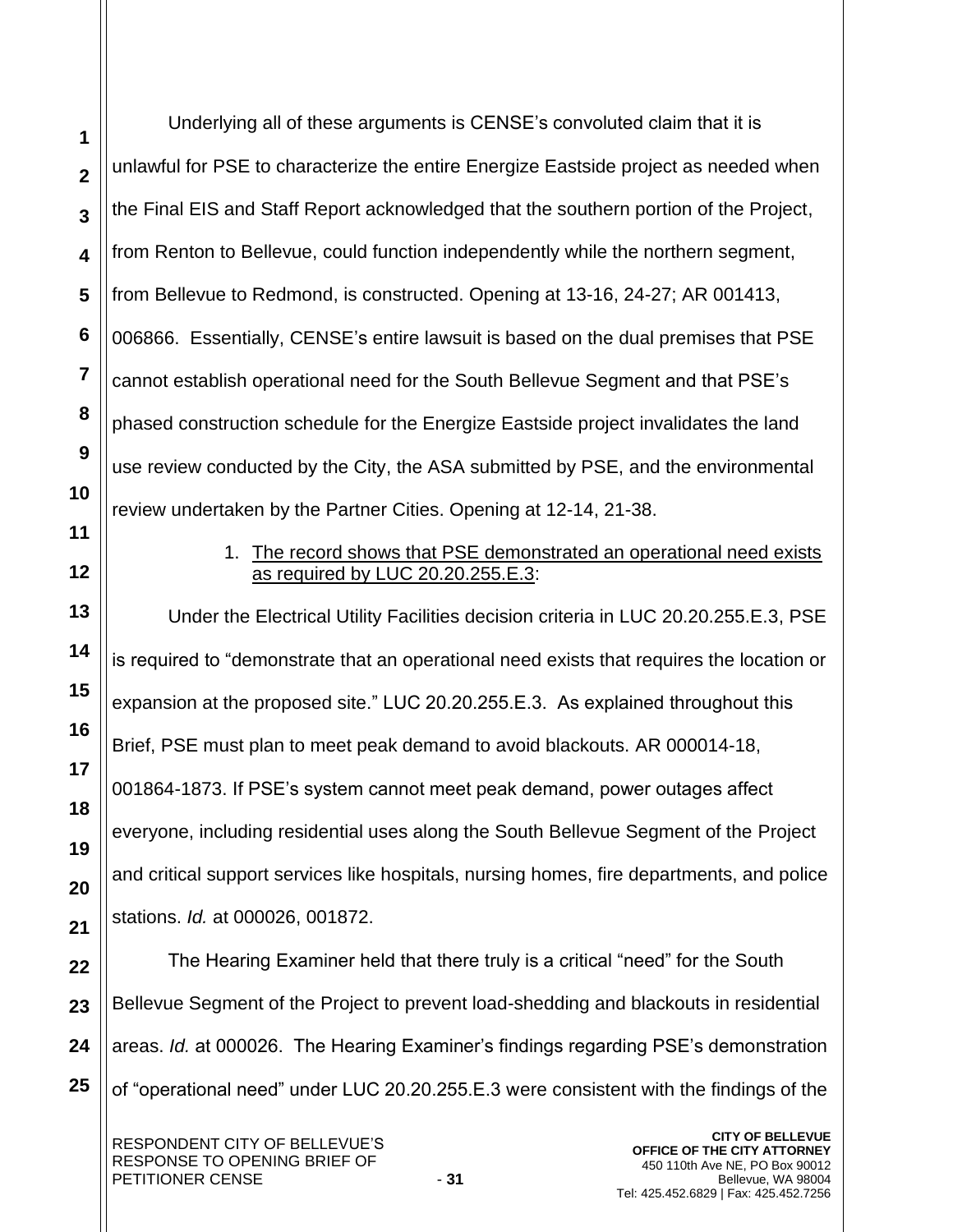Underlying all of these arguments is CENSE's convoluted claim that it is unlawful for PSE to characterize the entire Energize Eastside project as needed when the Final EIS and Staff Report acknowledged that the southern portion of the Project, from Renton to Bellevue, could function independently while the northern segment, from Bellevue to Redmond, is constructed. Opening at 13-16, 24-27; AR 001413, 006866. Essentially, CENSE's entire lawsuit is based on the dual premises that PSE cannot establish operational need for the South Bellevue Segment and that PSE's phased construction schedule for the Energize Eastside project invalidates the land use review conducted by the City, the ASA submitted by PSE, and the environmental review undertaken by the Partner Cities. Opening at 12-14, 21-38.

**1**

**2**

**3**

**4**

**5**

**6**

**7**

**8**

**9**

**10**

**11**

**12**

**13**

**14**

**15**

**16**

**17**

**18**

**19**

**20**

**21**

## 1. The record shows that PSE demonstrated an operational need exists as required by LUC 20.20.255.E.3:

Under the Electrical Utility Facilities decision criteria in LUC 20.20.255.E.3, PSE is required to "demonstrate that an operational need exists that requires the location or expansion at the proposed site." LUC 20.20.255.E.3. As explained throughout this Brief, PSE must plan to meet peak demand to avoid blackouts. AR 000014-18, 001864-1873. If PSE's system cannot meet peak demand, power outages affect everyone, including residential uses along the South Bellevue Segment of the Project and critical support services like hospitals, nursing homes, fire departments, and police stations. *Id.* at 000026, 001872.

**22 23 24 25** The Hearing Examiner held that there truly is a critical "need" for the South Bellevue Segment of the Project to prevent load-shedding and blackouts in residential areas. *Id.* at 000026. The Hearing Examiner's findings regarding PSE's demonstration of "operational need" under LUC 20.20.255.E.3 were consistent with the findings of the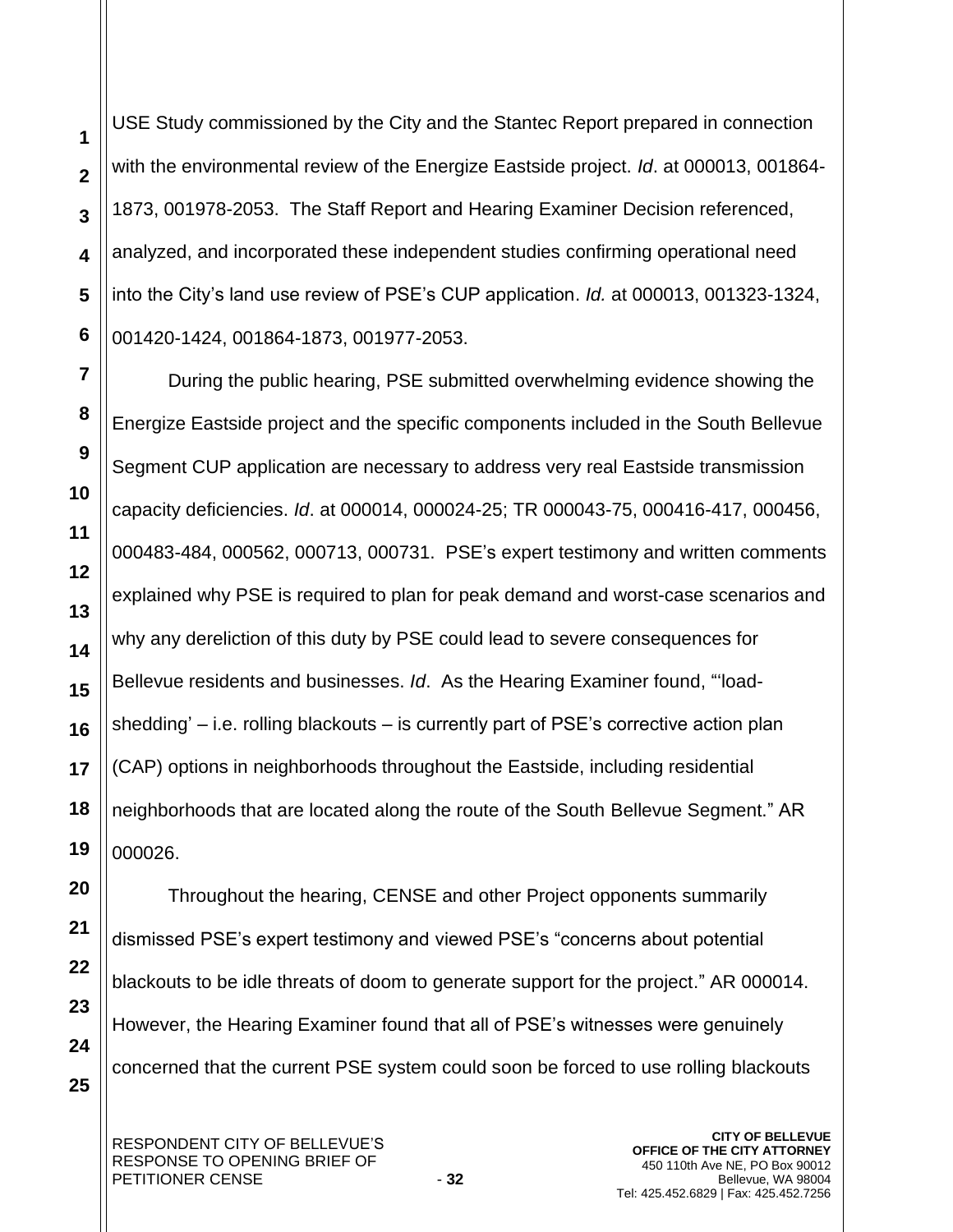USE Study commissioned by the City and the Stantec Report prepared in connection with the environmental review of the Energize Eastside project. *Id*. at 000013, 001864- 1873, 001978-2053. The Staff Report and Hearing Examiner Decision referenced, analyzed, and incorporated these independent studies confirming operational need into the City's land use review of PSE's CUP application. *Id.* at 000013, 001323-1324, 001420-1424, 001864-1873, 001977-2053.

During the public hearing, PSE submitted overwhelming evidence showing the Energize Eastside project and the specific components included in the South Bellevue Segment CUP application are necessary to address very real Eastside transmission capacity deficiencies. *Id*. at 000014, 000024-25; TR 000043-75, 000416-417, 000456, 000483-484, 000562, 000713, 000731. PSE's expert testimony and written comments explained why PSE is required to plan for peak demand and worst-case scenarios and why any dereliction of this duty by PSE could lead to severe consequences for Bellevue residents and businesses. *Id*. As the Hearing Examiner found, "'loadshedding' – i.e. rolling blackouts – is currently part of PSE's corrective action plan (CAP) options in neighborhoods throughout the Eastside, including residential neighborhoods that are located along the route of the South Bellevue Segment." AR 000026.

**20 21 22 23 24 25** Throughout the hearing, CENSE and other Project opponents summarily dismissed PSE's expert testimony and viewed PSE's "concerns about potential blackouts to be idle threats of doom to generate support for the project." AR 000014. However, the Hearing Examiner found that all of PSE's witnesses were genuinely concerned that the current PSE system could soon be forced to use rolling blackouts

**1**

**2**

**3**

**4**

**5**

**6**

**7**

**8**

**9**

**10**

**11**

**12**

**13**

**14**

**15**

**16**

**17**

**18**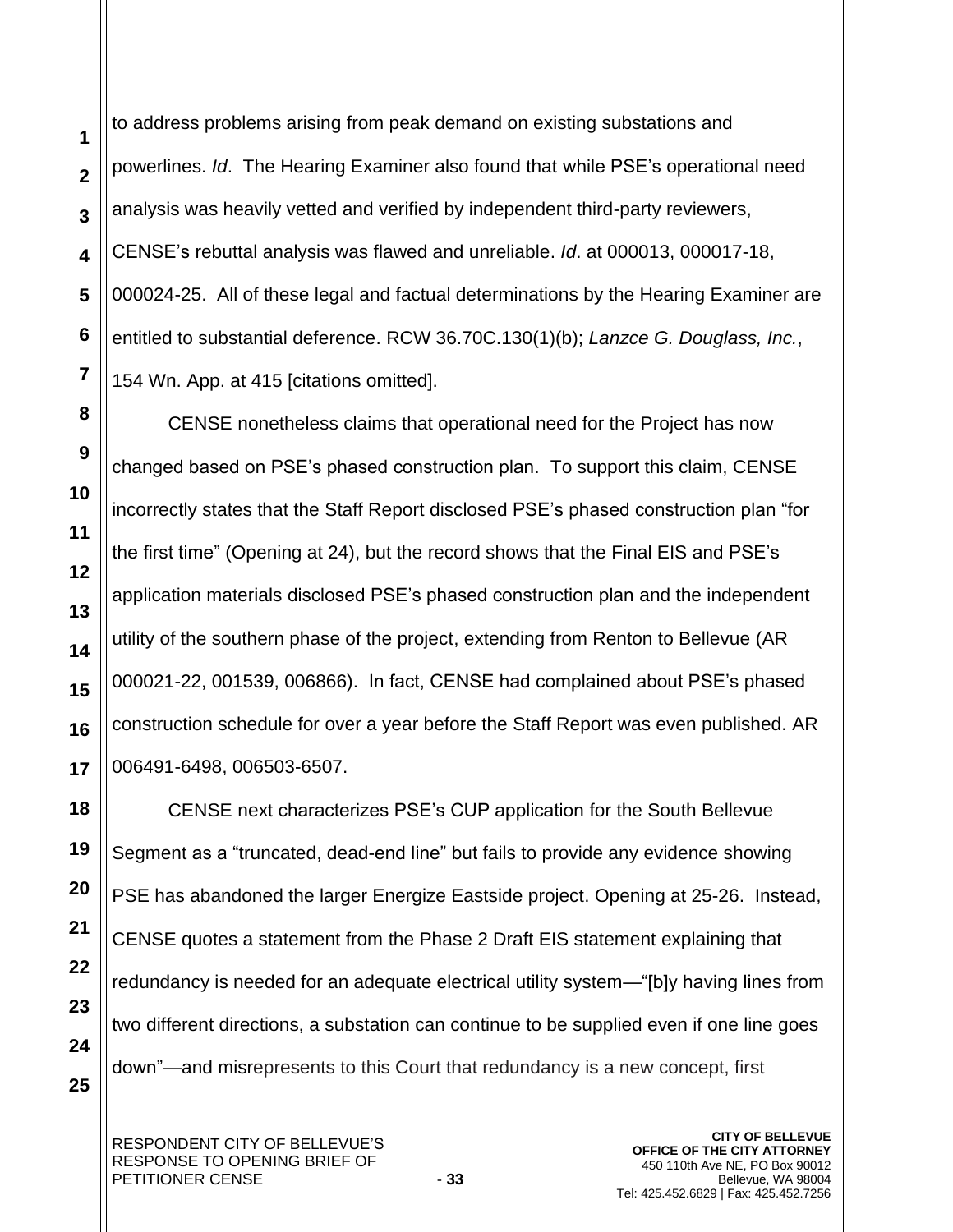to address problems arising from peak demand on existing substations and powerlines. *Id*. The Hearing Examiner also found that while PSE's operational need analysis was heavily vetted and verified by independent third-party reviewers, CENSE's rebuttal analysis was flawed and unreliable. *Id*. at 000013, 000017-18, 000024-25. All of these legal and factual determinations by the Hearing Examiner are entitled to substantial deference. RCW 36.70C.130(1)(b); *Lanzce G. Douglass, Inc.*, 154 Wn. App. at 415 [citations omitted].

CENSE nonetheless claims that operational need for the Project has now changed based on PSE's phased construction plan. To support this claim, CENSE incorrectly states that the Staff Report disclosed PSE's phased construction plan "for the first time" (Opening at 24), but the record shows that the Final EIS and PSE's application materials disclosed PSE's phased construction plan and the independent utility of the southern phase of the project, extending from Renton to Bellevue (AR 000021-22, 001539, 006866). In fact, CENSE had complained about PSE's phased construction schedule for over a year before the Staff Report was even published. AR 006491-6498, 006503-6507.

CENSE next characterizes PSE's CUP application for the South Bellevue Segment as a "truncated, dead-end line" but fails to provide any evidence showing PSE has abandoned the larger Energize Eastside project. Opening at 25-26. Instead, CENSE quotes a statement from the Phase 2 Draft EIS statement explaining that redundancy is needed for an adequate electrical utility system—"[b]y having lines from two different directions, a substation can continue to be supplied even if one line goes down"—and misrepresents to this Court that redundancy is a new concept, first

**1**

**2**

**3**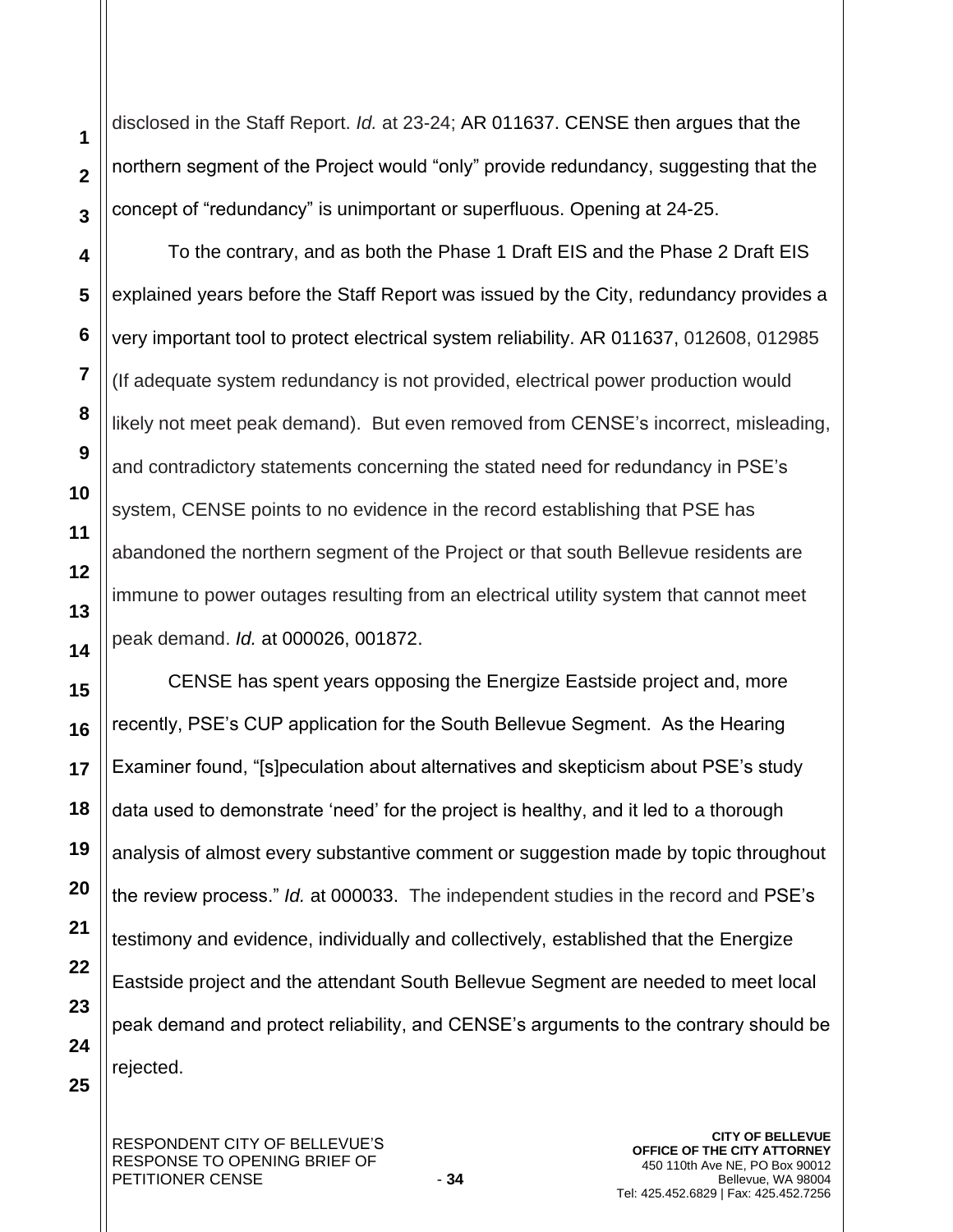disclosed in the Staff Report. *Id.* at 23-24; AR 011637. CENSE then argues that the northern segment of the Project would "only" provide redundancy, suggesting that the concept of "redundancy" is unimportant or superfluous. Opening at 24-25.

To the contrary, and as both the Phase 1 Draft EIS and the Phase 2 Draft EIS explained years before the Staff Report was issued by the City, redundancy provides a very important tool to protect electrical system reliability. AR 011637, 012608, 012985 (If adequate system redundancy is not provided, electrical power production would likely not meet peak demand). But even removed from CENSE's incorrect, misleading, and contradictory statements concerning the stated need for redundancy in PSE's system, CENSE points to no evidence in the record establishing that PSE has abandoned the northern segment of the Project or that south Bellevue residents are immune to power outages resulting from an electrical utility system that cannot meet peak demand. *Id.* at 000026, 001872.

CENSE has spent years opposing the Energize Eastside project and, more recently, PSE's CUP application for the South Bellevue Segment. As the Hearing Examiner found, "[s]peculation about alternatives and skepticism about PSE's study data used to demonstrate 'need' for the project is healthy, and it led to a thorough analysis of almost every substantive comment or suggestion made by topic throughout the review process." *Id.* at 000033. The independent studies in the record and PSE's testimony and evidence, individually and collectively, established that the Energize Eastside project and the attendant South Bellevue Segment are needed to meet local peak demand and protect reliability, and CENSE's arguments to the contrary should be rejected.

**1**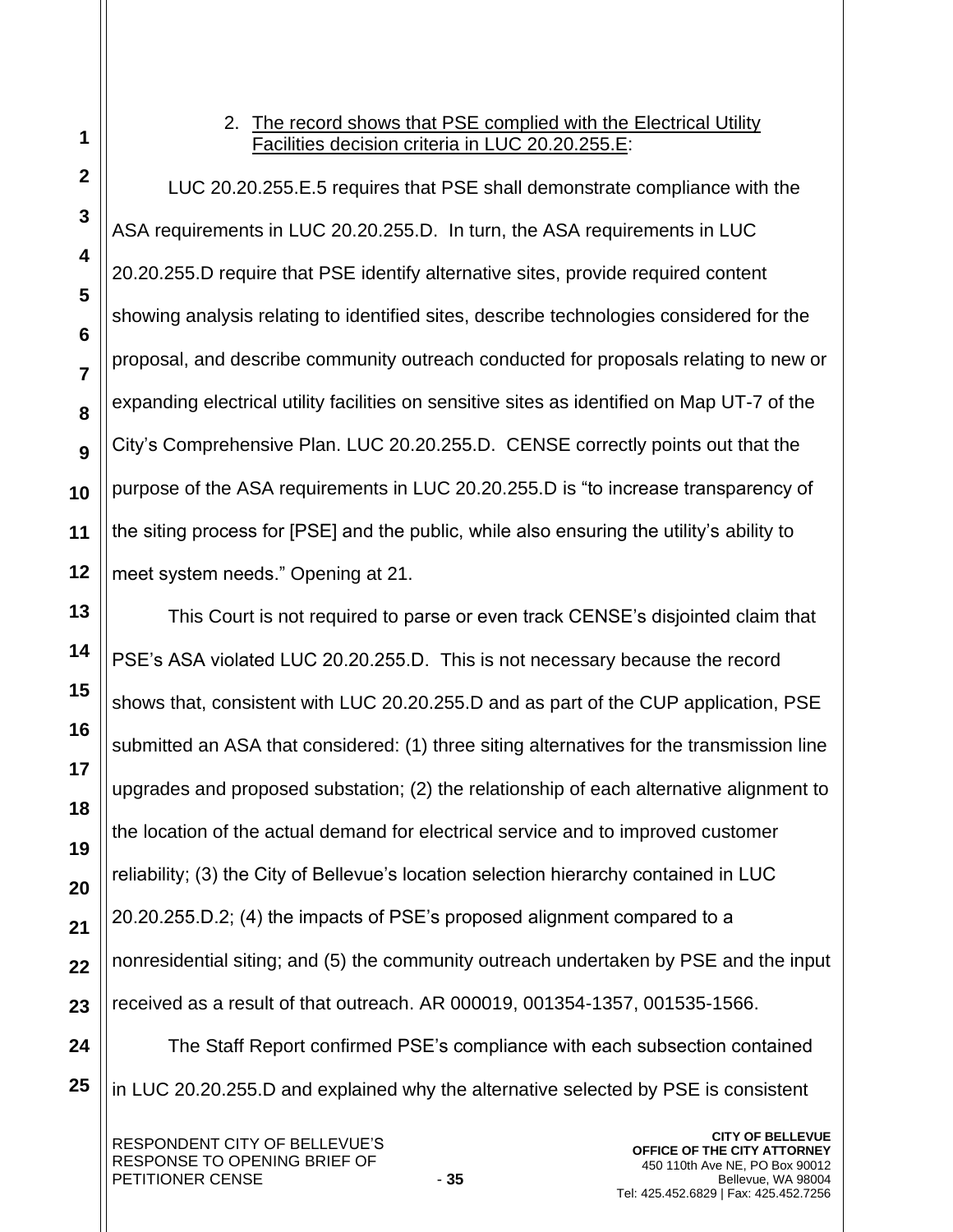# 2. The record shows that PSE complied with the Electrical Utility Facilities decision criteria in LUC 20.20.255.E:

LUC 20.20.255.E.5 requires that PSE shall demonstrate compliance with the ASA requirements in LUC 20.20.255.D. In turn, the ASA requirements in LUC 20.20.255.D require that PSE identify alternative [sites,](https://bellevue.municipal.codes/LUC/20.50.046__a7d6475ec8993b7224d6facc8cb0ead6) provide required content showing analysis relating to identified [sites,](https://bellevue.municipal.codes/LUC/20.50.046__a7d6475ec8993b7224d6facc8cb0ead6) describe technologies considered for the proposal, and describe community outreach conducted for proposals relating to new or expanding [electrical utility facilities](https://bellevue.municipal.codes/LUC/20.50.018__7c8e07414902bc7872154b40857c87f1) on sensitive [sites](https://bellevue.municipal.codes/LUC/20.50.046__a7d6475ec8993b7224d6facc8cb0ead6) as identified on Map UT-7 of the City's Comprehensive Plan. LUC 20.20.255.D. CENSE correctly points out that the purpose of the ASA requirements in LUC 20.20.255.D is "to increase transparency of the siting process for [PSE] and the public, while also ensuring the utility's ability to meet system needs." Opening at 21.

This Court is not required to parse or even track CENSE's disjointed claim that PSE's ASA violated LUC 20.20.255.D. This is not necessary because the record shows that, consistent with LUC 20.20.255.D and as part of the CUP application, PSE submitted an ASA that considered: (1) three siting alternatives for the transmission line upgrades and proposed substation; (2) the relationship of each alternative alignment to the location of the actual demand for electrical service and to improved customer reliability; (3) the City of Bellevue's location selection hierarchy contained in LUC 20.20.255.D.2; (4) the impacts of PSE's proposed alignment compared to a nonresidential siting; and (5) the community outreach undertaken by PSE and the input received as a result of that outreach. AR 000019, 001354-1357, 001535-1566.

The Staff Report confirmed PSE's compliance with each subsection contained in LUC 20.20.255.D and explained why the alternative selected by PSE is consistent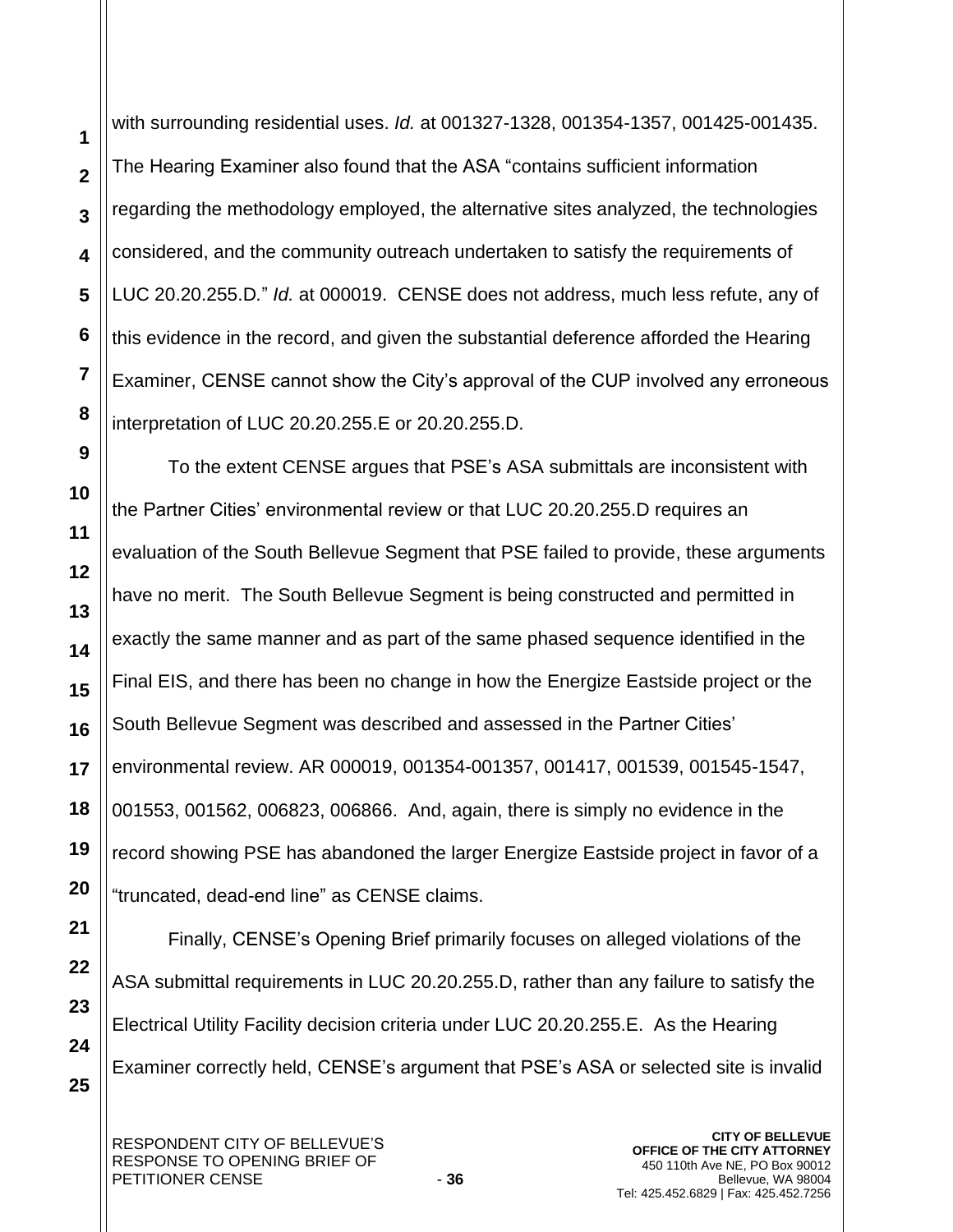with surrounding residential uses. *Id.* at 001327-1328, 001354-1357, 001425-001435. The Hearing Examiner also found that the ASA "contains sufficient information regarding the methodology employed, the alternative sites analyzed, the technologies considered, and the community outreach undertaken to satisfy the requirements of LUC 20.20.255.D*.*" *Id.* at 000019. CENSE does not address, much less refute, any of this evidence in the record, and given the substantial deference afforded the Hearing Examiner, CENSE cannot show the City's approval of the CUP involved any erroneous interpretation of LUC 20.20.255.E or 20.20.255.D.

To the extent CENSE argues that PSE's ASA submittals are inconsistent with the Partner Cities' environmental review or that LUC 20.20.255.D requires an evaluation of the South Bellevue Segment that PSE failed to provide, these arguments have no merit. The South Bellevue Segment is being constructed and permitted in exactly the same manner and as part of the same phased sequence identified in the Final EIS, and there has been no change in how the Energize Eastside project or the South Bellevue Segment was described and assessed in the Partner Cities' environmental review. AR 000019, 001354-001357, 001417, 001539, 001545-1547, 001553, 001562, 006823, 006866. And, again, there is simply no evidence in the record showing PSE has abandoned the larger Energize Eastside project in favor of a "truncated, dead-end line" as CENSE claims.

**25**

**1**

**2**

**3**

**4**

**5**

**6**

**7**

**8**

**9**

**10**

**11**

**12**

**13**

**14**

**15**

Finally, CENSE's Opening Brief primarily focuses on alleged violations of the ASA submittal requirements in LUC 20.20.255.D, rather than any failure to satisfy the Electrical Utility Facility decision criteria under LUC 20.20.255.E. As the Hearing Examiner correctly held, CENSE's argument that PSE's ASA or selected site is invalid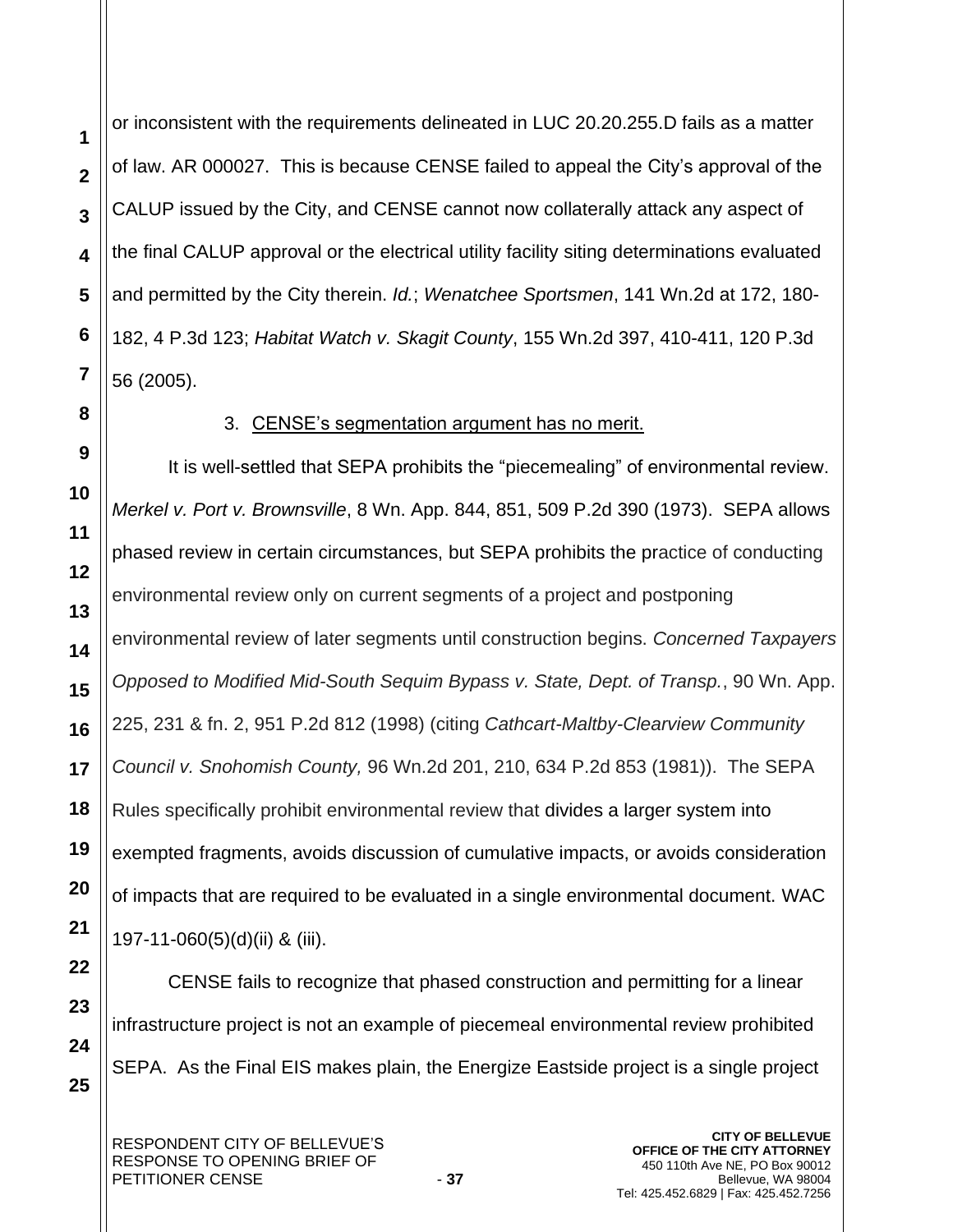or inconsistent with the requirements delineated in LUC 20.20.255.D fails as a matter of law. AR 000027. This is because CENSE failed to appeal the City's approval of the CALUP issued by the City, and CENSE cannot now collaterally attack any aspect of the final CALUP approval or the electrical utility facility siting determinations evaluated and permitted by the City therein. *Id.*; *Wenatchee Sportsmen*, 141 Wn.2d at 172, 180- 182, 4 P.3d 123; *Habitat Watch v. Skagit County*, 155 Wn.2d 397, 410-411, 120 P.3d 56 (2005).

**1**

**2**

**3**

**4**

**5**

**6**

**7**

**8**

**9**

**10**

**11**

**12**

**13**

**14**

**15**

**16**

**17**

**18**

**19**

**20**

**21**

**22**

**23**

**24**

**25**

## 3. CENSE's segmentation argument has no merit.

It is well-settled that SEPA prohibits the "piecemealing" of environmental review. *Merkel v. Port v. Brownsville*, 8 Wn. App. 844, 851, 509 P.2d 390 (1973). SEPA allows phased review in certain circumstances, but SEPA prohibits the practice of conducting environmental review only on current segments of a project and postponing environmental review of later segments until construction begins. *Concerned Taxpayers Opposed to Modified Mid-South Sequim Bypass v. State, Dept. of Transp.*, 90 Wn. App. 225, 231 & fn. 2, 951 P.2d 812 (1998) (citing *Cathcart-Maltby-Clearview Community Council v. Snohomish County,* 96 Wn.2d 201, 210, 634 P.2d 853 (1981)). The SEPA Rules specifically prohibit environmental review that divides a larger system into exempted fragments, avoids discussion of cumulative impacts, or avoids consideration of impacts that are required to be evaluated in a single environmental document. [WAC](https://1.next.westlaw.com/Link/Document/FullText?findType=L&pubNum=1003807&cite=WAADC197-11-060&originatingDoc=I29e42448f69f11e8a5b3e3d9e23d7429&refType=LQ&originationContext=document&transitionType=DocumentItem&contextData=(sc.Search))  [197-11-060\(5\)\(d\)\(ii\) & \(iii\).](https://1.next.westlaw.com/Link/Document/FullText?findType=L&pubNum=1003807&cite=WAADC197-11-060&originatingDoc=I29e42448f69f11e8a5b3e3d9e23d7429&refType=LQ&originationContext=document&transitionType=DocumentItem&contextData=(sc.Search))

CENSE fails to recognize that phased construction and permitting for a linear infrastructure project is not an example of piecemeal environmental review prohibited SEPA. As the Final EIS makes plain, the Energize Eastside project is a single project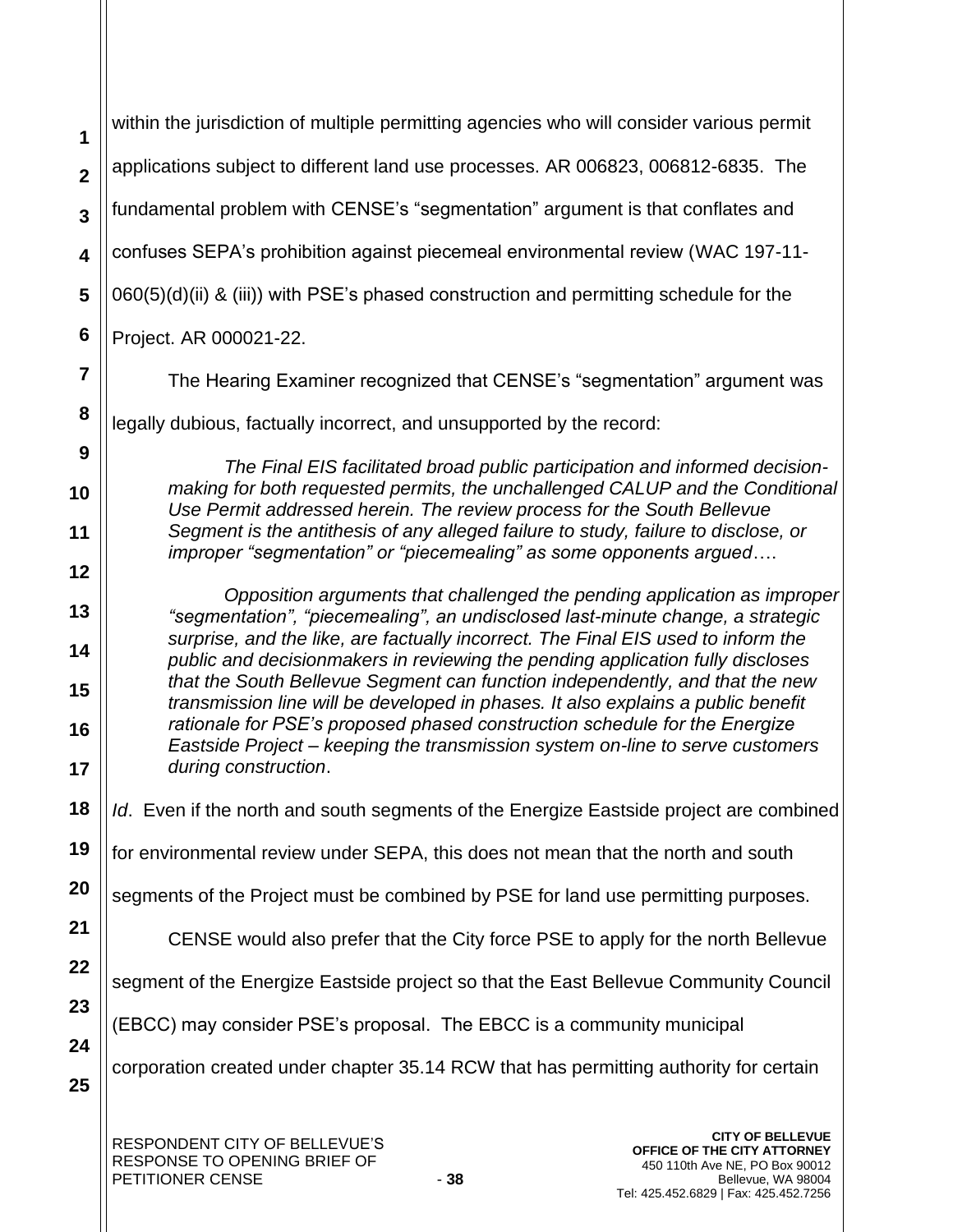| 1                       | within the jurisdiction of multiple permitting agencies who will consider various permit                                                                            |
|-------------------------|---------------------------------------------------------------------------------------------------------------------------------------------------------------------|
| $\overline{2}$          | applications subject to different land use processes. AR 006823, 006812-6835. The                                                                                   |
| 3                       | fundamental problem with CENSE's "segmentation" argument is that conflates and                                                                                      |
| $\overline{\mathbf{4}}$ | confuses SEPA's prohibition against piecemeal environmental review (WAC 197-11-                                                                                     |
| 5                       | 060(5)(d)(ii) & (iii)) with PSE's phased construction and permitting schedule for the                                                                               |
| 6                       | Project. AR 000021-22.                                                                                                                                              |
| 7                       | The Hearing Examiner recognized that CENSE's "segmentation" argument was                                                                                            |
| 8                       | legally dubious, factually incorrect, and unsupported by the record:                                                                                                |
| 9                       | The Final EIS facilitated broad public participation and informed decision-                                                                                         |
| 10                      | making for both requested permits, the unchallenged CALUP and the Conditional<br>Use Permit addressed herein. The review process for the South Bellevue             |
| 11                      | Segment is the antithesis of any alleged failure to study, failure to disclose, or                                                                                  |
| 12                      | improper "segmentation" or "piecemealing" as some opponents argued                                                                                                  |
| 13                      | Opposition arguments that challenged the pending application as improper<br>"segmentation", "piecemealing", an undisclosed last-minute change, a strategic          |
| 14                      | surprise, and the like, are factually incorrect. The Final EIS used to inform the<br>public and decisionmakers in reviewing the pending application fully discloses |
| 15                      | that the South Bellevue Segment can function independently, and that the new<br>transmission line will be developed in phases. It also explains a public benefit    |
| 16                      | rationale for PSE's proposed phased construction schedule for the Energize<br>Eastside Project – keeping the transmission system on-line to serve customers         |
| 17                      | during construction.                                                                                                                                                |
| 18                      | Id. Even if the north and south segments of the Energize Eastside project are combined                                                                              |
| 19                      | for environmental review under SEPA, this does not mean that the north and south                                                                                    |
| 20                      | segments of the Project must be combined by PSE for land use permitting purposes.                                                                                   |
| 21                      | CENSE would also prefer that the City force PSE to apply for the north Bellevue                                                                                     |
| 22                      | segment of the Energize Eastside project so that the East Bellevue Community Council                                                                                |
| 23                      | (EBCC) may consider PSE's proposal. The EBCC is a community municipal                                                                                               |
| 24                      |                                                                                                                                                                     |
| 25                      | corporation created under chapter 35.14 RCW that has permitting authority for certain                                                                               |
|                         | <b>CITY OF BELLEVUE</b><br>RESPONDENT CITY OF BELLEVUE'S<br>OFFICE OF THE CITY ATTORNEY<br>RESPONSE TO OPENING BRIEF OF<br>450 110th Ave NE, PO Box 90012           |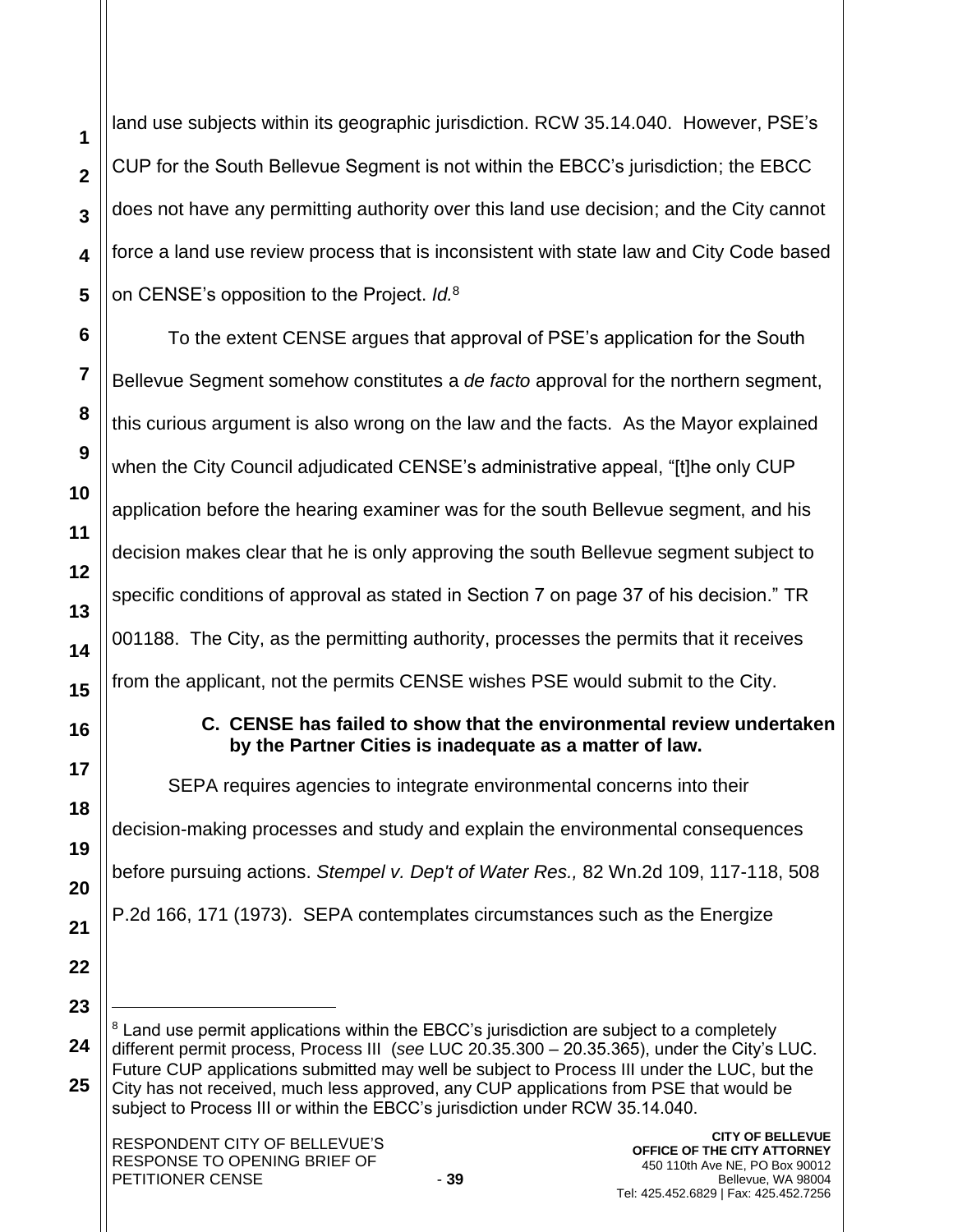land use subjects within its geographic jurisdiction. RCW 35.14.040. However, PSE's CUP for the South Bellevue Segment is not within the EBCC's jurisdiction; the EBCC does not have any permitting authority over this land use decision; and the City cannot force a land use review process that is inconsistent with state law and City Code based on CENSE's opposition to the Project. *Id.*<sup>8</sup>

To the extent CENSE argues that approval of PSE's application for the South Bellevue Segment somehow constitutes a *de facto* approval for the northern segment, this curious argument is also wrong on the law and the facts. As the Mayor explained when the City Council adjudicated CENSE's administrative appeal, "[t]he only CUP application before the hearing examiner was for the south Bellevue segment, and his decision makes clear that he is only approving the south Bellevue segment subject to specific conditions of approval as stated in Section 7 on page 37 of his decision." TR 001188. The City, as the permitting authority, processes the permits that it receives from the applicant, not the permits CENSE wishes PSE would submit to the City.

# **C. CENSE has failed to show that the environmental review undertaken by the Partner Cities is inadequate as a matter of law.**

SEPA requires agencies to integrate environmental concerns into their decision-making processes and study and explain the environmental consequences before pursuing actions. *[Stempel v. Dep't of Water Res.,](https://1.next.westlaw.com/Link/Document/FullText?findType=Y&serNum=1973122790&pubNum=0000661&originatingDoc=I0b225fa09f6a11e5be73e186f6bc2536&refType=RP&fi=co_pp_sp_661_171&originationContext=document&transitionType=DocumentItem&contextData=(sc.Search)#co_pp_sp_661_171)* 82 Wn.2d 109, 117-118, 508 [P.2d 166, 171 \(1973\).](https://1.next.westlaw.com/Link/Document/FullText?findType=Y&serNum=1973122790&pubNum=0000661&originatingDoc=I0b225fa09f6a11e5be73e186f6bc2536&refType=RP&fi=co_pp_sp_661_171&originationContext=document&transitionType=DocumentItem&contextData=(sc.Search)#co_pp_sp_661_171) SEPA contemplates circumstances such as the Energize

 $8$  Land use permit applications within the EBCC's jurisdiction are subject to a completely different permit process, Process III (*see* LUC 20.35.300 – 20.35.365), under the City's LUC. Future CUP applications submitted may well be subject to Process III under the LUC, but the City has not received, much less approved, any CUP applications from PSE that would be subject to Process III or within the EBCC's jurisdiction under RCW 35.14.040.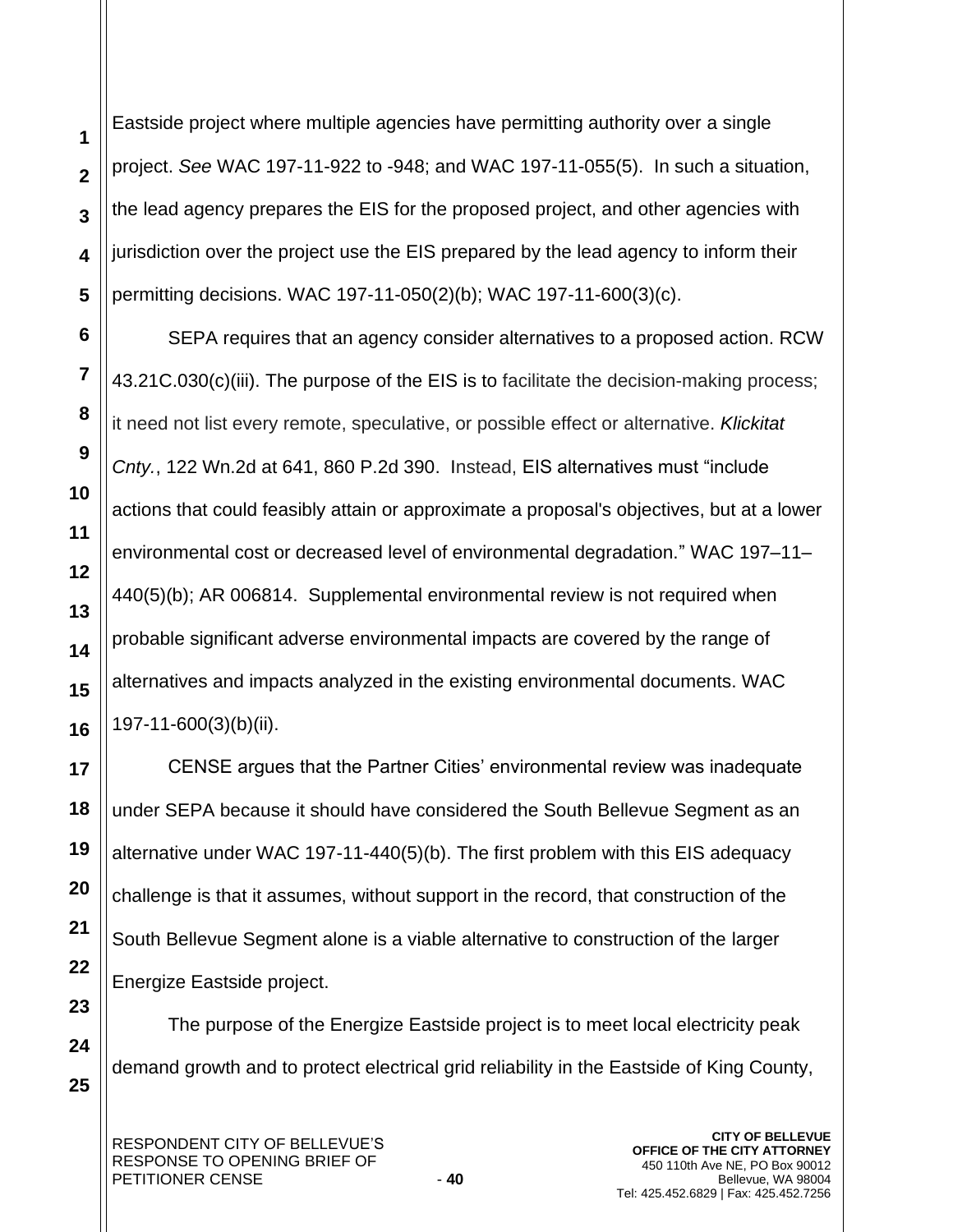Eastside project where multiple agencies have permitting authority over a single project. *See* [WAC 197-11-922](https://1.next.westlaw.com/Link/Document/FullText?findType=L&pubNum=1003807&cite=WAADC197-11-922&originatingDoc=I0b225fa09f6a11e5be73e186f6bc2536&refType=LQ&originationContext=document&transitionType=DocumentItem&contextData=(sc.Search)) to [-948;](https://1.next.westlaw.com/Link/Document/FullText?findType=L&pubNum=1003807&cite=WAADC197-11-948&originatingDoc=I0b225fa09f6a11e5be73e186f6bc2536&refType=LQ&originationContext=document&transitionType=DocumentItem&contextData=(sc.Search)) and [WAC 197-11-055\(5\).](https://1.next.westlaw.com/Link/Document/FullText?findType=L&pubNum=1003807&cite=WAADC197-11-055&originatingDoc=I0b225fa09f6a11e5be73e186f6bc2536&refType=LQ&originationContext=document&transitionType=DocumentItem&contextData=(sc.Search)) In such a situation, the lead agency prepares the EIS for the proposed project, and other agencies with jurisdiction over the project use the EIS prepared by the lead agency to inform their permitting decisions. [WAC 197-11-050\(2\)\(b\);](https://1.next.westlaw.com/Link/Document/FullText?findType=L&pubNum=1003807&cite=WAADC197-11-050&originatingDoc=I0b225fa09f6a11e5be73e186f6bc2536&refType=LQ&originationContext=document&transitionType=DocumentItem&contextData=(sc.Search)) WAC 197-11-600(3)(c).

SEPA requires that an agency consider alternatives to a proposed action. RCW 43.21C.030(c)(iii). The purpose of the EIS is to facilitate the decision-making process; it need not list every remote, speculative, or possible effect or alternative. *Klickitat Cnty.*, 122 Wn.2d at 641, 860 P.2d 390. Instead, EIS alternatives must "include actions that could feasibly attain or approximate a proposal's objectives, but at a lower environmental cost or decreased level of environmental degradation." WAC 197–11– 440(5)(b); AR 006814. Supplemental environmental review is not required when probable significant adverse environmental impacts are covered by the range of alternatives and impacts analyzed in the existing environmental documents. WAC 197-11-600(3)(b)(ii).

CENSE argues that the Partner Cities' environmental review was inadequate under SEPA because it should have considered the South Bellevue Segment as an alternative under WAC 197-11-440(5)(b). The first problem with this EIS adequacy challenge is that it assumes, without support in the record, that construction of the South Bellevue Segment alone is a viable alternative to construction of the larger Energize Eastside project.

The purpose of the Energize Eastside project is to meet local electricity peak demand growth and to protect electrical grid reliability in the Eastside of King County,

**1**

**2**

**3**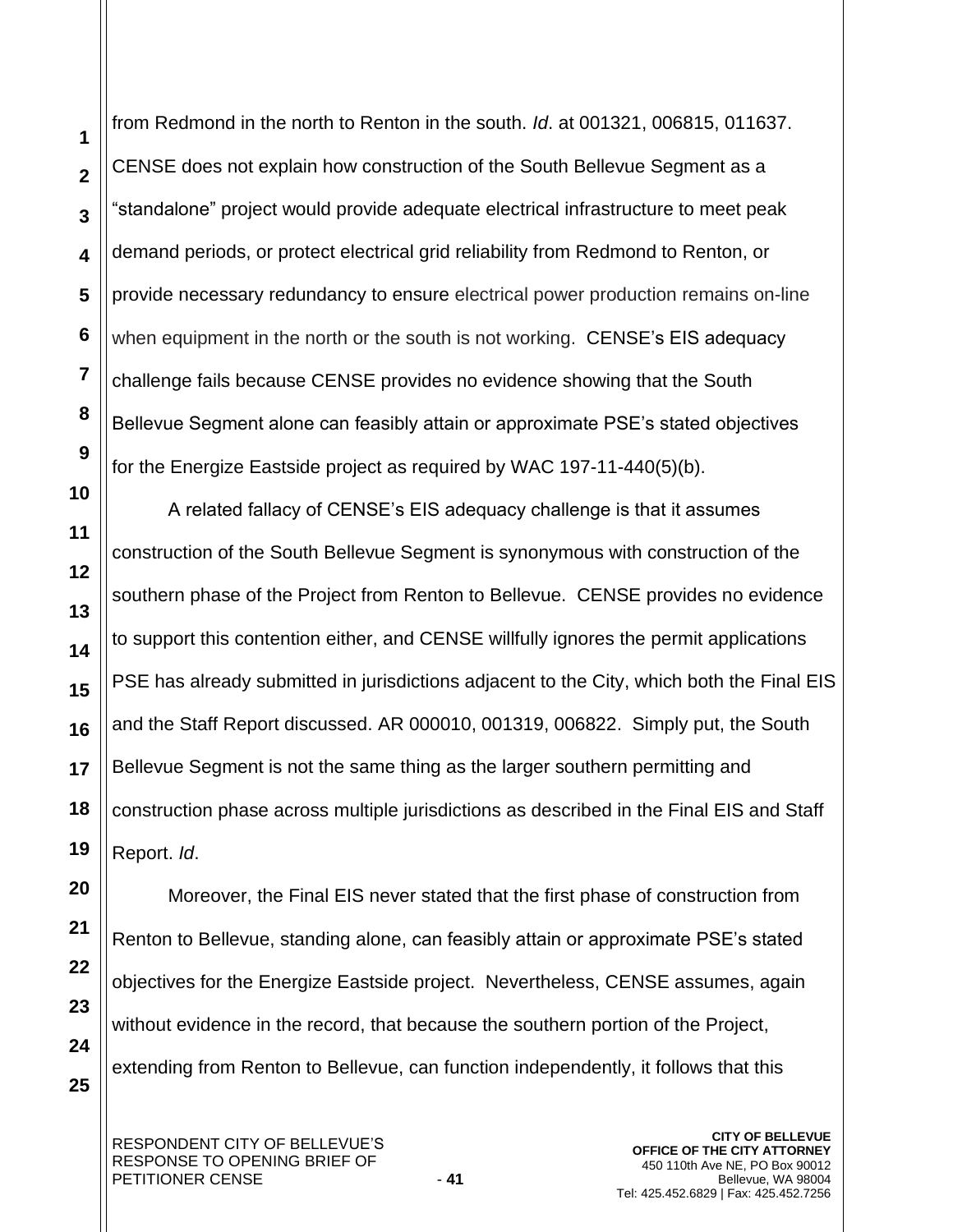from Redmond in the north to Renton in the south. *Id*. at 001321, 006815, 011637. CENSE does not explain how construction of the South Bellevue Segment as a "standalone" project would provide adequate electrical infrastructure to meet peak demand periods, or protect electrical grid reliability from Redmond to Renton, or provide necessary redundancy to ensure electrical power production remains on-line when equipment in the north or the south is not working. CENSE's EIS adequacy challenge fails because CENSE provides no evidence showing that the South Bellevue Segment alone can feasibly attain or approximate PSE's stated objectives for the Energize Eastside project as required by WAC 197-11-440(5)(b).

A related fallacy of CENSE's EIS adequacy challenge is that it assumes construction of the South Bellevue Segment is synonymous with construction of the southern phase of the Project from Renton to Bellevue. CENSE provides no evidence to support this contention either, and CENSE willfully ignores the permit applications PSE has already submitted in jurisdictions adjacent to the City, which both the Final EIS and the Staff Report discussed. AR 000010, 001319, 006822. Simply put, the South Bellevue Segment is not the same thing as the larger southern permitting and construction phase across multiple jurisdictions as described in the Final EIS and Staff Report. *Id*.

Moreover, the Final EIS never stated that the first phase of construction from Renton to Bellevue, standing alone, can feasibly attain or approximate PSE's stated objectives for the Energize Eastside project. Nevertheless, CENSE assumes, again without evidence in the record, that because the southern portion of the Project, extending from Renton to Bellevue, can function independently, it follows that this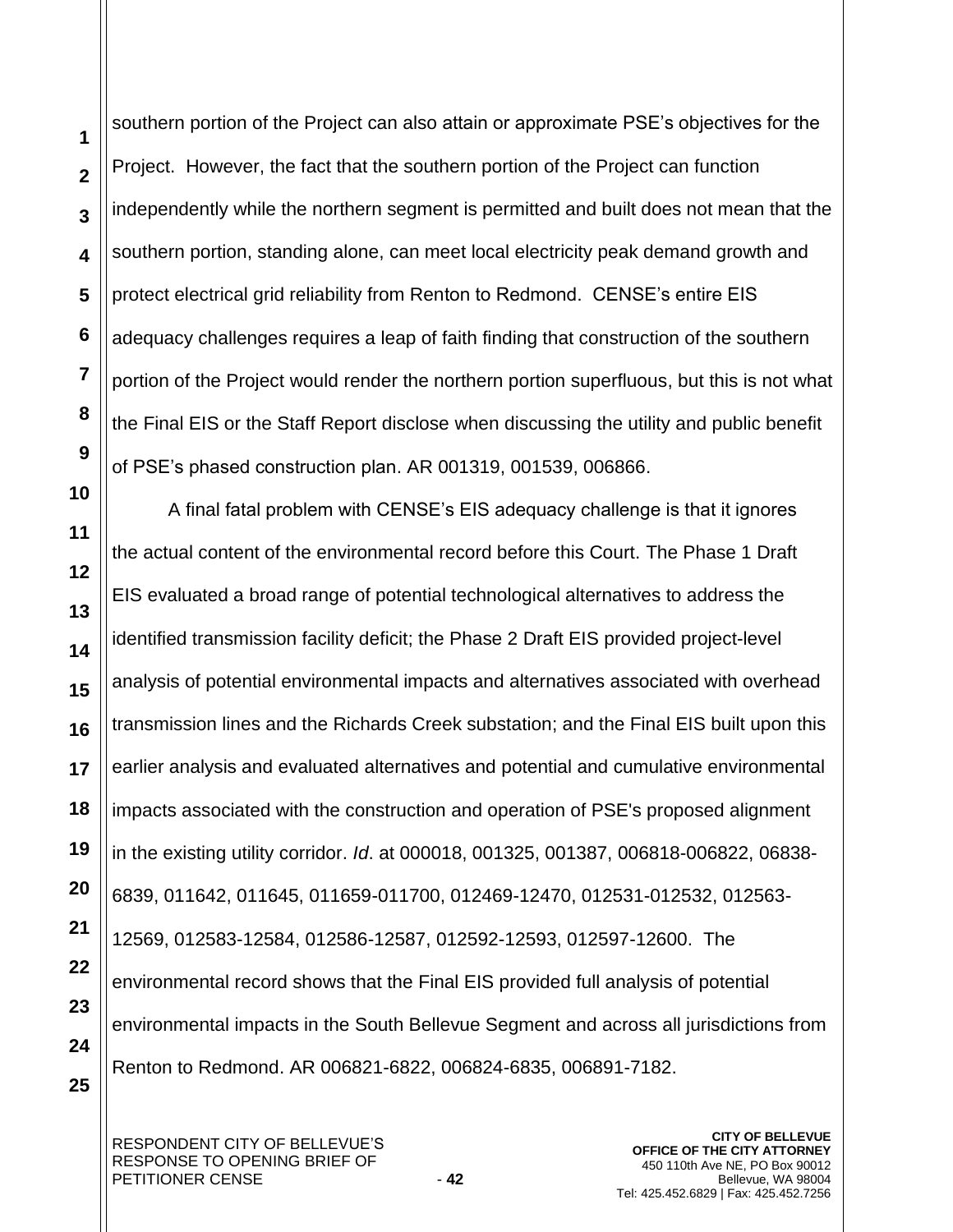**25**

southern portion of the Project can also attain or approximate PSE's objectives for the Project. However, the fact that the southern portion of the Project can function independently while the northern segment is permitted and built does not mean that the southern portion, standing alone, can meet local electricity peak demand growth and protect electrical grid reliability from Renton to Redmond. CENSE's entire EIS adequacy challenges requires a leap of faith finding that construction of the southern portion of the Project would render the northern portion superfluous, but this is not what the Final EIS or the Staff Report disclose when discussing the utility and public benefit of PSE's phased construction plan. AR 001319, 001539, 006866.

A final fatal problem with CENSE's EIS adequacy challenge is that it ignores the actual content of the environmental record before this Court. The Phase 1 Draft EIS evaluated a broad range of potential technological alternatives to address the identified transmission facility deficit; the Phase 2 Draft EIS provided project-level analysis of potential environmental impacts and alternatives associated with overhead transmission lines and the Richards Creek substation; and the Final EIS built upon this earlier analysis and evaluated alternatives and potential and cumulative environmental impacts associated with the construction and operation of PSE's proposed alignment in the existing utility corridor. *Id*. at 000018, 001325, 001387, 006818-006822, 06838- 6839, 011642, 011645, 011659-011700, 012469-12470, 012531-012532, 012563- 12569, 012583-12584, 012586-12587, 012592-12593, 012597-12600. The environmental record shows that the Final EIS provided full analysis of potential environmental impacts in the South Bellevue Segment and across all jurisdictions from Renton to Redmond. AR 006821-6822, 006824-6835, 006891-7182.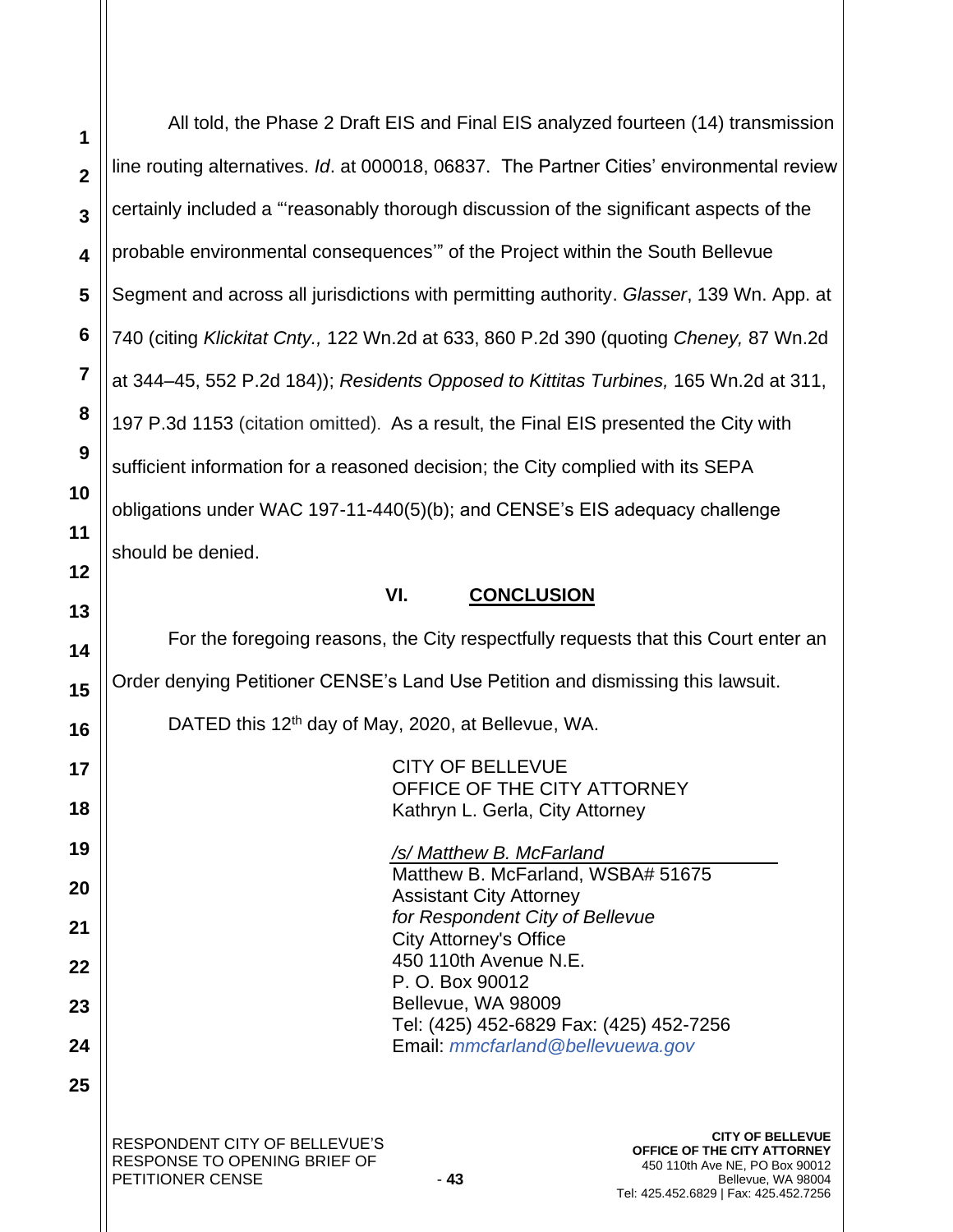RESPONDENT CITY OF BELLEVUE'S RESPONSE TO OPENING BRIEF OF PETITIONER CENSE 43 **1 2 3 4 5 6 7 8 9 10 11 12 13 14 15 16 17 18 19 20 21 22 23 24 25 CITY OF BELLEVUE OFFICE OF THE CITY ATTORNEY** 450 110th Ave NE, PO Box 90012 Bellevue, WA 98004 All told, the Phase 2 Draft EIS and Final EIS analyzed fourteen (14) transmission line routing alternatives. *Id*. at 000018, 06837. The Partner Cities' environmental review certainly included a "'reasonably thorough discussion of the significant aspects of the probable environmental consequences'" of the Project within the South Bellevue Segment and across all jurisdictions with permitting authority. *Glasser*, 139 Wn. App. at 740 (citing *Klickitat Cnty.,* 122 Wn.2d at 633, 860 P.2d 390 (quoting *Cheney,* 87 Wn.2d at 344–45, 552 P.2d 184)); *Residents Opposed to Kittitas Turbines,* 165 Wn.2d at 311, 197 P.3d 1153 (citation omitted). As a result, the Final EIS presented the City with sufficient information for a reasoned decision; the City complied with its SEPA obligations under WAC 197-11-440(5)(b); and CENSE's EIS adequacy challenge should be denied. **VI. CONCLUSION** For the foregoing reasons, the City respectfully requests that this Court enter an Order denying Petitioner CENSE's Land Use Petition and dismissing this lawsuit. DATED this 12<sup>th</sup> day of May, 2020, at Bellevue, WA. CITY OF BELLEVUE OFFICE OF THE CITY ATTORNEY Kathryn L. Gerla, City Attorney */s/ Matthew B. McFarland* Matthew B. McFarland, WSBA# 51675 Assistant City Attorney *for Respondent City of Bellevue* City Attorney's Office 450 110th Avenue N.E. P. O. Box 90012 Bellevue, WA 98009 Tel: (425) 452-6829 Fax: (425) 452-7256 Email: *[mmcfarland@bellevuewa.gov](mailto:mmcfarland@bellevuewa.gov)*

Tel: 425.452.6829 | Fax: 425.452.7256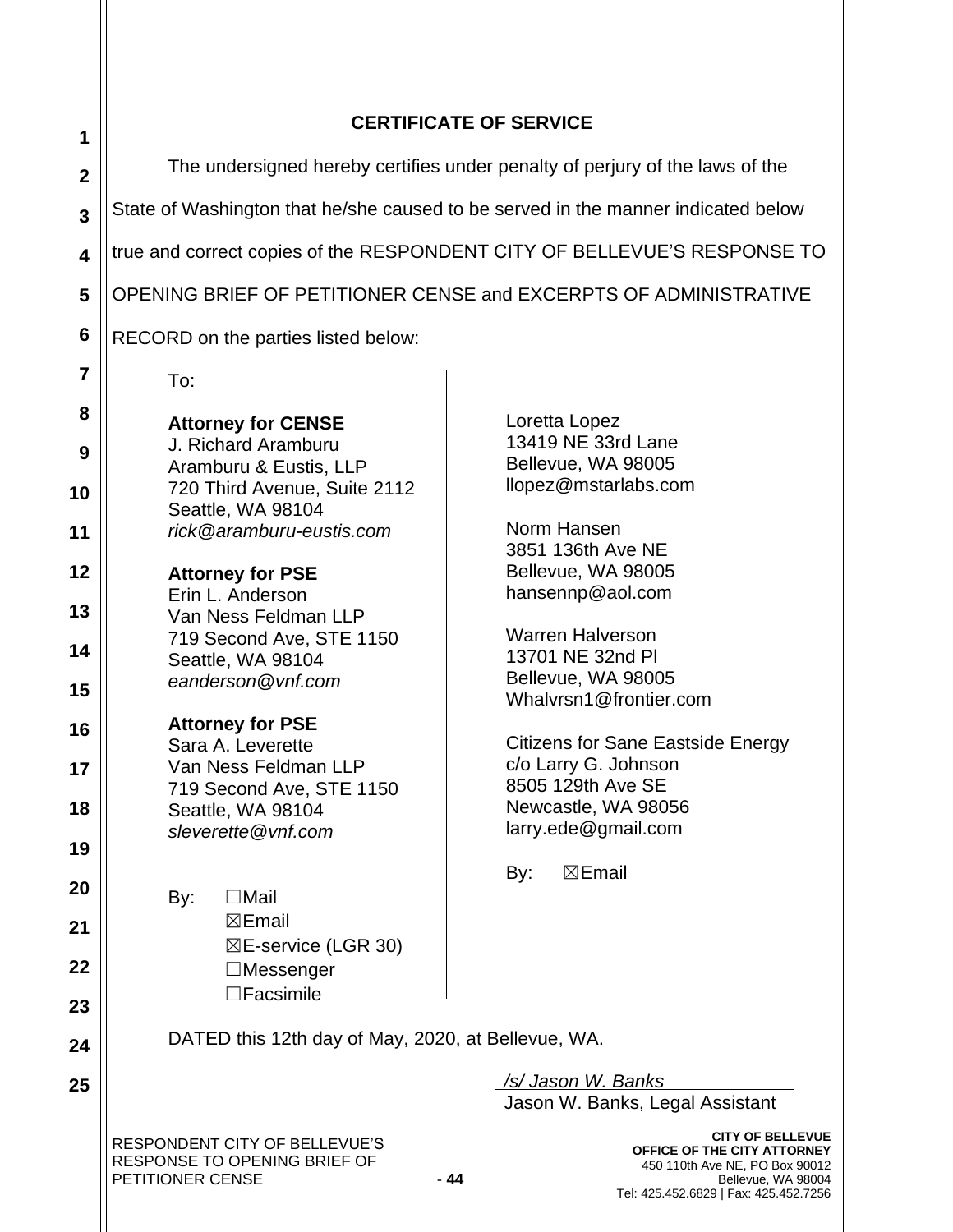# **CERTIFICATE OF SERVICE**

| 1                       |                                                                                   |                                                                                                                         |
|-------------------------|-----------------------------------------------------------------------------------|-------------------------------------------------------------------------------------------------------------------------|
| $\mathbf{2}$            | The undersigned hereby certifies under penalty of perjury of the laws of the      |                                                                                                                         |
| $\overline{\mathbf{3}}$ | State of Washington that he/she caused to be served in the manner indicated below |                                                                                                                         |
| $\overline{\mathbf{4}}$ | true and correct copies of the RESPONDENT CITY OF BELLEVUE'S RESPONSE TO          |                                                                                                                         |
| 5                       | OPENING BRIEF OF PETITIONER CENSE and EXCERPTS OF ADMINISTRATIVE                  |                                                                                                                         |
| $6\phantom{1}6$         | RECORD on the parties listed below:                                               |                                                                                                                         |
| $\overline{7}$          | To:                                                                               |                                                                                                                         |
| 8                       | <b>Attorney for CENSE</b>                                                         | Loretta Lopez                                                                                                           |
| 9                       | J. Richard Aramburu<br>Aramburu & Eustis, LLP                                     | 13419 NE 33rd Lane<br>Bellevue, WA 98005                                                                                |
| 10                      | 720 Third Avenue, Suite 2112<br>Seattle, WA 98104                                 | llopez@mstarlabs.com                                                                                                    |
| 11                      | rick@aramburu-eustis.com                                                          | Norm Hansen<br>3851 136th Ave NE                                                                                        |
| 12                      | <b>Attorney for PSE</b>                                                           | Bellevue, WA 98005<br>hansennp@aol.com                                                                                  |
| 13                      | Erin L. Anderson<br>Van Ness Feldman LLP                                          | <b>Warren Halverson</b>                                                                                                 |
| 14                      | 719 Second Ave, STE 1150<br>Seattle, WA 98104                                     | 13701 NE 32nd PI                                                                                                        |
| 15                      | eanderson@vnf.com                                                                 | Bellevue, WA 98005<br>Whalvrsn1@frontier.com                                                                            |
| 16                      | <b>Attorney for PSE</b><br>Sara A. Leverette                                      | <b>Citizens for Sane Eastside Energy</b>                                                                                |
| 17                      | Van Ness Feldman LLP<br>719 Second Ave, STE 1150                                  | c/o Larry G. Johnson<br>8505 129th Ave SE                                                                               |
| 18                      | Seattle, WA 98104<br>sleverette@vnf.com                                           | Newcastle, WA 98056<br>larry.ede@gmail.com                                                                              |
| 19                      |                                                                                   | $\boxtimes$ Email<br>By:                                                                                                |
| 20                      | $\Box$ Mail<br>By:                                                                |                                                                                                                         |
| 21                      | $\boxtimes$ Email<br>$\boxtimes$ E-service (LGR 30)                               |                                                                                                                         |
| 22                      | $\Box$ Messenger<br>$\Box$ Facsimile                                              |                                                                                                                         |
| 23                      | DATED this 12th day of May, 2020, at Bellevue, WA.                                |                                                                                                                         |
| 24                      |                                                                                   |                                                                                                                         |
| 25                      |                                                                                   | /s/ Jason W. Banks<br>Jason W. Banks, Legal Assistant                                                                   |
|                         | RESPONDENT CITY OF BELLEVUE'S<br>RESPONSE TO OPENING BRIEF OF<br>PETITIONER CENSE | <b>CITY OF BELLEVUE</b><br>OFFICE OF THE CITY ATTORNEY<br>450 110th Ave NE, PO Box 90012<br>$-44$<br>Bellevue, WA 98004 |

Tel: 425.452.6829 | Fax: 425.452.7256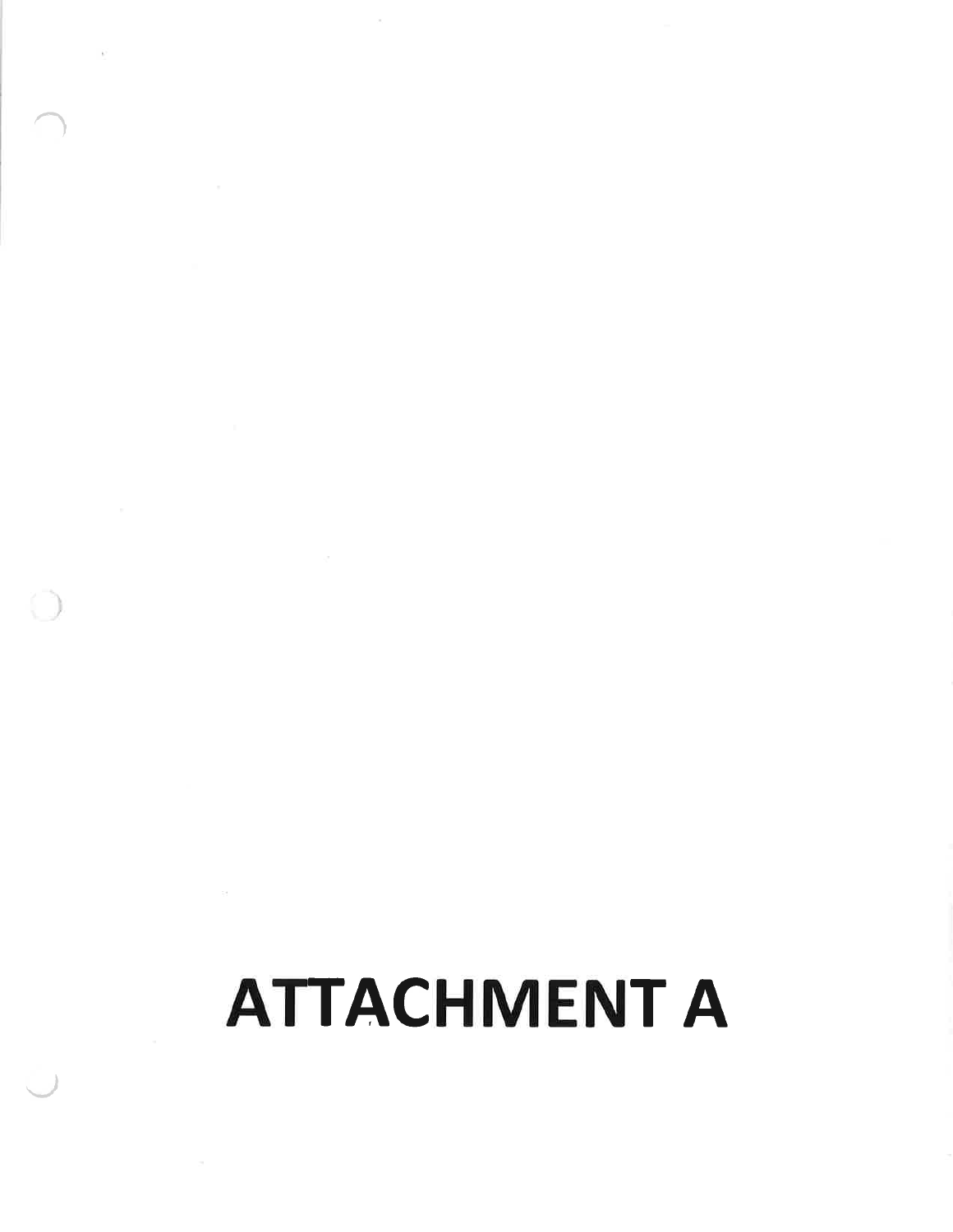# **ATTACHMENT A**

 $\tilde{h}$ 

 $\bigcirc$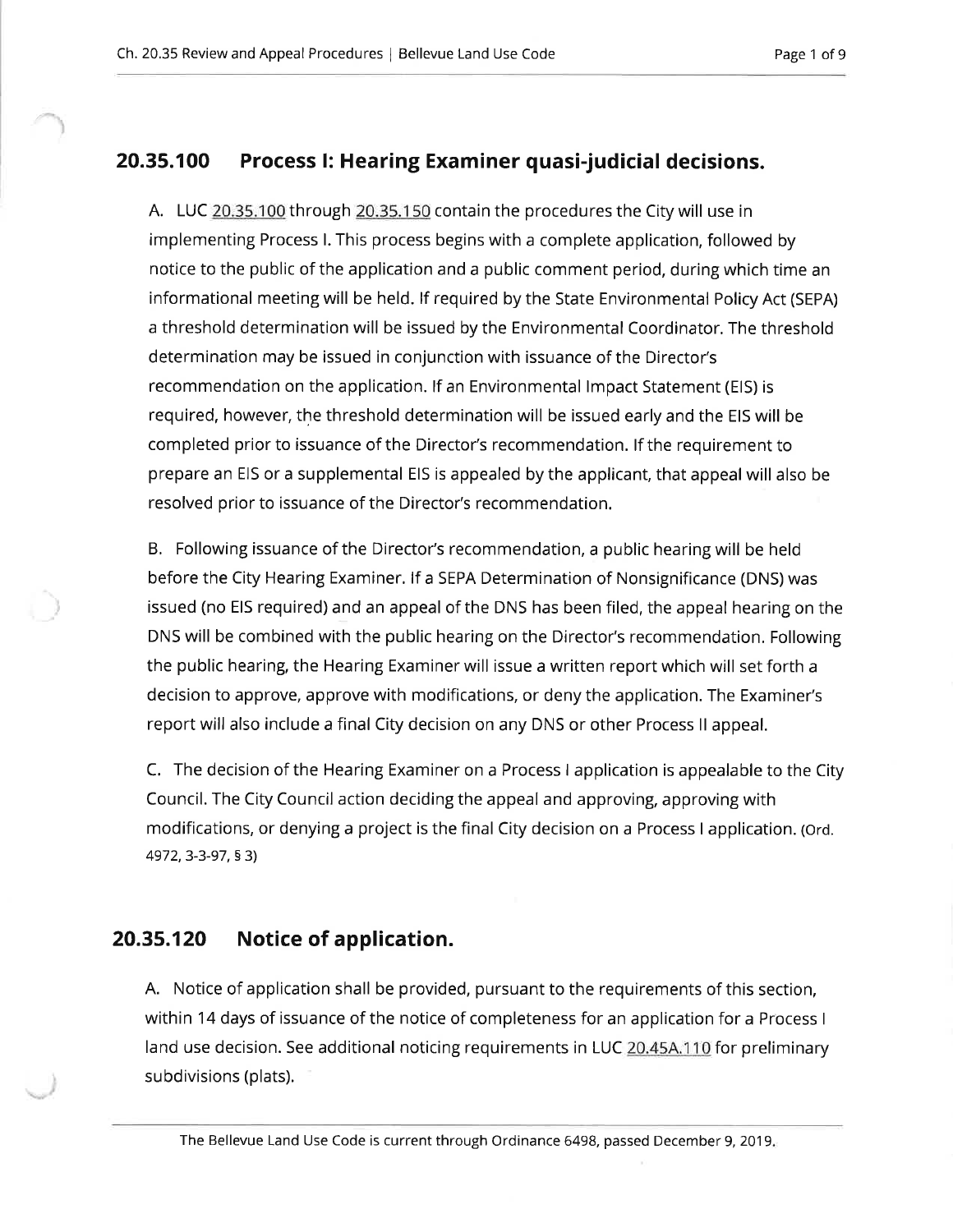#### 20.35.100 Process I: Hearing Examiner quasi-judicial decisions.

A. LUC 20.35.100 through 20.35.150 contain the procedures the City will use in implementing Process I. This process begins with a complete application, followed by notice to the public of the application and a public comment period, during which time an informational meeting will be held. If required by the State Environmental Policy Act (SEPA) a threshold determination will be issued by the Environmental Coordinator. The threshold determination may be issued in conjunction with issuance of the Director's recommendation on the application. If an Environmental Impact Statement (EIS) is required, however, the threshold determination will be issued early and the EIS will be completed prior to issuance of the Director's recommendation. If the requirement to prepare an EIS or a supplemental EIS is appealed by the applicant, that appeal will also be resolved prior to issuance of the Director's recommendation.

B. Following issuance of the Director's recommendation, a public hearing will be held before the City Hearing Examiner. If a SEPA Determination of Nonsignificance (DNS) was issued (no EIS required) and an appeal of the DNS has been filed, the appeal hearing on the DNS will be combined with the public hearing on the Director's recommendation. Following the public hearing, the Hearing Examiner will issue a written report which will set forth a decision to approve, approve with modifications, or deny the application. The Examiner's report will also include a final City decision on any DNS or other Process II appeal.

C. The decision of the Hearing Examiner on a Process I application is appealable to the City Council. The City Council action deciding the appeal and approving, approving with modifications, or denying a project is the final City decision on a Process I application. (Ord. 4972, 3-3-97, § 3)

#### 20.35.120 Notice of application.

A. Notice of application shall be provided, pursuant to the requirements of this section, within 14 days of issuance of the notice of completeness for an application for a Process I land use decision. See additional noticing requirements in LUC 20.45A.110 for preliminary subdivisions (plats).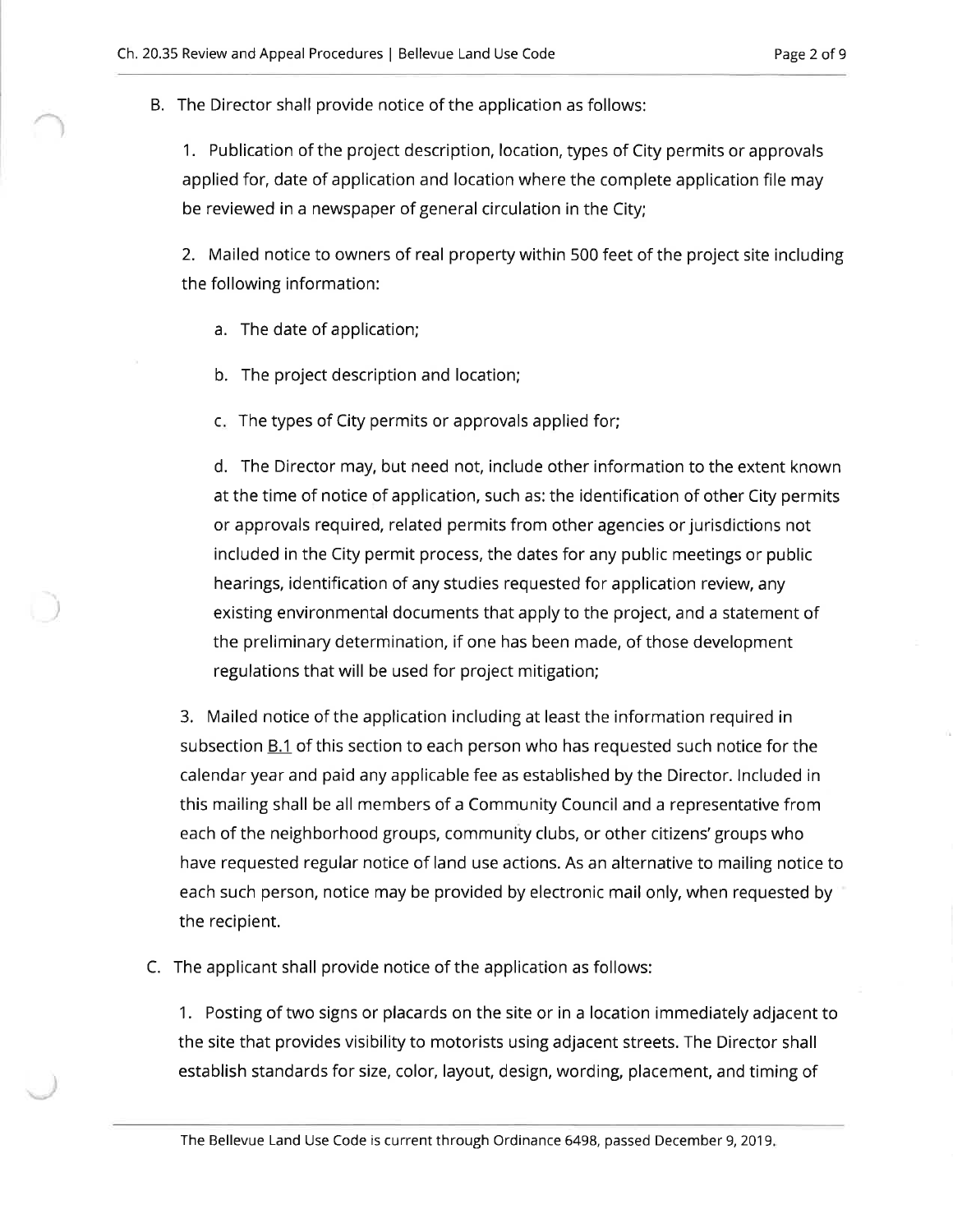B. The Director shall provide notice of the application as follows:

1. Publication of the project description, location, types of City permits or approvals applied for, date of application and location where the complete application file may be reviewed in a newspaper of general circulation in the City;

2. Mailed notice to owners of real property within 500 feet of the project site including the following information:

a. The date of application;

b. The project description and location;

c. The types of City permits or approvals applied for;

d. The Director may, but need not, include other information to the extent known at the time of notice of application, such as: the identification of other City permits or approvals required, related permits from other agencies or jurisdictions not included in the City permit process, the dates for any public meetings or public hearings, identification of any studies requested for application review, any existing environmental documents that apply to the project, and a statement of the preliminary determination, if one has been made, of those development regulations that will be used for project mitigation;

3. Mailed notice of the application including at least the information required in subsection B.1 of this section to each person who has requested such notice for the calendar year and paid any applicable fee as established by the Director. Included in this mailing shall be all members of a Community Council and a representative from each of the neighborhood groups, community clubs, or other citizens' groups who have requested regular notice of land use actions. As an alternative to mailing notice to each such person, notice may be provided by electronic mail only, when requested by the recipient.

C. The applicant shall provide notice of the application as follows:

1. Posting of two signs or placards on the site or in a location immediately adjacent to the site that provides visibility to motorists using adjacent streets. The Director shall establish standards for size, color, layout, design, wording, placement, and timing of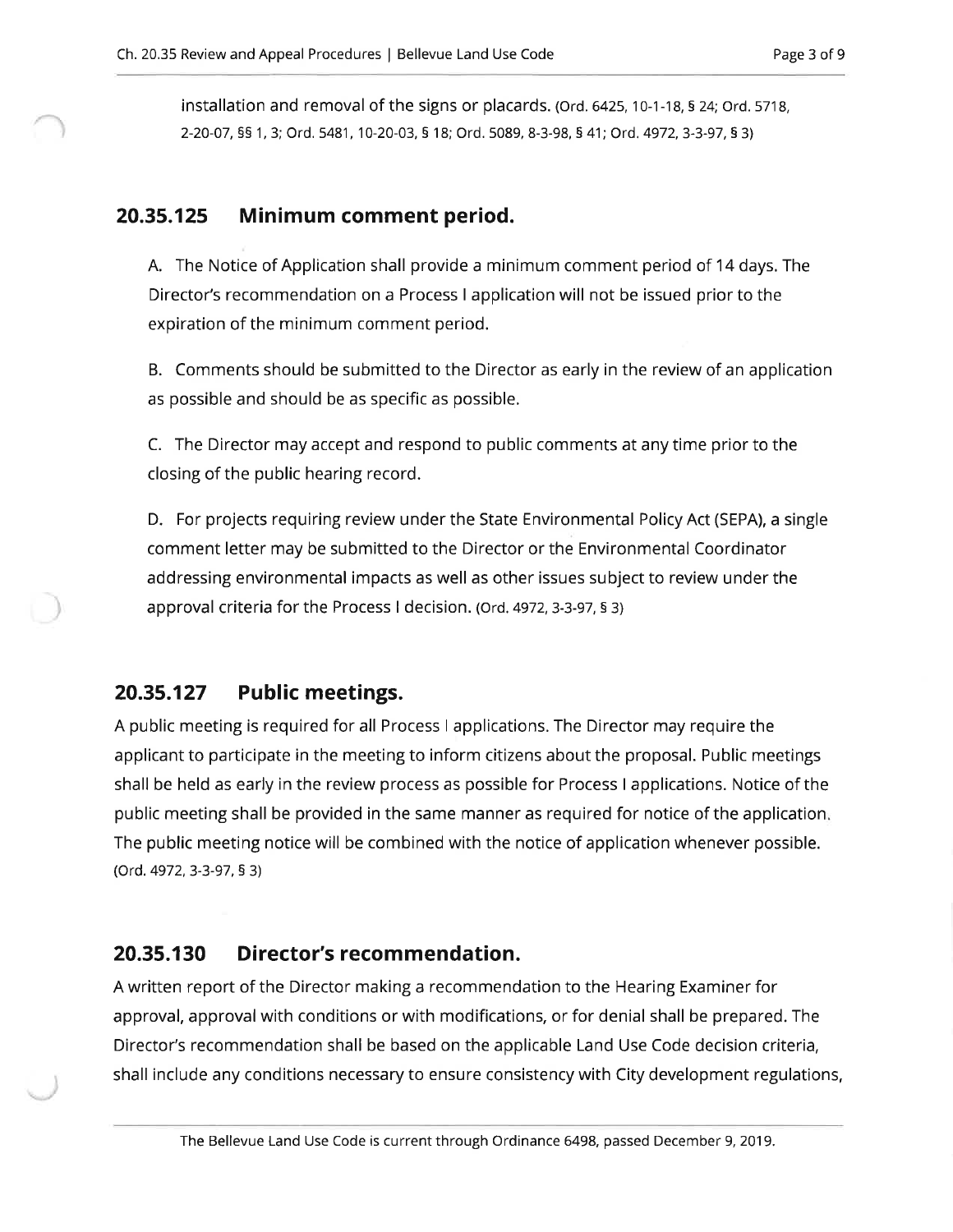installation and removal of the signs or placards. (Ord. 6425, 10-1-18, § 24; Ord. 5718, 2-20-07, §§ 1, 3; Ord. 5481, 10-20-03, § 18; Ord. 5089, 8-3-98, § 41; Ord. 4972, 3-3-97, § 3)

#### 20.35.125 Minimum comment period.

A. The Notice of Application shall provide a minimum comment period of 14 days. The Director's recommendation on a Process I application will not be issued prior to the expiration of the minimum comment period.

B. Comments should be submitted to the Director as early in the review of an application as possible and should be as specific as possible.

C. The Director may accept and respond to public comments at any time prior to the closing of the public hearing record.

D. For projects requiring review under the State Environmental Policy Act (SEPA), a single comment letter may be submitted to the Director or the Environmental Coordinator addressing environmental impacts as well as other issues subject to review under the approval criteria for the Process I decision. (Ord. 4972, 3-3-97, § 3)

#### 20.35.127 **Public meetings.**

A public meeting is required for all Process I applications. The Director may require the applicant to participate in the meeting to inform citizens about the proposal. Public meetings shall be held as early in the review process as possible for Process I applications. Notice of the public meeting shall be provided in the same manner as required for notice of the application. The public meeting notice will be combined with the notice of application whenever possible. (Ord. 4972, 3-3-97, § 3)

#### 20.35.130 Director's recommendation.

A written report of the Director making a recommendation to the Hearing Examiner for approval, approval with conditions or with modifications, or for denial shall be prepared. The Director's recommendation shall be based on the applicable Land Use Code decision criteria, shall include any conditions necessary to ensure consistency with City development regulations,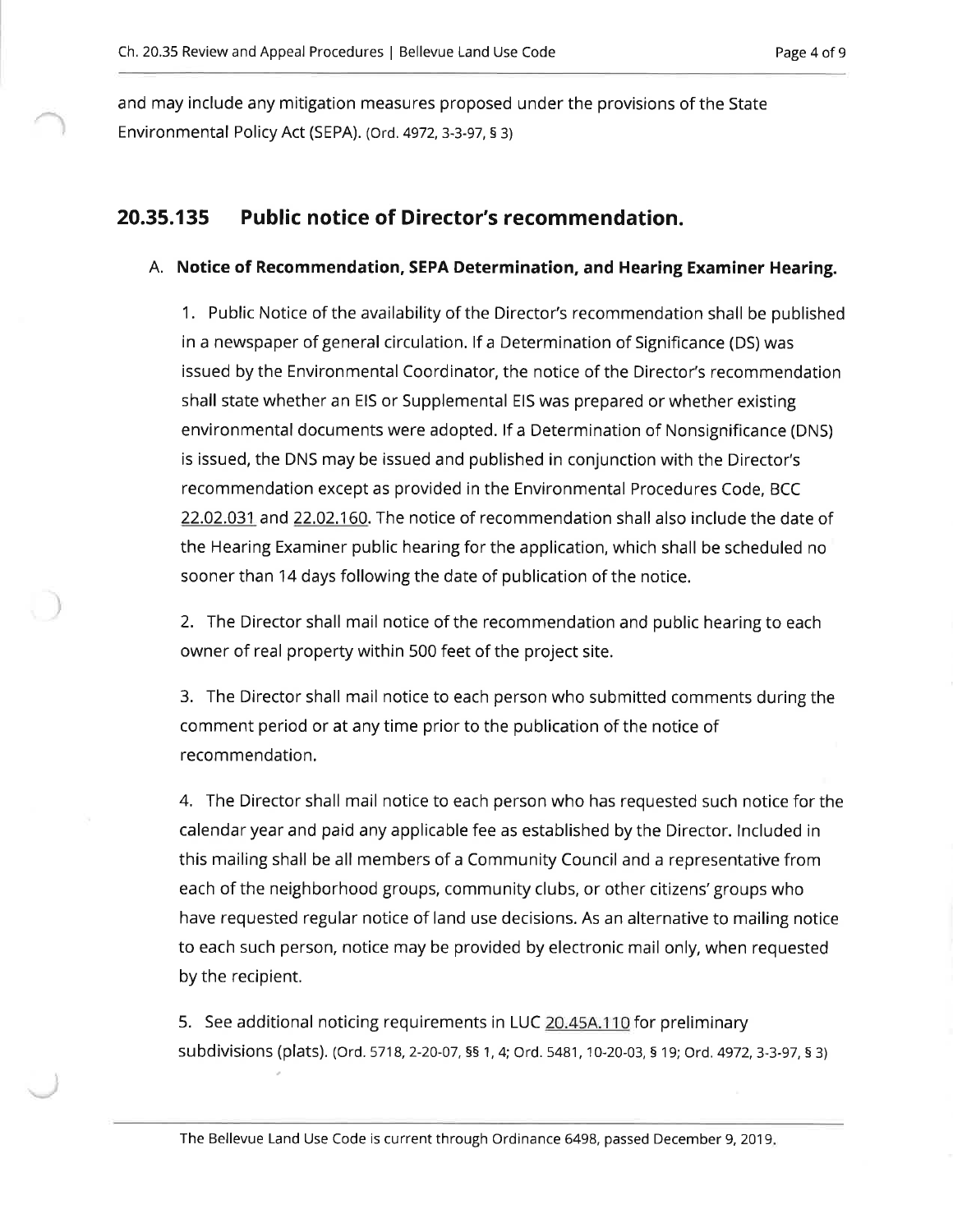and may include any mitigation measures proposed under the provisions of the State Environmental Policy Act (SEPA). (Ord. 4972, 3-3-97, § 3)

#### **Public notice of Director's recommendation.** 20.35.135

## A. Notice of Recommendation, SEPA Determination, and Hearing Examiner Hearing.

1. Public Notice of the availability of the Director's recommendation shall be published in a newspaper of general circulation. If a Determination of Significance (DS) was issued by the Environmental Coordinator, the notice of the Director's recommendation shall state whether an EIS or Supplemental EIS was prepared or whether existing environmental documents were adopted. If a Determination of Nonsignificance (DNS) is issued, the DNS may be issued and published in conjunction with the Director's recommendation except as provided in the Environmental Procedures Code, BCC 22.02.031 and 22.02.160. The notice of recommendation shall also include the date of the Hearing Examiner public hearing for the application, which shall be scheduled no sooner than 14 days following the date of publication of the notice.

2. The Director shall mail notice of the recommendation and public hearing to each owner of real property within 500 feet of the project site.

3. The Director shall mail notice to each person who submitted comments during the comment period or at any time prior to the publication of the notice of recommendation.

4. The Director shall mail notice to each person who has requested such notice for the calendar year and paid any applicable fee as established by the Director. Included in this mailing shall be all members of a Community Council and a representative from each of the neighborhood groups, community clubs, or other citizens' groups who have requested regular notice of land use decisions. As an alternative to mailing notice to each such person, notice may be provided by electronic mail only, when requested by the recipient.

5. See additional noticing requirements in LUC 20.45A.110 for preliminary subdivisions (plats). (Ord. 5718, 2-20-07, §§ 1, 4; Ord. 5481, 10-20-03, § 19; Ord. 4972, 3-3-97, § 3)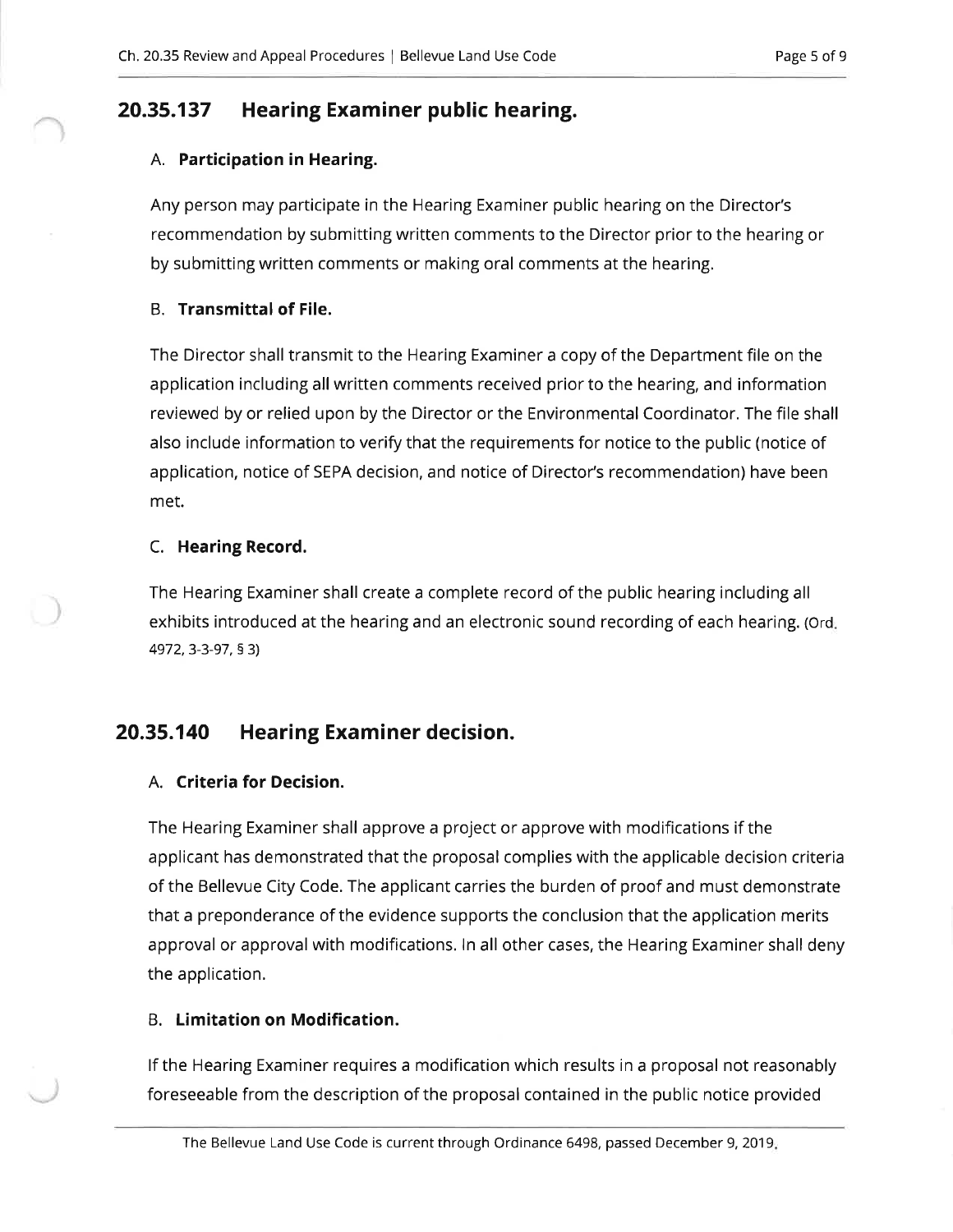#### 20.35.137 Hearing Examiner public hearing.

## A. Participation in Hearing.

Any person may participate in the Hearing Examiner public hearing on the Director's recommendation by submitting written comments to the Director prior to the hearing or by submitting written comments or making oral comments at the hearing.

## **B.** Transmittal of File.

The Director shall transmit to the Hearing Examiner a copy of the Department file on the application including all written comments received prior to the hearing, and information reviewed by or relied upon by the Director or the Environmental Coordinator. The file shall also include information to verify that the requirements for notice to the public (notice of application, notice of SEPA decision, and notice of Director's recommendation) have been met.

## C. Hearing Record.

The Hearing Examiner shall create a complete record of the public hearing including all exhibits introduced at the hearing and an electronic sound recording of each hearing. (Ord. 4972, 3-3-97, § 3)

#### 20.35.140 **Hearing Examiner decision.**

## A. Criteria for Decision.

The Hearing Examiner shall approve a project or approve with modifications if the applicant has demonstrated that the proposal complies with the applicable decision criteria of the Bellevue City Code. The applicant carries the burden of proof and must demonstrate that a preponderance of the evidence supports the conclusion that the application merits approval or approval with modifications. In all other cases, the Hearing Examiner shall deny the application.

## **B.** Limitation on Modification.

If the Hearing Examiner requires a modification which results in a proposal not reasonably foreseeable from the description of the proposal contained in the public notice provided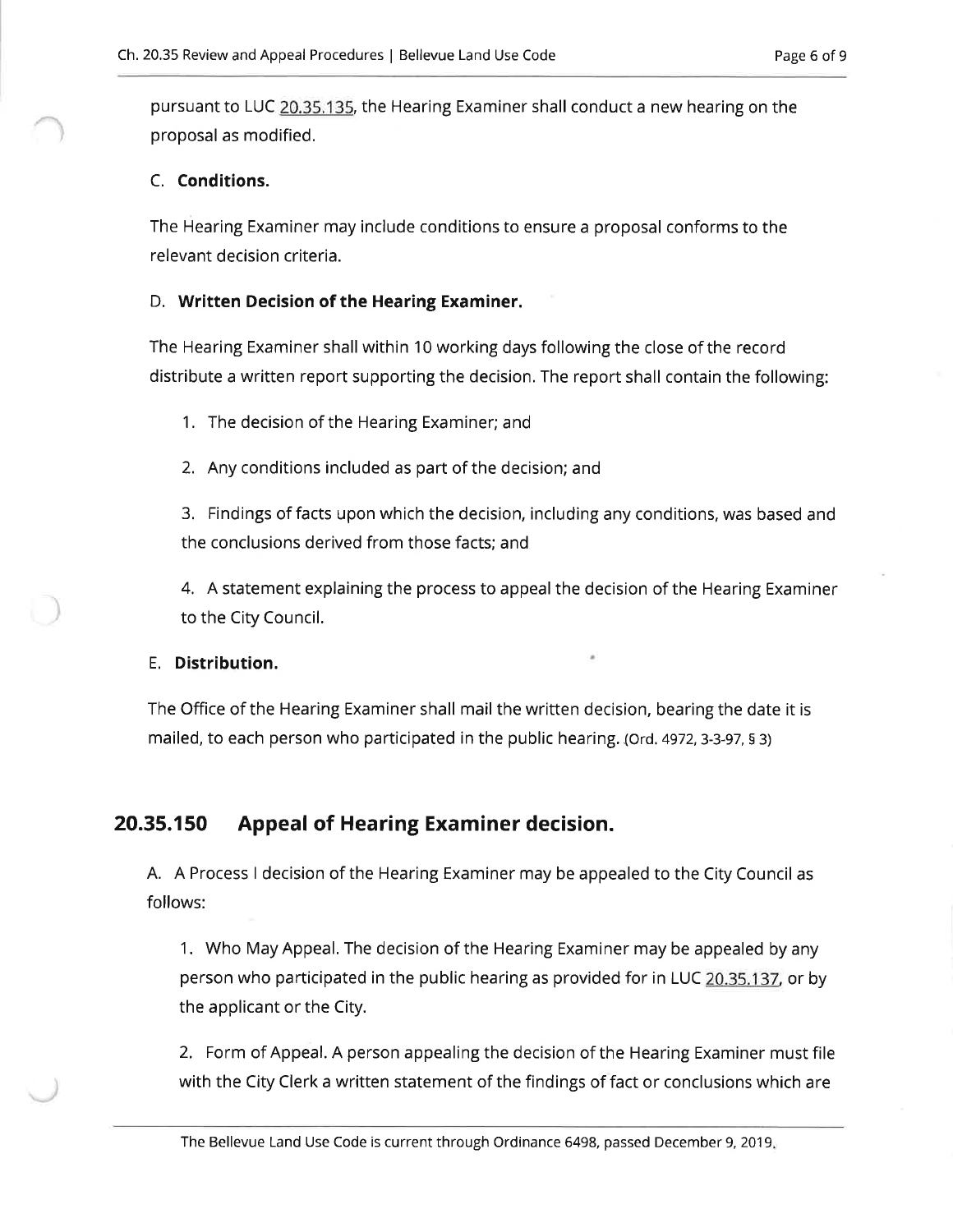pursuant to LUC 20.35.135, the Hearing Examiner shall conduct a new hearing on the proposal as modified.

## C. Conditions.

The Hearing Examiner may include conditions to ensure a proposal conforms to the relevant decision criteria.

## D. Written Decision of the Hearing Examiner.

The Hearing Examiner shall within 10 working days following the close of the record distribute a written report supporting the decision. The report shall contain the following:

1. The decision of the Hearing Examiner; and

2. Any conditions included as part of the decision; and

3. Findings of facts upon which the decision, including any conditions, was based and the conclusions derived from those facts: and

4. A statement explaining the process to appeal the decision of the Hearing Examiner to the City Council.

## E. Distribution.

The Office of the Hearing Examiner shall mail the written decision, bearing the date it is mailed, to each person who participated in the public hearing. (Ord. 4972, 3-3-97, § 3)

#### 20.35.150 **Appeal of Hearing Examiner decision.**

A. A Process I decision of the Hearing Examiner may be appealed to the City Council as follows:

1. Who May Appeal. The decision of the Hearing Examiner may be appealed by any person who participated in the public hearing as provided for in LUC 20.35.137, or by the applicant or the City.

2. Form of Appeal. A person appealing the decision of the Hearing Examiner must file with the City Clerk a written statement of the findings of fact or conclusions which are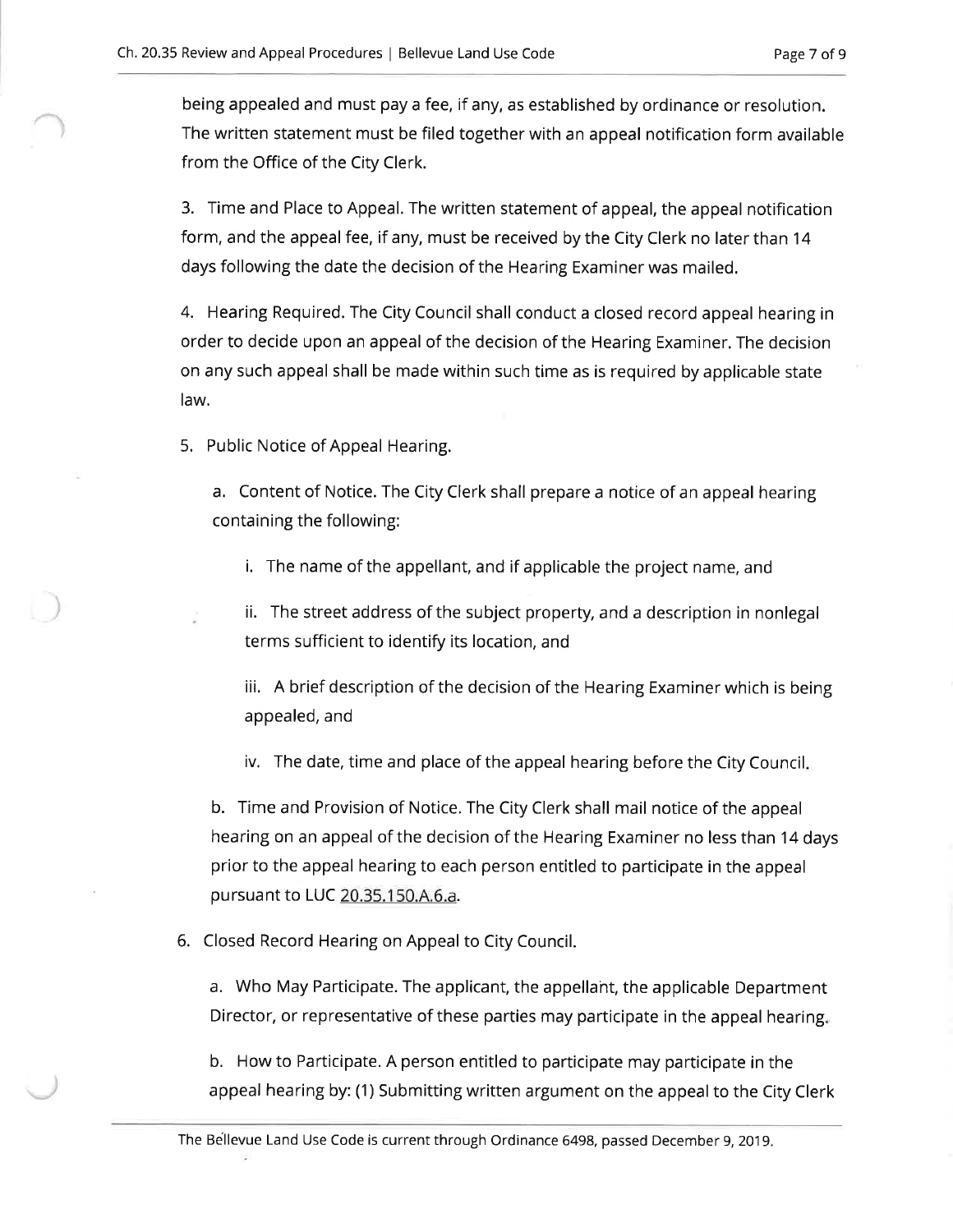being appealed and must pay a fee, if any, as established by ordinance or resolution. The written statement must be filed together with an appeal notification form available from the Office of the City Clerk.

3. Time and Place to Appeal. The written statement of appeal, the appeal notification form, and the appeal fee, if any, must be received by the City Clerk no later than 14 days following the date the decision of the Hearing Examiner was mailed.

4. Hearing Required. The City Council shall conduct a closed record appeal hearing in order to decide upon an appeal of the decision of the Hearing Examiner. The decision on any such appeal shall be made within such time as is required by applicable state law.

5. Public Notice of Appeal Hearing.

a. Content of Notice. The City Clerk shall prepare a notice of an appeal hearing containing the following:

- i. The name of the appellant, and if applicable the project name, and
- ii. The street address of the subject property, and a description in nonlegal terms sufficient to identify its location, and

iii. A brief description of the decision of the Hearing Examiner which is being appealed, and

iv. The date, time and place of the appeal hearing before the City Council.

b. Time and Provision of Notice. The City Clerk shall mail notice of the appeal hearing on an appeal of the decision of the Hearing Examiner no less than 14 days prior to the appeal hearing to each person entitled to participate in the appeal pursuant to LUC 20.35.150.A.6.a.

6. Closed Record Hearing on Appeal to City Council.

a. Who May Participate. The applicant, the appellant, the applicable Department Director, or representative of these parties may participate in the appeal hearing.

b. How to Participate. A person entitled to participate may participate in the appeal hearing by: (1) Submitting written argument on the appeal to the City Clerk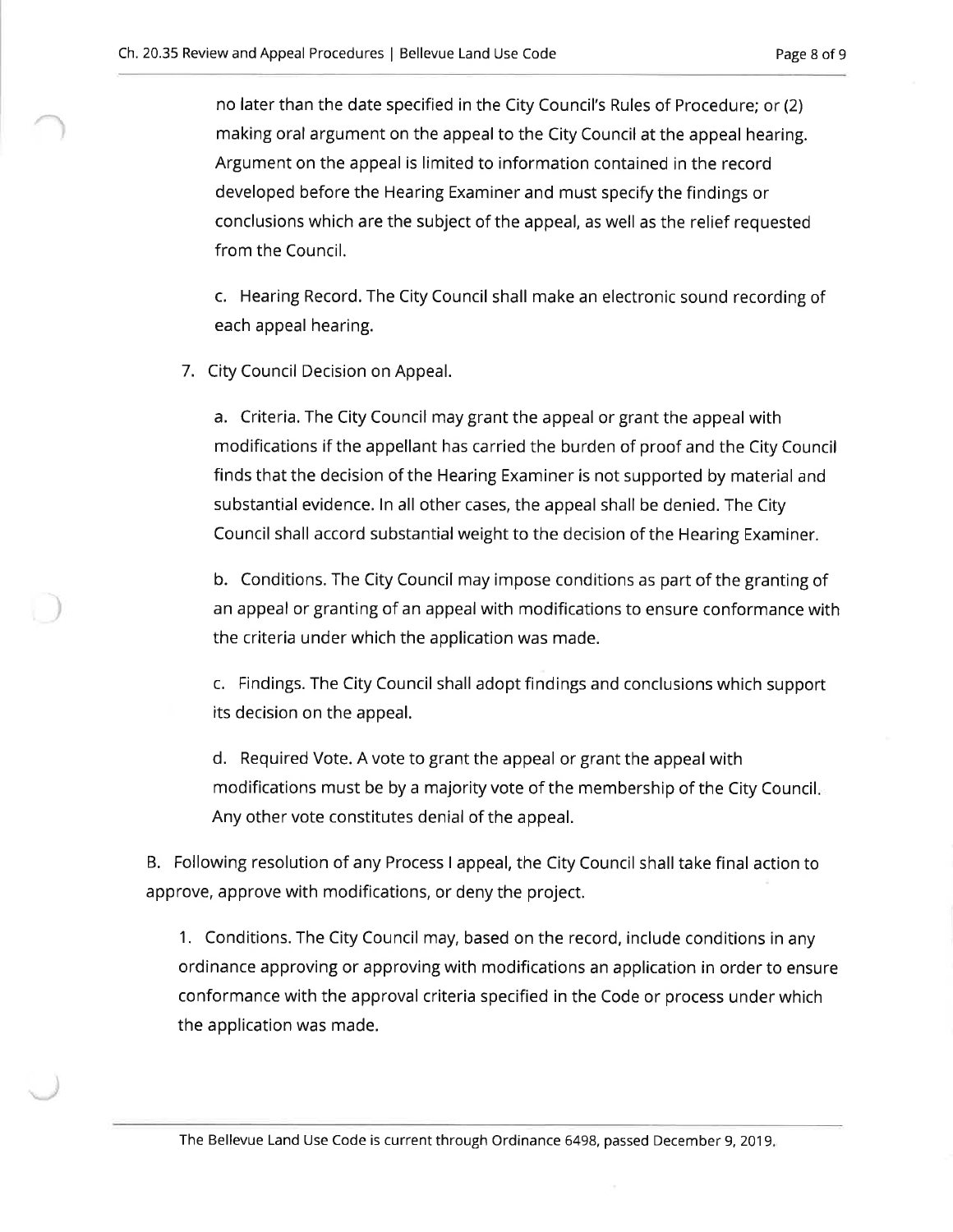no later than the date specified in the City Council's Rules of Procedure; or (2) making oral argument on the appeal to the City Council at the appeal hearing. Argument on the appeal is limited to information contained in the record developed before the Hearing Examiner and must specify the findings or conclusions which are the subject of the appeal, as well as the relief requested from the Council.

c. Hearing Record. The City Council shall make an electronic sound recording of each appeal hearing.

7. City Council Decision on Appeal.

a. Criteria. The City Council may grant the appeal or grant the appeal with modifications if the appellant has carried the burden of proof and the City Council finds that the decision of the Hearing Examiner is not supported by material and substantial evidence. In all other cases, the appeal shall be denied. The City Council shall accord substantial weight to the decision of the Hearing Examiner.

b. Conditions. The City Council may impose conditions as part of the granting of an appeal or granting of an appeal with modifications to ensure conformance with the criteria under which the application was made.

c. Findings. The City Council shall adopt findings and conclusions which support its decision on the appeal.

d. Required Vote. A vote to grant the appeal or grant the appeal with modifications must be by a majority vote of the membership of the City Council. Any other vote constitutes denial of the appeal.

B. Following resolution of any Process I appeal, the City Council shall take final action to approve, approve with modifications, or deny the project.

1. Conditions. The City Council may, based on the record, include conditions in any ordinance approving or approving with modifications an application in order to ensure conformance with the approval criteria specified in the Code or process under which the application was made.